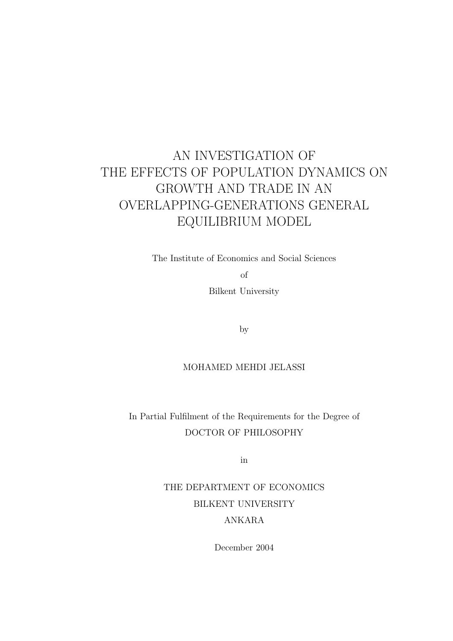## AN INVESTIGATION OF THE EFFECTS OF POPULATION DYNAMICS ON GROWTH AND TRADE IN AN OVERLAPPING-GENERATIONS GENERAL EQUILIBRIUM MODEL

The Institute of Economics and Social Sciences

of

Bilkent University

by

#### MOHAMED MEHDI JELASSI

In Partial Fulfilment of the Requirements for the Degree of DOCTOR OF PHILOSOPHY

in

### THE DEPARTMENT OF ECONOMICS BILKENT UNIVERSITY ANKARA

December 2004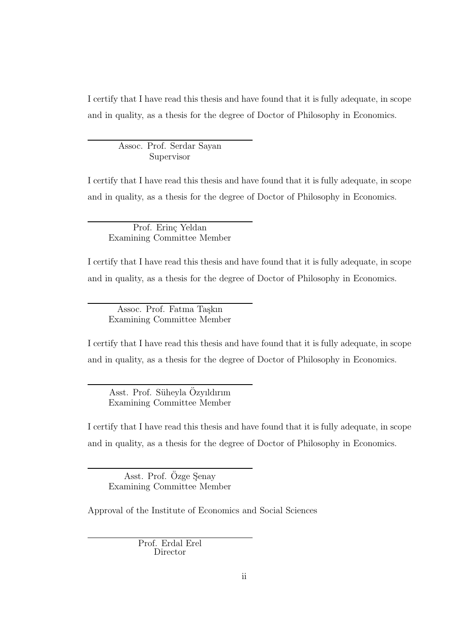I certify that I have read this thesis and have found that it is fully adequate, in scope and in quality, as a thesis for the degree of Doctor of Philosophy in Economics.

Assoc. Prof. Serdar Sayan Supervisor

I certify that I have read this thesis and have found that it is fully adequate, in scope and in quality, as a thesis for the degree of Doctor of Philosophy in Economics.

Prof. Erinç Yeldan Examining Committee Member

I certify that I have read this thesis and have found that it is fully adequate, in scope and in quality, as a thesis for the degree of Doctor of Philosophy in Economics.

Assoc. Prof. Fatma Taşkın Examining Committee Member

I certify that I have read this thesis and have found that it is fully adequate, in scope and in quality, as a thesis for the degree of Doctor of Philosophy in Economics.

Asst. Prof. Süheyla Özyıldırım Examining Committee Member

I certify that I have read this thesis and have found that it is fully adequate, in scope and in quality, as a thesis for the degree of Doctor of Philosophy in Economics.

Asst. Prof. Ozge Senay Examining Committee Member

Approval of the Institute of Economics and Social Sciences

Prof. Erdal Erel Director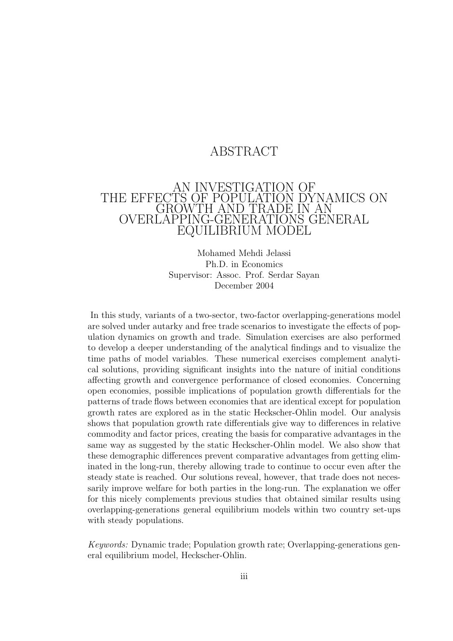### ABSTRACT

#### AN INVESTIGATION OF THE EFFECTS OF POPULATION DYNAMICS ON GROWTH AND TRADE IN AN OVERLAPPING-GENERATIONS GENERAL EQUILIBRIUM MODEL

Mohamed Mehdi Jelassi Ph.D. in Economics Supervisor: Assoc. Prof. Serdar Sayan December 2004

In this study, variants of a two-sector, two-factor overlapping-generations model are solved under autarky and free trade scenarios to investigate the effects of population dynamics on growth and trade. Simulation exercises are also performed to develop a deeper understanding of the analytical findings and to visualize the time paths of model variables. These numerical exercises complement analytical solutions, providing significant insights into the nature of initial conditions affecting growth and convergence performance of closed economies. Concerning open economies, possible implications of population growth differentials for the patterns of trade flows between economies that are identical except for population growth rates are explored as in the static Heckscher-Ohlin model. Our analysis shows that population growth rate differentials give way to differences in relative commodity and factor prices, creating the basis for comparative advantages in the same way as suggested by the static Heckscher-Ohlin model. We also show that these demographic differences prevent comparative advantages from getting eliminated in the long-run, thereby allowing trade to continue to occur even after the steady state is reached. Our solutions reveal, however, that trade does not necessarily improve welfare for both parties in the long-run. The explanation we offer for this nicely complements previous studies that obtained similar results using overlapping-generations general equilibrium models within two country set-ups with steady populations.

Keywords: Dynamic trade; Population growth rate; Overlapping-generations general equilibrium model, Heckscher-Ohlin.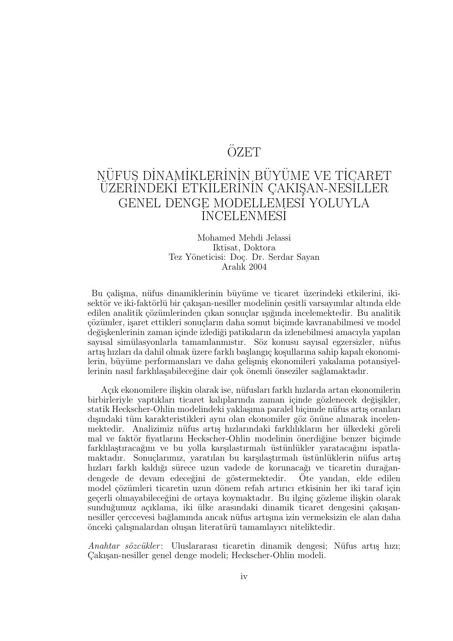### ÖZET

### NÜFUS DİNAMİKLERİNİN BÜYÜME VE TİÇARET ÜZERİNDEKİ ETKİLERİNİN ÇAKIŞAN-NESİLLER GENEL DENGE MODELLEMES˙ I YOLUYLA <u>incelenmesi</u>

#### Mohamed Mehdi Jelassi Iktisat, Doktora Tez Yöneticisi: Doç. Dr. Serdar Sayan Aralık 2004

Bu çalişma, nüfus dinamiklerinin büyüme ve ticaret üzerindeki etkilerini, ikisektör ve iki-faktörlü bir çakışan-nesiller modelinin çesitli varsayımlar altında elde edilen analitik çözümlerinden çıkan sonuçlar ışığında incelemektedir. Bu analitik  $c\ddot{o}z\ddot{u}$ mler, isaret ettikleri sonucların daha somut biçimde kavranabilmesi ve model değişkenlerinin zaman içinde izlediği patikaların da izlenebilmesi amacıyla yapılan sayısal simülasyonlarla tamamlanmıstır. Söz konusu sayısal egzersizler, nüfus artış hızları da dahil olmak üzere farklı başlangıç koşullarına sahip kapalı ekonomilerin, büyüme performansları ve daha gelişmiş ekonomileri yakalama potansiyellerinin nasıl farklılasabileceğine dair çok önemli önseziler sağlamaktadır.

Açık ekonomilere ilişkin olarak ise, nüfusları farklı hızlarda artan ekonomilerin birbirleriyle yaptıkları ticaret kalıplarında zaman içinde gözlenecek değişikler, statik Heckscher-Ohlin modelindeki yaklaşıma paralel biçimde nüfus artış oranları dışındaki tüm karakteristikleri aynı olan ekonomiler göz önüne alınarak incelenmektedir. Analizimiz nüfus artış hızlarındaki farklılıkların her ülkedeki göreli mal ve faktör fiyatlarını Heckscher-Ohlin modelinin önerdiğine benzer biçimde farklılaştıracağını ve bu yolla karşılastırmalı üstünlükler varatacağını ispatlamaktadır. Sonuçlarımız, yaratılan bu karşılaştırmalı üstünlüklerin nüfus artış hızları farklı kaldığı sürece uzun vadede de korunacağı ve ticaretin durağandengede de devam edeceğini de göstermektedir. Ote yandan, elde edilen model çözümleri ticaretin uzun dönem refah artırıcı etkisinin her iki taraf için geçerli olmayabileceğini de ortaya koymaktadır. Bu ilginç gözleme ilişkin olarak sunduğumuz açıklama, iki ülke arasındaki dinamik ticaret dengesini çakışannesiller çerccevesi bağlamında ancak nüfus artışına izin vermeksizin ele alan daha önceki çalışmalardan oluşan literatürü tamamlayıcı niteliktedir.

Anahtar sözcükler: Uluslararası ticaretin dinamik dengesi; Nüfus artış hızı; C¸ akı¸san-nesiller genel denge modeli; Heckscher-Ohlin modeli.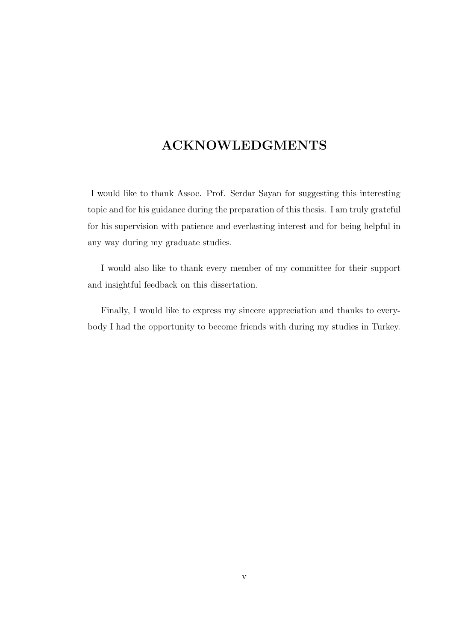### ACKNOWLEDGMENTS

I would like to thank Assoc. Prof. Serdar Sayan for suggesting this interesting topic and for his guidance during the preparation of this thesis. I am truly grateful for his supervision with patience and everlasting interest and for being helpful in any way during my graduate studies.

I would also like to thank every member of my committee for their support and insightful feedback on this dissertation.

Finally, I would like to express my sincere appreciation and thanks to everybody I had the opportunity to become friends with during my studies in Turkey.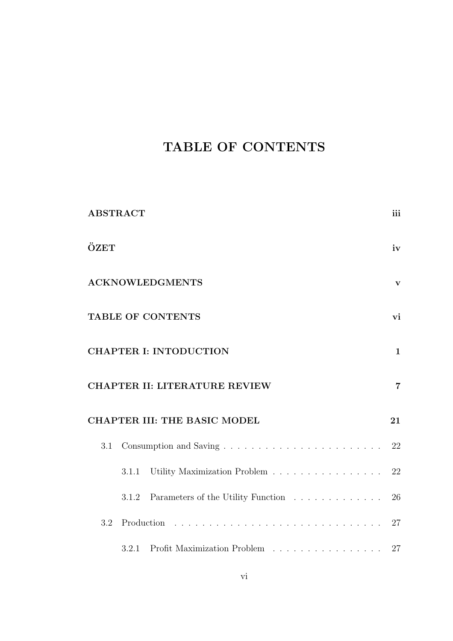## TABLE OF CONTENTS

| <b>ABSTRACT</b> |       |                                                                  | iii            |
|-----------------|-------|------------------------------------------------------------------|----------------|
| ÖZET            |       |                                                                  | iv             |
|                 |       | <b>ACKNOWLEDGMENTS</b>                                           | $\mathbf{V}$   |
|                 |       | TABLE OF CONTENTS                                                | vi             |
|                 |       | <b>CHAPTER I: INTODUCTION</b>                                    | $\mathbf{1}$   |
|                 |       | <b>CHAPTER II: LITERATURE REVIEW</b>                             | $\overline{7}$ |
|                 |       | <b>CHAPTER III: THE BASIC MODEL</b>                              | 21             |
| 3.1             |       |                                                                  | 22             |
|                 | 3.1.1 | Utility Maximization Problem                                     | 22             |
|                 | 3.1.2 | Parameters of the Utility Function                               | 26             |
| 3.2             |       |                                                                  |                |
|                 | 3.2.1 | Profit Maximization Problem $\ldots \ldots \ldots \ldots \ldots$ | 27             |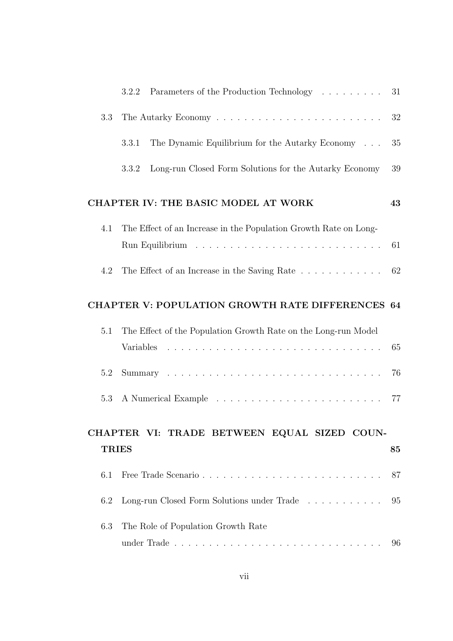|              | Parameters of the Production Technology<br>3.2.2                 | 31 |
|--------------|------------------------------------------------------------------|----|
| 3.3          |                                                                  | 32 |
|              | The Dynamic Equilibrium for the Autarky Economy<br>3.3.1         | 35 |
|              | Long-run Closed Form Solutions for the Autarky Economy<br>3.3.2  | 39 |
|              | CHAPTER IV: THE BASIC MODEL AT WORK                              | 43 |
| 4.1          | The Effect of an Increase in the Population Growth Rate on Long- |    |
|              |                                                                  | 61 |
| 4.2          | The Effect of an Increase in the Saving Rate                     | 62 |
|              | <b>CHAPTER V: POPULATION GROWTH RATE DIFFERENCES 64</b>          |    |
| 5.1          | The Effect of the Population Growth Rate on the Long-run Model   |    |
|              | Variables                                                        | 65 |
| 5.2          |                                                                  | 76 |
| 5.3          |                                                                  |    |
|              | CHAPTER VI: TRADE BETWEEN EQUAL SIZED COUN-                      |    |
| <b>TRIES</b> |                                                                  | 85 |
| 6.1          | Free Trade Scenario                                              | 87 |
| 6.2          | Long-run Closed Form Solutions under Trade                       | 95 |
| 6.3          | The Role of Population Growth Rate                               |    |
|              | under Trade                                                      | 96 |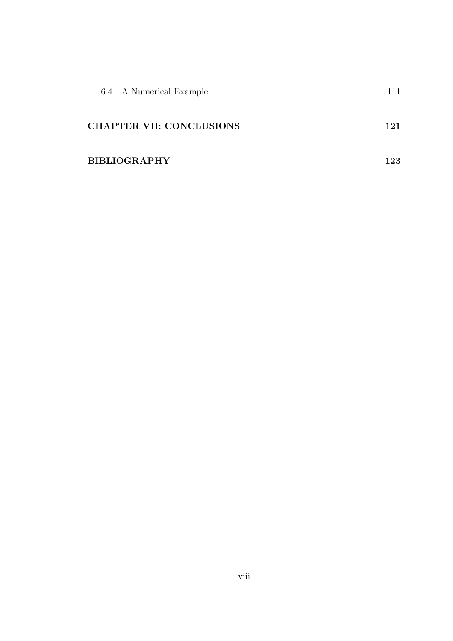| 6.4 A Numerical Example  111    |     |
|---------------------------------|-----|
| <b>CHAPTER VII: CONCLUSIONS</b> | 121 |
| <b>BIBLIOGRAPHY</b>             | 192 |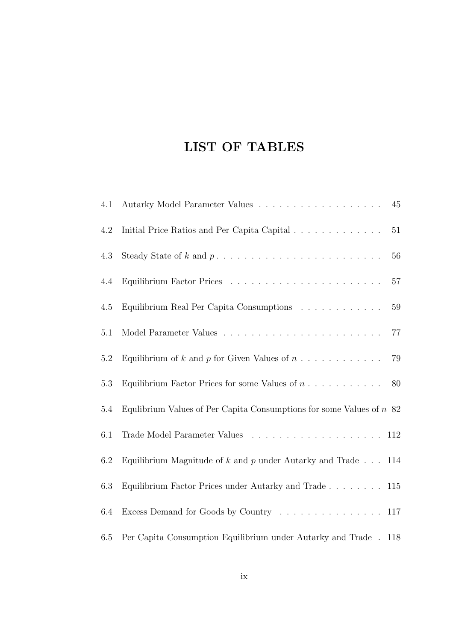## LIST OF TABLES

| 4.1     | 45                                                                                                                             |
|---------|--------------------------------------------------------------------------------------------------------------------------------|
| 4.2     | Initial Price Ratios and Per Capita Capital<br>51                                                                              |
| 4.3     | 56                                                                                                                             |
| 4.4     | 57                                                                                                                             |
| 4.5     | Equilibrium Real Per Capita Consumptions<br>59                                                                                 |
| $5.1\,$ | $77\,$                                                                                                                         |
| 5.2     | Equilibrium of k and p for Given Values of $n \ldots \ldots \ldots$<br>79                                                      |
| 5.3     | Equilibrium Factor Prices for some Values of $n \ldots \ldots \ldots$ 80                                                       |
| 5.4     | Equlibrium Values of Per Capita Consumptions for some Values of $n \geq 2$                                                     |
| 6.1     |                                                                                                                                |
| 6.2     | Equilibrium Magnitude of $k$ and $p$ under Autarky and Trade $\dots$ 114                                                       |
| 6.3     | Equilibrium Factor Prices under Autarky and Trade 115                                                                          |
| 6.4     | Excess Demand for Goods by Country $\dots \dots \dots \dots \dots \dots \dots \dots \dots \dots \dots \dots \dots \dots \dots$ |
| 6.5     | Per Capita Consumption Equilibrium under Autarky and Trade . 118                                                               |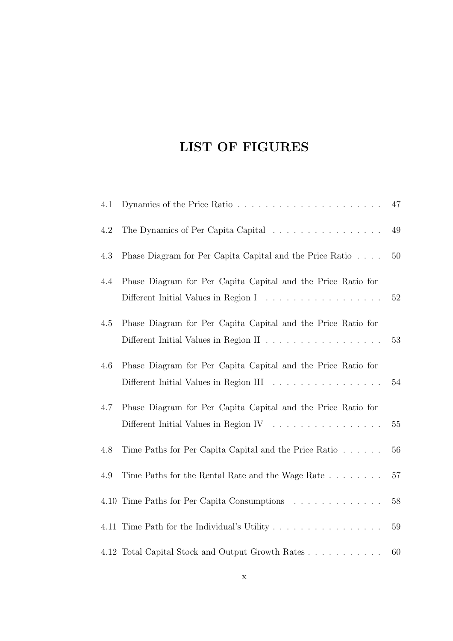### LIST OF FIGURES

| 4.1 |                                                                                                        | 47 |
|-----|--------------------------------------------------------------------------------------------------------|----|
| 4.2 |                                                                                                        | 49 |
| 4.3 | Phase Diagram for Per Capita Capital and the Price Ratio                                               | 50 |
| 4.4 | Phase Diagram for Per Capita Capital and the Price Ratio for<br>Different Initial Values in Region I   | 52 |
| 4.5 | Phase Diagram for Per Capita Capital and the Price Ratio for                                           | 53 |
| 4.6 | Phase Diagram for Per Capita Capital and the Price Ratio for<br>Different Initial Values in Region III | 54 |
| 4.7 | Phase Diagram for Per Capita Capital and the Price Ratio for<br>Different Initial Values in Region IV  | 55 |
| 4.8 | Time Paths for Per Capita Capital and the Price Ratio                                                  | 56 |
| 4.9 | Time Paths for the Rental Rate and the Wage Rate                                                       | 57 |
|     | 4.10 Time Paths for Per Capita Consumptions                                                            | 58 |
|     | 4.11 Time Path for the Individual's Utility                                                            | 59 |
|     | 4.12 Total Capital Stock and Output Growth Rates                                                       | 60 |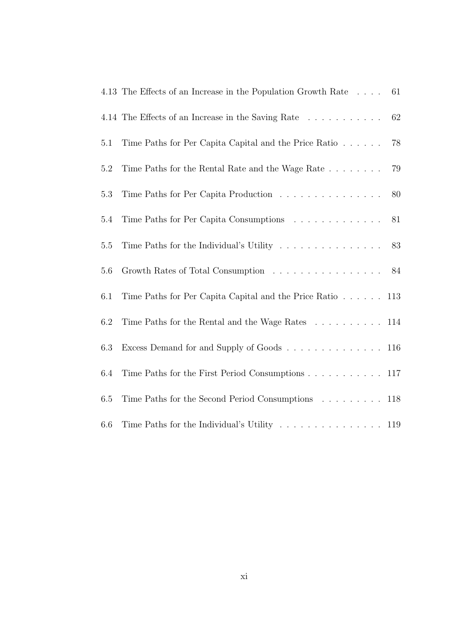|         | 4.13 The Effects of an Increase in the Population Growth Rate                           | 61 |
|---------|-----------------------------------------------------------------------------------------|----|
|         | 4.14 The Effects of an Increase in the Saving Rate                                      | 62 |
| 5.1     | Time Paths for Per Capita Capital and the Price Ratio                                   | 78 |
| 5.2     |                                                                                         | 79 |
| 5.3     | Time Paths for Per Capita Production $\hfill\ldots\ldots\ldots\ldots\ldots\ldots\ldots$ | 80 |
| $5.4\,$ | Time Paths for Per Capita Consumptions                                                  | 81 |
| 5.5     | Time Paths for the Individual's Utility                                                 | 83 |
| 5.6     | Growth Rates of Total Consumption 84                                                    |    |
| 6.1     | Time Paths for Per Capita Capital and the Price Ratio 113                               |    |
| 6.2     | Time Paths for the Rental and the Wage Rates 114                                        |    |
| 6.3     | Excess Demand for and Supply of Goods 116                                               |    |
| 6.4     | Time Paths for the First Period Consumptions 117                                        |    |
| 6.5     | Time Paths for the Second Period Consumptions 118                                       |    |
| 6.6     |                                                                                         |    |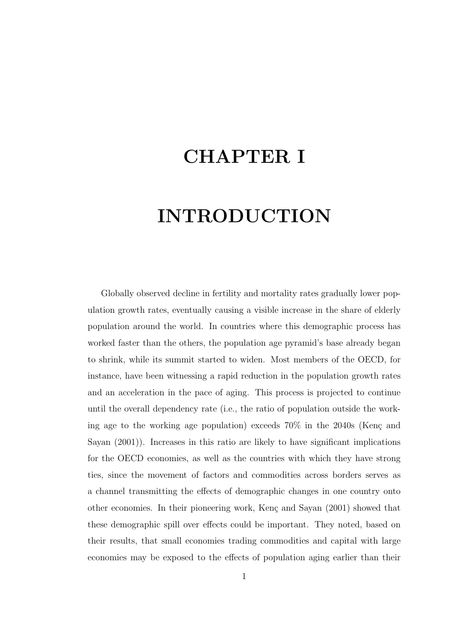# CHAPTER I

# INTRODUCTION

Globally observed decline in fertility and mortality rates gradually lower population growth rates, eventually causing a visible increase in the share of elderly population around the world. In countries where this demographic process has worked faster than the others, the population age pyramid's base already began to shrink, while its summit started to widen. Most members of the OECD, for instance, have been witnessing a rapid reduction in the population growth rates and an acceleration in the pace of aging. This process is projected to continue until the overall dependency rate (i.e., the ratio of population outside the working age to the working age population) exceeds  $70\%$  in the 2040s (Kenç and Sayan (2001)). Increases in this ratio are likely to have significant implications for the OECD economies, as well as the countries with which they have strong ties, since the movement of factors and commodities across borders serves as a channel transmitting the effects of demographic changes in one country onto other economies. In their pioneering work, Kenç and Sayan (2001) showed that these demographic spill over effects could be important. They noted, based on their results, that small economies trading commodities and capital with large economies may be exposed to the effects of population aging earlier than their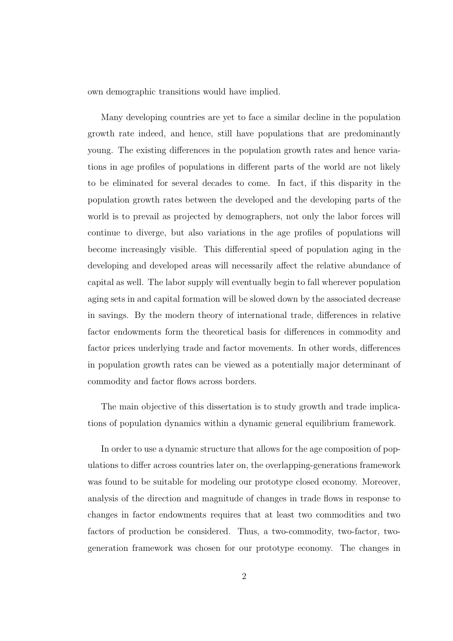own demographic transitions would have implied.

Many developing countries are yet to face a similar decline in the population growth rate indeed, and hence, still have populations that are predominantly young. The existing differences in the population growth rates and hence variations in age profiles of populations in different parts of the world are not likely to be eliminated for several decades to come. In fact, if this disparity in the population growth rates between the developed and the developing parts of the world is to prevail as projected by demographers, not only the labor forces will continue to diverge, but also variations in the age profiles of populations will become increasingly visible. This differential speed of population aging in the developing and developed areas will necessarily affect the relative abundance of capital as well. The labor supply will eventually begin to fall wherever population aging sets in and capital formation will be slowed down by the associated decrease in savings. By the modern theory of international trade, differences in relative factor endowments form the theoretical basis for differences in commodity and factor prices underlying trade and factor movements. In other words, differences in population growth rates can be viewed as a potentially major determinant of commodity and factor flows across borders.

The main objective of this dissertation is to study growth and trade implications of population dynamics within a dynamic general equilibrium framework.

In order to use a dynamic structure that allows for the age composition of populations to differ across countries later on, the overlapping-generations framework was found to be suitable for modeling our prototype closed economy. Moreover, analysis of the direction and magnitude of changes in trade flows in response to changes in factor endowments requires that at least two commodities and two factors of production be considered. Thus, a two-commodity, two-factor, twogeneration framework was chosen for our prototype economy. The changes in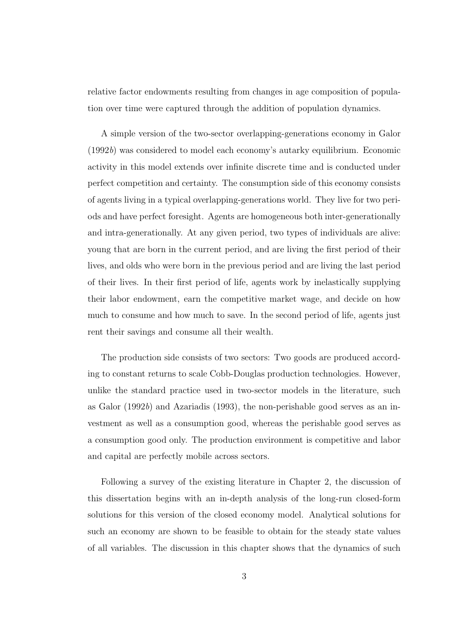relative factor endowments resulting from changes in age composition of population over time were captured through the addition of population dynamics.

A simple version of the two-sector overlapping-generations economy in Galor (1992b) was considered to model each economy's autarky equilibrium. Economic activity in this model extends over infinite discrete time and is conducted under perfect competition and certainty. The consumption side of this economy consists of agents living in a typical overlapping-generations world. They live for two periods and have perfect foresight. Agents are homogeneous both inter-generationally and intra-generationally. At any given period, two types of individuals are alive: young that are born in the current period, and are living the first period of their lives, and olds who were born in the previous period and are living the last period of their lives. In their first period of life, agents work by inelastically supplying their labor endowment, earn the competitive market wage, and decide on how much to consume and how much to save. In the second period of life, agents just rent their savings and consume all their wealth.

The production side consists of two sectors: Two goods are produced according to constant returns to scale Cobb-Douglas production technologies. However, unlike the standard practice used in two-sector models in the literature, such as Galor (1992b) and Azariadis (1993), the non-perishable good serves as an investment as well as a consumption good, whereas the perishable good serves as a consumption good only. The production environment is competitive and labor and capital are perfectly mobile across sectors.

Following a survey of the existing literature in Chapter 2, the discussion of this dissertation begins with an in-depth analysis of the long-run closed-form solutions for this version of the closed economy model. Analytical solutions for such an economy are shown to be feasible to obtain for the steady state values of all variables. The discussion in this chapter shows that the dynamics of such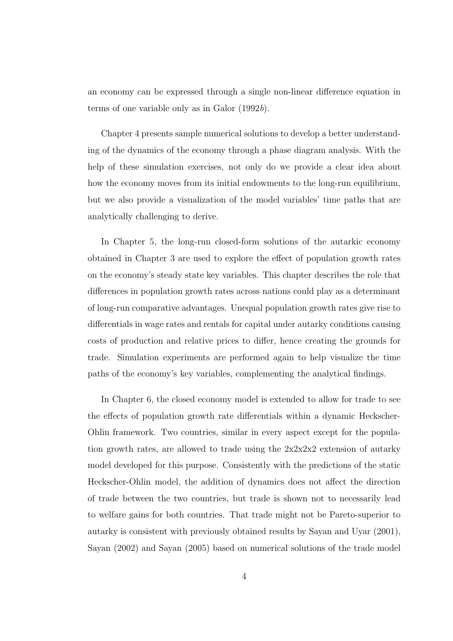an economy can be expressed through a single non-linear difference equation in terms of one variable only as in Galor (1992b).

Chapter 4 presents sample numerical solutions to develop a better understanding of the dynamics of the economy through a phase diagram analysis. With the help of these simulation exercises, not only do we provide a clear idea about how the economy moves from its initial endowments to the long-run equilibrium, but we also provide a visualization of the model variables' time paths that are analytically challenging to derive.

In Chapter 5, the long-run closed-form solutions of the autarkic economy obtained in Chapter 3 are used to explore the effect of population growth rates on the economy's steady state key variables. This chapter describes the role that differences in population growth rates across nations could play as a determinant of long-run comparative advantages. Unequal population growth rates give rise to differentials in wage rates and rentals for capital under autarky conditions causing costs of production and relative prices to differ, hence creating the grounds for trade. Simulation experiments are performed again to help visualize the time paths of the economy's key variables, complementing the analytical findings.

In Chapter 6, the closed economy model is extended to allow for trade to see the effects of population growth rate differentials within a dynamic Heckscher-Ohlin framework. Two countries, similar in every aspect except for the population growth rates, are allowed to trade using the  $2x2x2x2$  extension of autarky model developed for this purpose. Consistently with the predictions of the static Heckscher-Ohlin model, the addition of dynamics does not affect the direction of trade between the two countries, but trade is shown not to necessarily lead to welfare gains for both countries. That trade might not be Pareto-superior to autarky is consistent with previously obtained results by Sayan and Uyar (2001), Sayan (2002) and Sayan (2005) based on numerical solutions of the trade model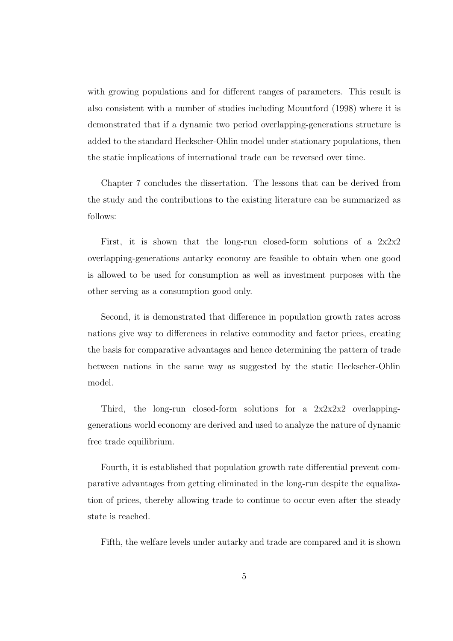with growing populations and for different ranges of parameters. This result is also consistent with a number of studies including Mountford (1998) where it is demonstrated that if a dynamic two period overlapping-generations structure is added to the standard Heckscher-Ohlin model under stationary populations, then the static implications of international trade can be reversed over time.

Chapter 7 concludes the dissertation. The lessons that can be derived from the study and the contributions to the existing literature can be summarized as follows:

First, it is shown that the long-run closed-form solutions of a  $2x2x2$ overlapping-generations autarky economy are feasible to obtain when one good is allowed to be used for consumption as well as investment purposes with the other serving as a consumption good only.

Second, it is demonstrated that difference in population growth rates across nations give way to differences in relative commodity and factor prices, creating the basis for comparative advantages and hence determining the pattern of trade between nations in the same way as suggested by the static Heckscher-Ohlin model.

Third, the long-run closed-form solutions for a  $2x2x2x2$  overlappinggenerations world economy are derived and used to analyze the nature of dynamic free trade equilibrium.

Fourth, it is established that population growth rate differential prevent comparative advantages from getting eliminated in the long-run despite the equalization of prices, thereby allowing trade to continue to occur even after the steady state is reached.

Fifth, the welfare levels under autarky and trade are compared and it is shown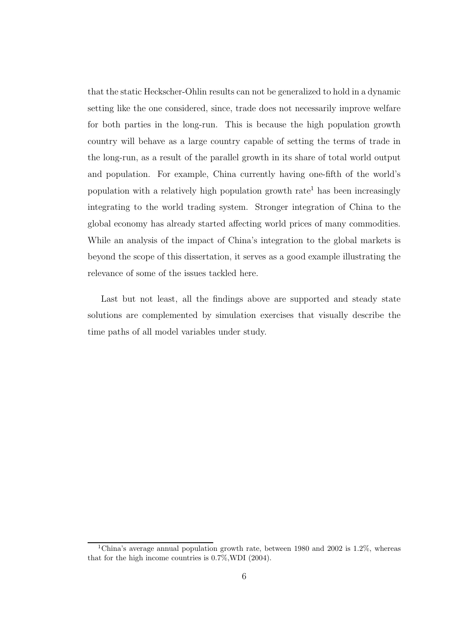that the static Heckscher-Ohlin results can not be generalized to hold in a dynamic setting like the one considered, since, trade does not necessarily improve welfare for both parties in the long-run. This is because the high population growth country will behave as a large country capable of setting the terms of trade in the long-run, as a result of the parallel growth in its share of total world output and population. For example, China currently having one-fifth of the world's population with a relatively high population growth rate<sup>1</sup> has been increasingly integrating to the world trading system. Stronger integration of China to the global economy has already started affecting world prices of many commodities. While an analysis of the impact of China's integration to the global markets is beyond the scope of this dissertation, it serves as a good example illustrating the relevance of some of the issues tackled here.

Last but not least, all the findings above are supported and steady state solutions are complemented by simulation exercises that visually describe the time paths of all model variables under study.

<sup>1</sup>China's average annual population growth rate, between 1980 and 2002 is 1.2%, whereas that for the high income countries is 0.7%,WDI (2004).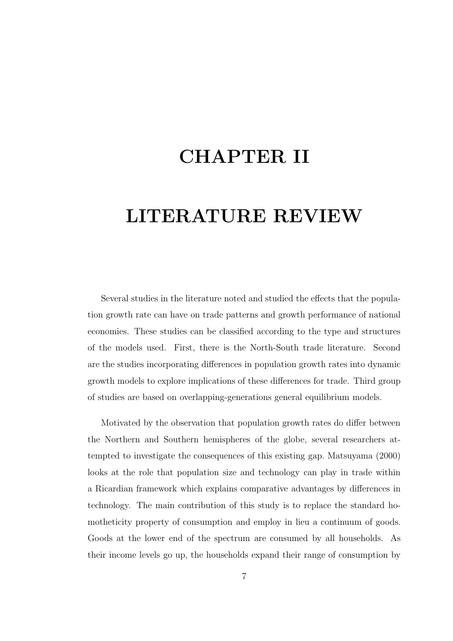# CHAPTER II

# LITERATURE REVIEW

Several studies in the literature noted and studied the effects that the population growth rate can have on trade patterns and growth performance of national economies. These studies can be classified according to the type and structures of the models used. First, there is the North-South trade literature. Second are the studies incorporating differences in population growth rates into dynamic growth models to explore implications of these differences for trade. Third group of studies are based on overlapping-generations general equilibrium models.

Motivated by the observation that population growth rates do differ between the Northern and Southern hemispheres of the globe, several researchers attempted to investigate the consequences of this existing gap. Matsuyama (2000) looks at the role that population size and technology can play in trade within a Ricardian framework which explains comparative advantages by differences in technology. The main contribution of this study is to replace the standard homotheticity property of consumption and employ in lieu a continuum of goods. Goods at the lower end of the spectrum are consumed by all households. As their income levels go up, the households expand their range of consumption by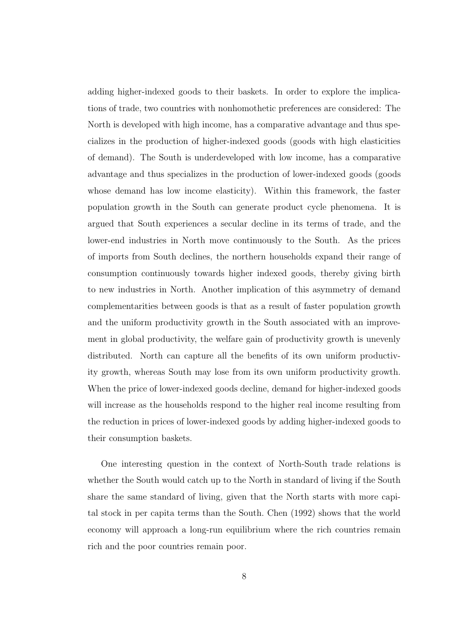adding higher-indexed goods to their baskets. In order to explore the implications of trade, two countries with nonhomothetic preferences are considered: The North is developed with high income, has a comparative advantage and thus specializes in the production of higher-indexed goods (goods with high elasticities of demand). The South is underdeveloped with low income, has a comparative advantage and thus specializes in the production of lower-indexed goods (goods whose demand has low income elasticity). Within this framework, the faster population growth in the South can generate product cycle phenomena. It is argued that South experiences a secular decline in its terms of trade, and the lower-end industries in North move continuously to the South. As the prices of imports from South declines, the northern households expand their range of consumption continuously towards higher indexed goods, thereby giving birth to new industries in North. Another implication of this asymmetry of demand complementarities between goods is that as a result of faster population growth and the uniform productivity growth in the South associated with an improvement in global productivity, the welfare gain of productivity growth is unevenly distributed. North can capture all the benefits of its own uniform productivity growth, whereas South may lose from its own uniform productivity growth. When the price of lower-indexed goods decline, demand for higher-indexed goods will increase as the households respond to the higher real income resulting from the reduction in prices of lower-indexed goods by adding higher-indexed goods to their consumption baskets.

One interesting question in the context of North-South trade relations is whether the South would catch up to the North in standard of living if the South share the same standard of living, given that the North starts with more capital stock in per capita terms than the South. Chen (1992) shows that the world economy will approach a long-run equilibrium where the rich countries remain rich and the poor countries remain poor.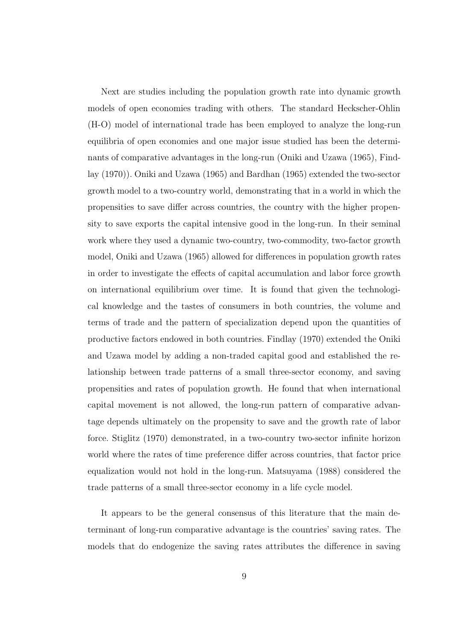Next are studies including the population growth rate into dynamic growth models of open economies trading with others. The standard Heckscher-Ohlin (H-O) model of international trade has been employed to analyze the long-run equilibria of open economies and one major issue studied has been the determinants of comparative advantages in the long-run (Oniki and Uzawa (1965), Findlay (1970)). Oniki and Uzawa (1965) and Bardhan (1965) extended the two-sector growth model to a two-country world, demonstrating that in a world in which the propensities to save differ across countries, the country with the higher propensity to save exports the capital intensive good in the long-run. In their seminal work where they used a dynamic two-country, two-commodity, two-factor growth model, Oniki and Uzawa (1965) allowed for differences in population growth rates in order to investigate the effects of capital accumulation and labor force growth on international equilibrium over time. It is found that given the technological knowledge and the tastes of consumers in both countries, the volume and terms of trade and the pattern of specialization depend upon the quantities of productive factors endowed in both countries. Findlay (1970) extended the Oniki and Uzawa model by adding a non-traded capital good and established the relationship between trade patterns of a small three-sector economy, and saving propensities and rates of population growth. He found that when international capital movement is not allowed, the long-run pattern of comparative advantage depends ultimately on the propensity to save and the growth rate of labor force. Stiglitz (1970) demonstrated, in a two-country two-sector infinite horizon world where the rates of time preference differ across countries, that factor price equalization would not hold in the long-run. Matsuyama (1988) considered the trade patterns of a small three-sector economy in a life cycle model.

It appears to be the general consensus of this literature that the main determinant of long-run comparative advantage is the countries' saving rates. The models that do endogenize the saving rates attributes the difference in saving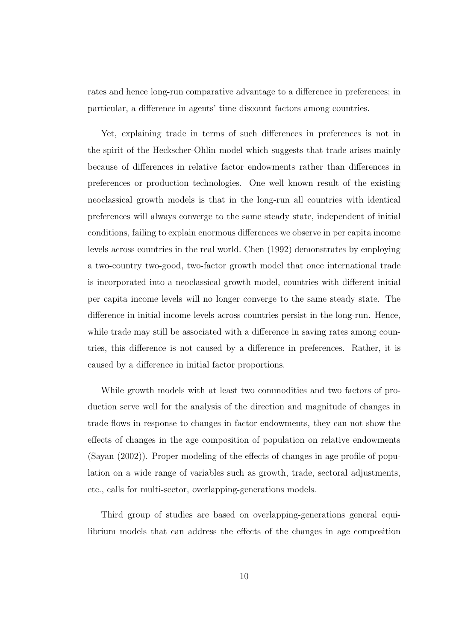rates and hence long-run comparative advantage to a difference in preferences; in particular, a difference in agents' time discount factors among countries.

Yet, explaining trade in terms of such differences in preferences is not in the spirit of the Heckscher-Ohlin model which suggests that trade arises mainly because of differences in relative factor endowments rather than differences in preferences or production technologies. One well known result of the existing neoclassical growth models is that in the long-run all countries with identical preferences will always converge to the same steady state, independent of initial conditions, failing to explain enormous differences we observe in per capita income levels across countries in the real world. Chen (1992) demonstrates by employing a two-country two-good, two-factor growth model that once international trade is incorporated into a neoclassical growth model, countries with different initial per capita income levels will no longer converge to the same steady state. The difference in initial income levels across countries persist in the long-run. Hence, while trade may still be associated with a difference in saving rates among countries, this difference is not caused by a difference in preferences. Rather, it is caused by a difference in initial factor proportions.

While growth models with at least two commodities and two factors of production serve well for the analysis of the direction and magnitude of changes in trade flows in response to changes in factor endowments, they can not show the effects of changes in the age composition of population on relative endowments (Sayan (2002)). Proper modeling of the effects of changes in age profile of population on a wide range of variables such as growth, trade, sectoral adjustments, etc., calls for multi-sector, overlapping-generations models.

Third group of studies are based on overlapping-generations general equilibrium models that can address the effects of the changes in age composition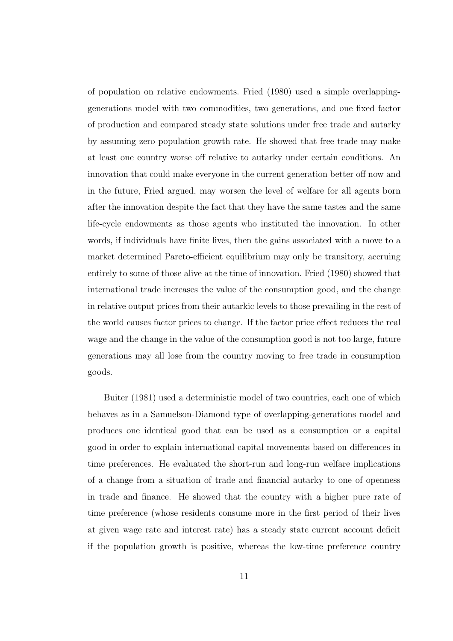of population on relative endowments. Fried (1980) used a simple overlappinggenerations model with two commodities, two generations, and one fixed factor of production and compared steady state solutions under free trade and autarky by assuming zero population growth rate. He showed that free trade may make at least one country worse off relative to autarky under certain conditions. An innovation that could make everyone in the current generation better off now and in the future, Fried argued, may worsen the level of welfare for all agents born after the innovation despite the fact that they have the same tastes and the same life-cycle endowments as those agents who instituted the innovation. In other words, if individuals have finite lives, then the gains associated with a move to a market determined Pareto-efficient equilibrium may only be transitory, accruing entirely to some of those alive at the time of innovation. Fried (1980) showed that international trade increases the value of the consumption good, and the change in relative output prices from their autarkic levels to those prevailing in the rest of the world causes factor prices to change. If the factor price effect reduces the real wage and the change in the value of the consumption good is not too large, future generations may all lose from the country moving to free trade in consumption goods.

Buiter (1981) used a deterministic model of two countries, each one of which behaves as in a Samuelson-Diamond type of overlapping-generations model and produces one identical good that can be used as a consumption or a capital good in order to explain international capital movements based on differences in time preferences. He evaluated the short-run and long-run welfare implications of a change from a situation of trade and financial autarky to one of openness in trade and finance. He showed that the country with a higher pure rate of time preference (whose residents consume more in the first period of their lives at given wage rate and interest rate) has a steady state current account deficit if the population growth is positive, whereas the low-time preference country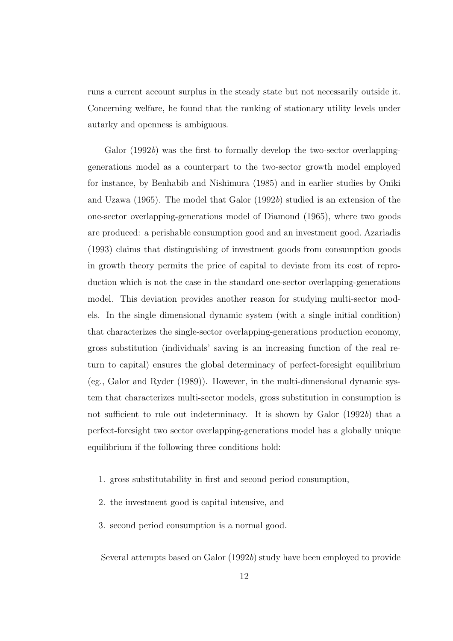runs a current account surplus in the steady state but not necessarily outside it. Concerning welfare, he found that the ranking of stationary utility levels under autarky and openness is ambiguous.

Galor (1992b) was the first to formally develop the two-sector overlappinggenerations model as a counterpart to the two-sector growth model employed for instance, by Benhabib and Nishimura (1985) and in earlier studies by Oniki and Uzawa  $(1965)$ . The model that Galor  $(1992b)$  studied is an extension of the one-sector overlapping-generations model of Diamond (1965), where two goods are produced: a perishable consumption good and an investment good. Azariadis (1993) claims that distinguishing of investment goods from consumption goods in growth theory permits the price of capital to deviate from its cost of reproduction which is not the case in the standard one-sector overlapping-generations model. This deviation provides another reason for studying multi-sector models. In the single dimensional dynamic system (with a single initial condition) that characterizes the single-sector overlapping-generations production economy, gross substitution (individuals' saving is an increasing function of the real return to capital) ensures the global determinacy of perfect-foresight equilibrium (eg., Galor and Ryder (1989)). However, in the multi-dimensional dynamic system that characterizes multi-sector models, gross substitution in consumption is not sufficient to rule out indeterminacy. It is shown by Galor  $(1992b)$  that a perfect-foresight two sector overlapping-generations model has a globally unique equilibrium if the following three conditions hold:

- 1. gross substitutability in first and second period consumption,
- 2. the investment good is capital intensive, and
- 3. second period consumption is a normal good.

Several attempts based on Galor (1992b) study have been employed to provide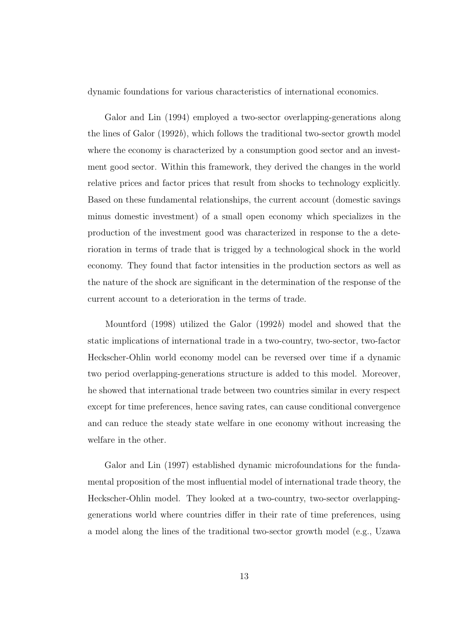dynamic foundations for various characteristics of international economics.

Galor and Lin (1994) employed a two-sector overlapping-generations along the lines of Galor (1992b), which follows the traditional two-sector growth model where the economy is characterized by a consumption good sector and an investment good sector. Within this framework, they derived the changes in the world relative prices and factor prices that result from shocks to technology explicitly. Based on these fundamental relationships, the current account (domestic savings minus domestic investment) of a small open economy which specializes in the production of the investment good was characterized in response to the a deterioration in terms of trade that is trigged by a technological shock in the world economy. They found that factor intensities in the production sectors as well as the nature of the shock are significant in the determination of the response of the current account to a deterioration in the terms of trade.

Mountford (1998) utilized the Galor (1992b) model and showed that the static implications of international trade in a two-country, two-sector, two-factor Heckscher-Ohlin world economy model can be reversed over time if a dynamic two period overlapping-generations structure is added to this model. Moreover, he showed that international trade between two countries similar in every respect except for time preferences, hence saving rates, can cause conditional convergence and can reduce the steady state welfare in one economy without increasing the welfare in the other.

Galor and Lin (1997) established dynamic microfoundations for the fundamental proposition of the most influential model of international trade theory, the Heckscher-Ohlin model. They looked at a two-country, two-sector overlappinggenerations world where countries differ in their rate of time preferences, using a model along the lines of the traditional two-sector growth model (e.g., Uzawa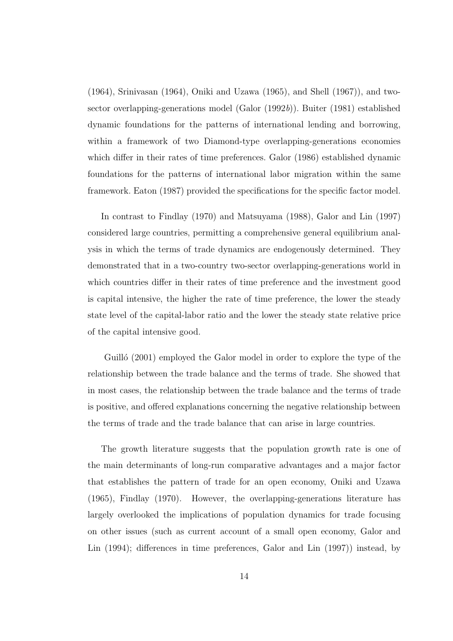(1964), Srinivasan (1964), Oniki and Uzawa (1965), and Shell (1967)), and twosector overlapping-generations model (Galor (1992b)). Buiter (1981) established dynamic foundations for the patterns of international lending and borrowing, within a framework of two Diamond-type overlapping-generations economies which differ in their rates of time preferences. Galor (1986) established dynamic foundations for the patterns of international labor migration within the same framework. Eaton (1987) provided the specifications for the specific factor model.

In contrast to Findlay (1970) and Matsuyama (1988), Galor and Lin (1997) considered large countries, permitting a comprehensive general equilibrium analysis in which the terms of trade dynamics are endogenously determined. They demonstrated that in a two-country two-sector overlapping-generations world in which countries differ in their rates of time preference and the investment good is capital intensive, the higher the rate of time preference, the lower the steady state level of the capital-labor ratio and the lower the steady state relative price of the capital intensive good.

Guillo (2001) employed the Galor model in order to explore the type of the relationship between the trade balance and the terms of trade. She showed that in most cases, the relationship between the trade balance and the terms of trade is positive, and offered explanations concerning the negative relationship between the terms of trade and the trade balance that can arise in large countries.

The growth literature suggests that the population growth rate is one of the main determinants of long-run comparative advantages and a major factor that establishes the pattern of trade for an open economy, Oniki and Uzawa (1965), Findlay (1970). However, the overlapping-generations literature has largely overlooked the implications of population dynamics for trade focusing on other issues (such as current account of a small open economy, Galor and Lin (1994); differences in time preferences, Galor and Lin (1997)) instead, by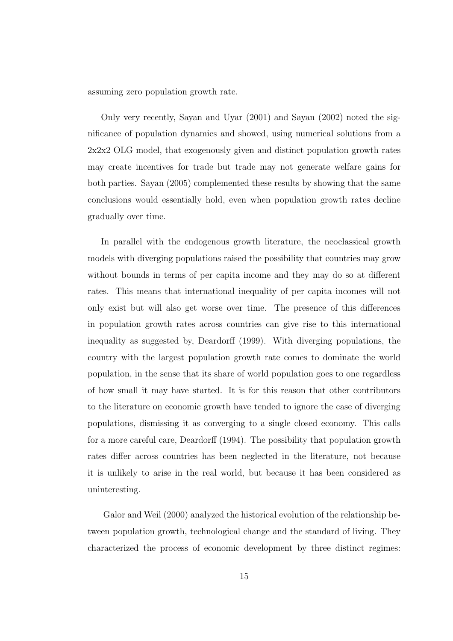assuming zero population growth rate.

Only very recently, Sayan and Uyar (2001) and Sayan (2002) noted the significance of population dynamics and showed, using numerical solutions from a 2x2x2 OLG model, that exogenously given and distinct population growth rates may create incentives for trade but trade may not generate welfare gains for both parties. Sayan (2005) complemented these results by showing that the same conclusions would essentially hold, even when population growth rates decline gradually over time.

In parallel with the endogenous growth literature, the neoclassical growth models with diverging populations raised the possibility that countries may grow without bounds in terms of per capita income and they may do so at different rates. This means that international inequality of per capita incomes will not only exist but will also get worse over time. The presence of this differences in population growth rates across countries can give rise to this international inequality as suggested by, Deardorff (1999). With diverging populations, the country with the largest population growth rate comes to dominate the world population, in the sense that its share of world population goes to one regardless of how small it may have started. It is for this reason that other contributors to the literature on economic growth have tended to ignore the case of diverging populations, dismissing it as converging to a single closed economy. This calls for a more careful care, Deardorff (1994). The possibility that population growth rates differ across countries has been neglected in the literature, not because it is unlikely to arise in the real world, but because it has been considered as uninteresting.

Galor and Weil (2000) analyzed the historical evolution of the relationship between population growth, technological change and the standard of living. They characterized the process of economic development by three distinct regimes: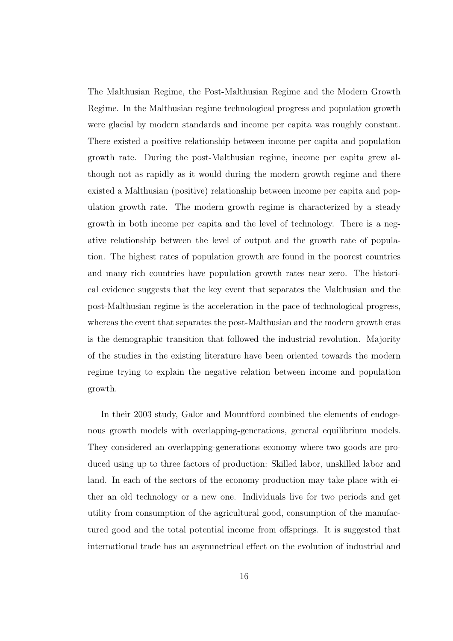The Malthusian Regime, the Post-Malthusian Regime and the Modern Growth Regime. In the Malthusian regime technological progress and population growth were glacial by modern standards and income per capita was roughly constant. There existed a positive relationship between income per capita and population growth rate. During the post-Malthusian regime, income per capita grew although not as rapidly as it would during the modern growth regime and there existed a Malthusian (positive) relationship between income per capita and population growth rate. The modern growth regime is characterized by a steady growth in both income per capita and the level of technology. There is a negative relationship between the level of output and the growth rate of population. The highest rates of population growth are found in the poorest countries and many rich countries have population growth rates near zero. The historical evidence suggests that the key event that separates the Malthusian and the post-Malthusian regime is the acceleration in the pace of technological progress, whereas the event that separates the post-Malthusian and the modern growth eras is the demographic transition that followed the industrial revolution. Majority of the studies in the existing literature have been oriented towards the modern regime trying to explain the negative relation between income and population growth.

In their 2003 study, Galor and Mountford combined the elements of endogenous growth models with overlapping-generations, general equilibrium models. They considered an overlapping-generations economy where two goods are produced using up to three factors of production: Skilled labor, unskilled labor and land. In each of the sectors of the economy production may take place with either an old technology or a new one. Individuals live for two periods and get utility from consumption of the agricultural good, consumption of the manufactured good and the total potential income from offsprings. It is suggested that international trade has an asymmetrical effect on the evolution of industrial and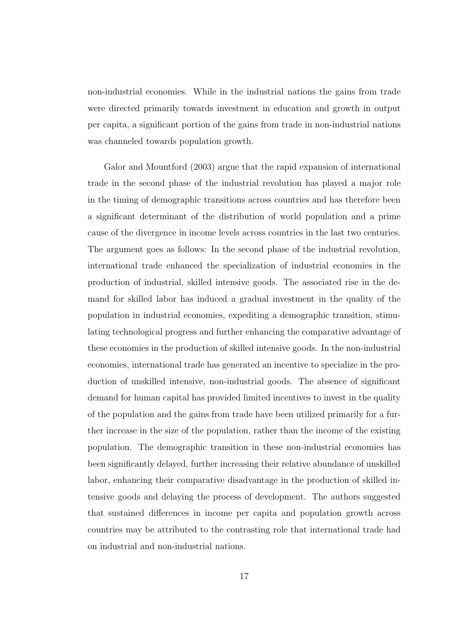non-industrial economies. While in the industrial nations the gains from trade were directed primarily towards investment in education and growth in output per capita, a significant portion of the gains from trade in non-industrial nations was channeled towards population growth.

Galor and Mountford (2003) argue that the rapid expansion of international trade in the second phase of the industrial revolution has played a major role in the timing of demographic transitions across countries and has therefore been a significant determinant of the distribution of world population and a prime cause of the divergence in income levels across countries in the last two centuries. The argument goes as follows: In the second phase of the industrial revolution, international trade enhanced the specialization of industrial economies in the production of industrial, skilled intensive goods. The associated rise in the demand for skilled labor has induced a gradual investment in the quality of the population in industrial economies, expediting a demographic transition, stimulating technological progress and further enhancing the comparative advantage of these economies in the production of skilled intensive goods. In the non-industrial economies, international trade has generated an incentive to specialize in the production of unskilled intensive, non-industrial goods. The absence of significant demand for human capital has provided limited incentives to invest in the quality of the population and the gains from trade have been utilized primarily for a further increase in the size of the population, rather than the income of the existing population. The demographic transition in these non-industrial economies has been significantly delayed, further increasing their relative abundance of unskilled labor, enhancing their comparative disadvantage in the production of skilled intensive goods and delaying the process of development. The authors suggested that sustained differences in income per capita and population growth across countries may be attributed to the contrasting role that international trade had on industrial and non-industrial nations.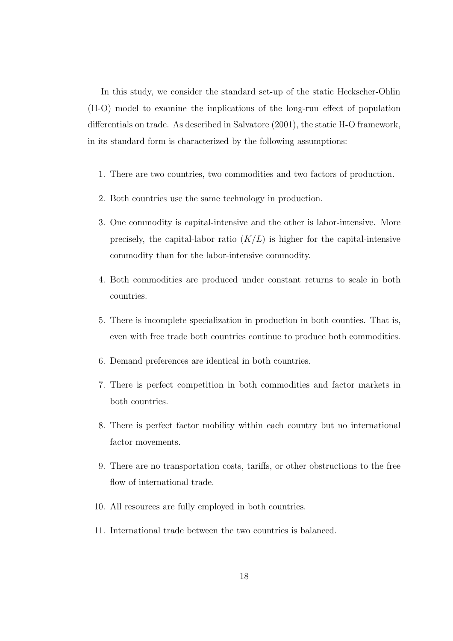In this study, we consider the standard set-up of the static Heckscher-Ohlin (H-O) model to examine the implications of the long-run effect of population differentials on trade. As described in Salvatore (2001), the static H-O framework, in its standard form is characterized by the following assumptions:

- 1. There are two countries, two commodities and two factors of production.
- 2. Both countries use the same technology in production.
- 3. One commodity is capital-intensive and the other is labor-intensive. More precisely, the capital-labor ratio  $(K/L)$  is higher for the capital-intensive commodity than for the labor-intensive commodity.
- 4. Both commodities are produced under constant returns to scale in both countries.
- 5. There is incomplete specialization in production in both counties. That is, even with free trade both countries continue to produce both commodities.
- 6. Demand preferences are identical in both countries.
- 7. There is perfect competition in both commodities and factor markets in both countries.
- 8. There is perfect factor mobility within each country but no international factor movements.
- 9. There are no transportation costs, tariffs, or other obstructions to the free flow of international trade.
- 10. All resources are fully employed in both countries.
- 11. International trade between the two countries is balanced.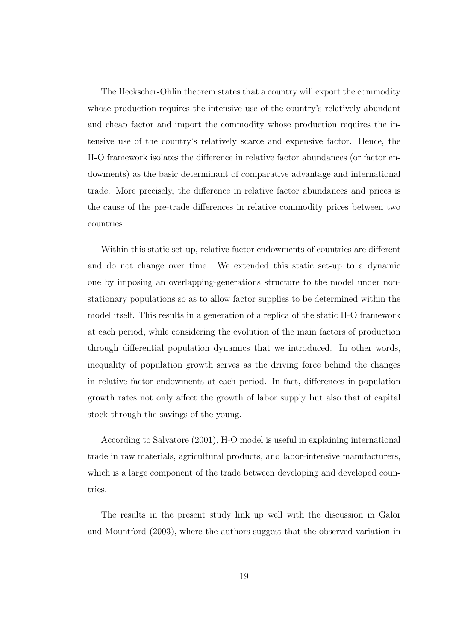The Heckscher-Ohlin theorem states that a country will export the commodity whose production requires the intensive use of the country's relatively abundant and cheap factor and import the commodity whose production requires the intensive use of the country's relatively scarce and expensive factor. Hence, the H-O framework isolates the difference in relative factor abundances (or factor endowments) as the basic determinant of comparative advantage and international trade. More precisely, the difference in relative factor abundances and prices is the cause of the pre-trade differences in relative commodity prices between two countries.

Within this static set-up, relative factor endowments of countries are different and do not change over time. We extended this static set-up to a dynamic one by imposing an overlapping-generations structure to the model under nonstationary populations so as to allow factor supplies to be determined within the model itself. This results in a generation of a replica of the static H-O framework at each period, while considering the evolution of the main factors of production through differential population dynamics that we introduced. In other words, inequality of population growth serves as the driving force behind the changes in relative factor endowments at each period. In fact, differences in population growth rates not only affect the growth of labor supply but also that of capital stock through the savings of the young.

According to Salvatore (2001), H-O model is useful in explaining international trade in raw materials, agricultural products, and labor-intensive manufacturers, which is a large component of the trade between developing and developed countries.

The results in the present study link up well with the discussion in Galor and Mountford (2003), where the authors suggest that the observed variation in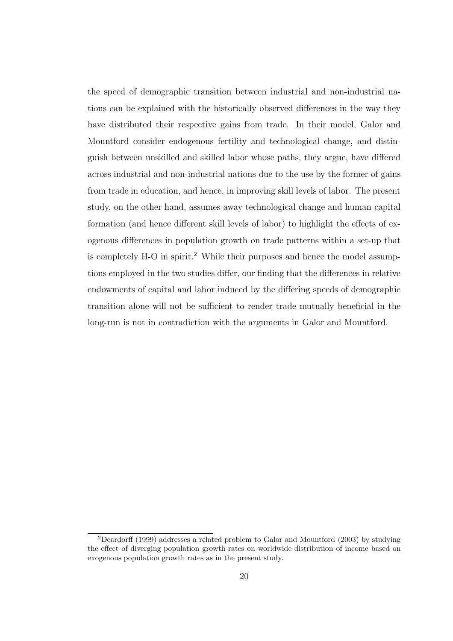the speed of demographic transition between industrial and non-industrial nations can be explained with the historically observed differences in the way they have distributed their respective gains from trade. In their model, Galor and Mountford consider endogenous fertility and technological change, and distinguish between unskilled and skilled labor whose paths, they argue, have differed across industrial and non-industrial nations due to the use by the former of gains from trade in education, and hence, in improving skill levels of labor. The present study, on the other hand, assumes away technological change and human capital formation (and hence different skill levels of labor) to highlight the effects of exogenous differences in population growth on trade patterns within a set-up that is completely H-O in spirit.<sup>2</sup> While their purposes and hence the model assumptions employed in the two studies differ, our finding that the differences in relative endowments of capital and labor induced by the differing speeds of demographic transition alone will not be sufficient to render trade mutually beneficial in the long-run is not in contradiction with the arguments in Galor and Mountford.

<sup>2</sup>Deardorff (1999) addresses a related problem to Galor and Mountford (2003) by studying the effect of diverging population growth rates on worldwide distribution of income based on exogenous population growth rates as in the present study.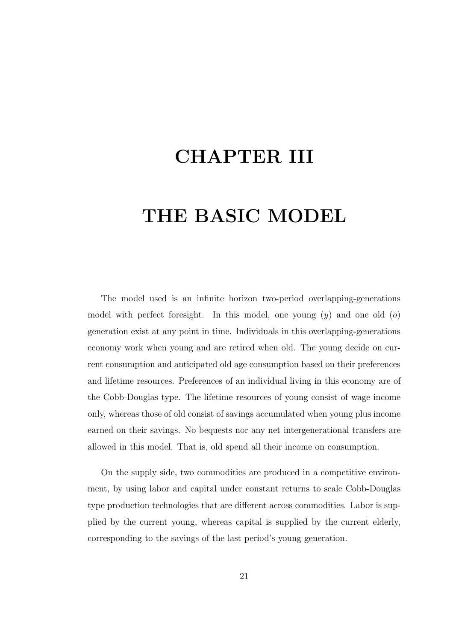# CHAPTER III

# THE BASIC MODEL

The model used is an infinite horizon two-period overlapping-generations model with perfect foresight. In this model, one young  $(y)$  and one old  $(o)$ generation exist at any point in time. Individuals in this overlapping-generations economy work when young and are retired when old. The young decide on current consumption and anticipated old age consumption based on their preferences and lifetime resources. Preferences of an individual living in this economy are of the Cobb-Douglas type. The lifetime resources of young consist of wage income only, whereas those of old consist of savings accumulated when young plus income earned on their savings. No bequests nor any net intergenerational transfers are allowed in this model. That is, old spend all their income on consumption.

On the supply side, two commodities are produced in a competitive environment, by using labor and capital under constant returns to scale Cobb-Douglas type production technologies that are different across commodities. Labor is supplied by the current young, whereas capital is supplied by the current elderly, corresponding to the savings of the last period's young generation.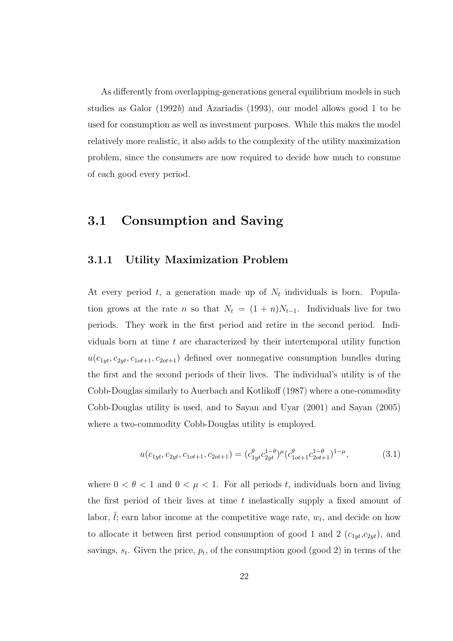As differently from overlapping-generations general equilibrium models in such studies as Galor (1992b) and Azariadis (1993), our model allows good 1 to be used for consumption as well as investment purposes. While this makes the model relatively more realistic, it also adds to the complexity of the utility maximization problem, since the consumers are now required to decide how much to consume of each good every period.

#### 3.1 Consumption and Saving

#### 3.1.1 Utility Maximization Problem

At every period t, a generation made up of  $N_t$  individuals is born. Population grows at the rate n so that  $N_t = (1 + n)N_{t-1}$ . Individuals live for two periods. They work in the first period and retire in the second period. Individuals born at time  $t$  are characterized by their intertemporal utility function  $u(c_{1yt}, c_{2yt}, c_{1ot+1}, c_{2ot+1})$  defined over nonnegative consumption bundles during the first and the second periods of their lives. The individual's utility is of the Cobb-Douglas similarly to Auerbach and Kotlikoff (1987) where a one-commodity Cobb-Douglas utility is used, and to Sayan and Uyar (2001) and Sayan (2005) where a two-commodity Cobb-Douglas utility is employed.

$$
u(c_{1yt}, c_{2yt}, c_{1ot+1}, c_{2ot+1}) = (c_{1yt}^{\theta} c_{2yt}^{1-\theta})^{\mu} (c_{1ot+1}^{\theta} c_{2ot+1}^{1-\theta})^{1-\mu}, \qquad (3.1)
$$

where  $0 < \theta < 1$  and  $0 < \mu < 1$ . For all periods t, individuals born and living the first period of their lives at time  $t$  inelastically supply a fixed amount of labor,  $\overline{l}$ ; earn labor income at the competitive wage rate,  $w_t$ , and decide on how to allocate it between first period consumption of good 1 and 2  $(c_{1yt}, c_{2yt})$ , and savings,  $s_t$ . Given the price,  $p_t$ , of the consumption good (good 2) in terms of the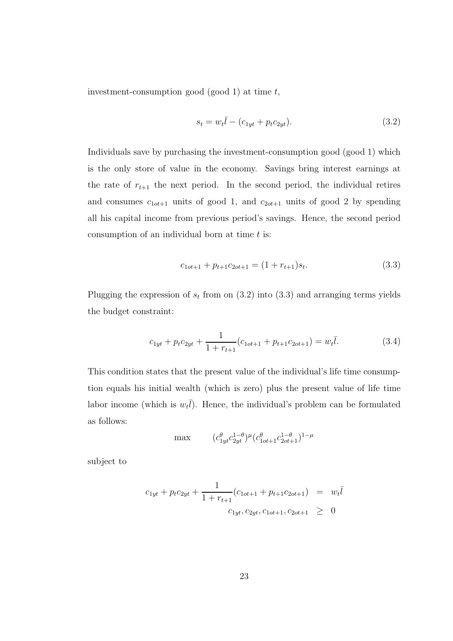investment-consumption good (good 1) at time  $t$ ,

$$
s_t = w_t \bar{l} - (c_{1yt} + p_t c_{2yt}).
$$
\n(3.2)

Individuals save by purchasing the investment-consumption good (good 1) which is the only store of value in the economy. Savings bring interest earnings at the rate of  $r_{t+1}$  the next period. In the second period, the individual retires and consumes  $c_{1ot+1}$  units of good 1, and  $c_{2ot+1}$  units of good 2 by spending all his capital income from previous period's savings. Hence, the second period consumption of an individual born at time  $t$  is:

$$
c_{1ot+1} + p_{t+1}c_{2ot+1} = (1 + r_{t+1})s_t.
$$
\n(3.3)

Plugging the expression of  $s_t$  from on  $(3.2)$  into  $(3.3)$  and arranging terms yields the budget constraint:

$$
c_{1yt} + p_t c_{2yt} + \frac{1}{1 + r_{t+1}} (c_{1ot+1} + p_{t+1} c_{2ot+1}) = w_t \bar{l}.
$$
 (3.4)

This condition states that the present value of the individual's life time consumption equals his initial wealth (which is zero) plus the present value of life time labor income (which is  $w_t\overline{l}$ ). Hence, the individual's problem can be formulated as follows:

$$
\max \qquad (c_{1yt}^{\theta} c_{2yt}^{1-\theta})^{\mu} (c_{1ot+1}^{\theta} c_{2ot+1}^{1-\theta})^{1-\mu}
$$

subject to

$$
c_{1yt} + p_t c_{2yt} + \frac{1}{1 + r_{t+1}} (c_{1ot+1} + p_{t+1} c_{2ot+1}) = w_t \bar{l}
$$
  

$$
c_{1yt}, c_{2yt}, c_{1ot+1}, c_{2ot+1} \geq 0
$$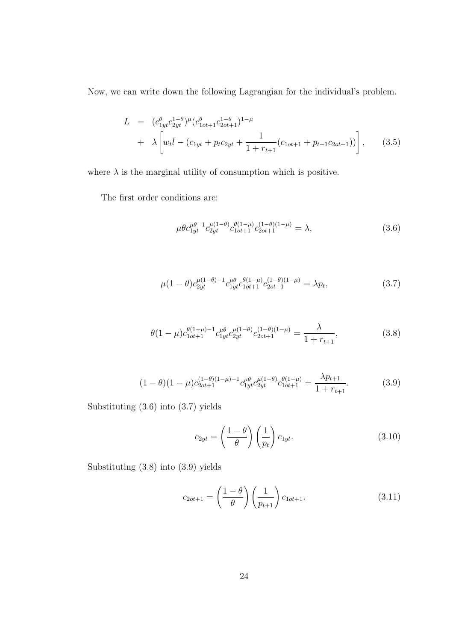Now, we can write down the following Lagrangian for the individual's problem.

$$
L = (c_{1yt}^{\theta} c_{2yt}^{1-\theta})^{\mu} (c_{1ot+1}^{\theta} c_{2ot+1}^{1-\theta})^{1-\mu} + \lambda \left[ w_t \bar{l} - (c_{1yt} + p_t c_{2yt} + \frac{1}{1+r_{t+1}} (c_{1ot+1} + p_{t+1} c_{2ot+1})) \right],
$$
 (3.5)

where  $\lambda$  is the marginal utility of consumption which is positive.

The first order conditions are:

$$
\mu \theta c_{1yt}^{\mu\theta-1} c_{2yt}^{\mu(1-\theta)} c_{1ot+1}^{\theta(1-\mu)} c_{2ot+1}^{(1-\theta)(1-\mu)} = \lambda,
$$
\n(3.6)

$$
\mu(1-\theta)c_{2yt}^{\mu(1-\theta)-1}c_{1yt}^{\mu\theta}c_{1ot+1}^{\theta(1-\mu)}c_{2ot+1}^{(1-\theta)(1-\mu)} = \lambda p_t,
$$
\n(3.7)

$$
\theta(1-\mu)c_{1ot+1}^{\theta(1-\mu)-1}c_{1yt}^{\mu\theta}c_{2yt}^{\mu(1-\theta)}c_{2ot+1}^{(1-\theta)(1-\mu)} = \frac{\lambda}{1+r_{t+1}},
$$
\n(3.8)

$$
(1 - \theta)(1 - \mu)c_{2ot+1}^{(1 - \theta)(1 - \mu) - 1}c_{1yt}^{\mu\theta}c_{2yt}^{\mu(1 - \theta)}c_{1ot+1}^{\theta(1 - \mu)} = \frac{\lambda p_{t+1}}{1 + r_{t+1}}.\tag{3.9}
$$

Substituting (3.6) into (3.7) yields

$$
c_{2yt} = \left(\frac{1-\theta}{\theta}\right) \left(\frac{1}{p_t}\right) c_{1yt}.\tag{3.10}
$$

Substituting (3.8) into (3.9) yields

$$
c_{2ot+1} = \left(\frac{1-\theta}{\theta}\right) \left(\frac{1}{p_{t+1}}\right) c_{1ot+1}.\tag{3.11}
$$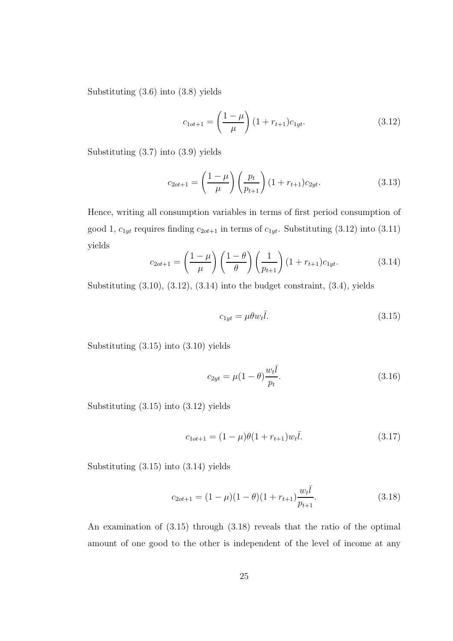Substituting (3.6) into (3.8) yields

$$
c_{1ot+1} = \left(\frac{1-\mu}{\mu}\right)(1+r_{t+1})c_{1yt}.
$$
\n(3.12)

Substituting (3.7) into (3.9) yields

$$
c_{2ot+1} = \left(\frac{1-\mu}{\mu}\right) \left(\frac{p_t}{p_{t+1}}\right) (1 + r_{t+1}) c_{2yt}.
$$
 (3.13)

Hence, writing all consumption variables in terms of first period consumption of good 1,  $c_{1yt}$  requires finding  $c_{2ot+1}$  in terms of  $c_{1yt}$ . Substituting (3.12) into (3.11) yields

$$
c_{2ot+1} = \left(\frac{1-\mu}{\mu}\right) \left(\frac{1-\theta}{\theta}\right) \left(\frac{1}{p_{t+1}}\right) (1 + r_{t+1}) c_{1yt}.
$$
 (3.14)

Substituting  $(3.10)$ ,  $(3.12)$ ,  $(3.14)$  into the budget constraint,  $(3.4)$ , yields

$$
c_{1yt} = \mu \theta w_t \bar{l}.\tag{3.15}
$$

Substituting (3.15) into (3.10) yields

$$
c_{2yt} = \mu(1 - \theta) \frac{w_t \bar{l}}{p_t}.
$$
 (3.16)

Substituting (3.15) into (3.12) yields

$$
c_{1ot+1} = (1 - \mu)\theta(1 + r_{t+1})w_t\bar{l}.
$$
\n(3.17)

Substituting (3.15) into (3.14) yields

$$
c_{2ot+1} = (1 - \mu)(1 - \theta)(1 + r_{t+1})\frac{w_t\bar{l}}{p_{t+1}}.\tag{3.18}
$$

An examination of (3.15) through (3.18) reveals that the ratio of the optimal amount of one good to the other is independent of the level of income at any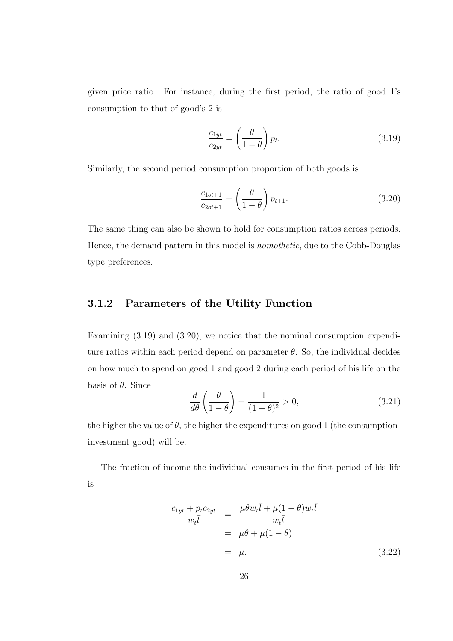given price ratio. For instance, during the first period, the ratio of good 1's consumption to that of good's 2 is

$$
\frac{c_{1yt}}{c_{2yt}} = \left(\frac{\theta}{1-\theta}\right) p_t.
$$
\n(3.19)

Similarly, the second period consumption proportion of both goods is

$$
\frac{c_{1ot+1}}{c_{2ot+1}} = \left(\frac{\theta}{1-\theta}\right) p_{t+1}.
$$
\n(3.20)

The same thing can also be shown to hold for consumption ratios across periods. Hence, the demand pattern in this model is homothetic, due to the Cobb-Douglas type preferences.

#### 3.1.2 Parameters of the Utility Function

Examining  $(3.19)$  and  $(3.20)$ , we notice that the nominal consumption expenditure ratios within each period depend on parameter  $\theta$ . So, the individual decides on how much to spend on good 1 and good 2 during each period of his life on the basis of  $\theta$ . Since

$$
\frac{d}{d\theta} \left( \frac{\theta}{1 - \theta} \right) = \frac{1}{(1 - \theta)^2} > 0,
$$
\n(3.21)

the higher the value of  $\theta$ , the higher the expenditures on good 1 (the consumptioninvestment good) will be.

The fraction of income the individual consumes in the first period of his life is

$$
\frac{c_{1yt} + p_t c_{2yt}}{w_t \overline{l}} = \frac{\mu \theta w_t \overline{l} + \mu (1 - \theta) w_t \overline{l}}{w_t \overline{l}}
$$
  
=  $\mu \theta + \mu (1 - \theta)$   
=  $\mu$ . (3.22)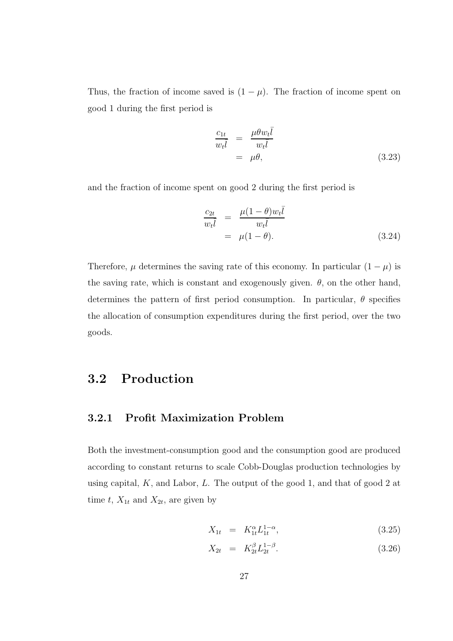Thus, the fraction of income saved is  $(1 - \mu)$ . The fraction of income spent on good 1 during the first period is

$$
\frac{c_{1t}}{w_t \overline{l}} = \frac{\mu \theta w_t \overline{l}}{w_t \overline{l}}
$$
  
=  $\mu \theta,$  (3.23)

and the fraction of income spent on good 2 during the first period is

$$
\frac{c_{2t}}{w_t \bar{l}} = \frac{\mu (1 - \theta) w_t \bar{l}}{w_t \bar{l}}
$$
  
=  $\mu (1 - \theta).$  (3.24)

Therefore,  $\mu$  determines the saving rate of this economy. In particular  $(1 - \mu)$  is the saving rate, which is constant and exogenously given.  $\theta$ , on the other hand, determines the pattern of first period consumption. In particular,  $\theta$  specifies the allocation of consumption expenditures during the first period, over the two goods.

## 3.2 Production

### 3.2.1 Profit Maximization Problem

Both the investment-consumption good and the consumption good are produced according to constant returns to scale Cobb-Douglas production technologies by using capital,  $K$ , and Labor,  $L$ . The output of the good 1, and that of good 2 at time  $t$ ,  $X_{1t}$  and  $X_{2t}$ , are given by

$$
X_{1t} = K_{1t}^{\alpha} L_{1t}^{1-\alpha}, \qquad (3.25)
$$

$$
X_{2t} = K_{2t}^{\beta} L_{2t}^{1-\beta}.
$$
\n(3.26)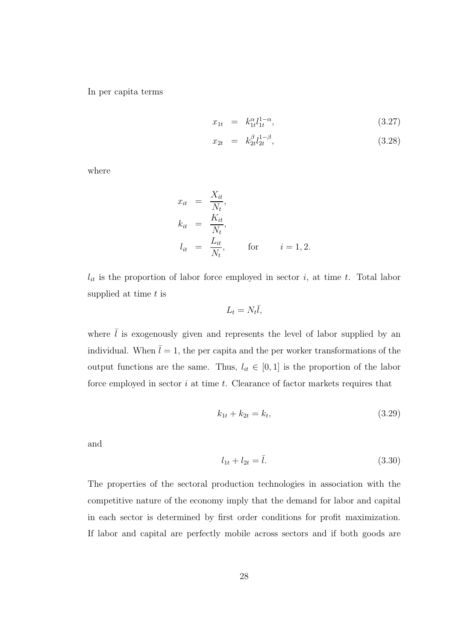In per capita terms

$$
x_{1t} = k_{1t}^{\alpha} l_{1t}^{1-\alpha}, \qquad (3.27)
$$

$$
x_{2t} = k_{2t}^{\beta} l_{2t}^{1-\beta}, \tag{3.28}
$$

where

$$
x_{it} = \frac{X_{it}}{N_t},
$$
  
\n
$$
k_{it} = \frac{K_{it}}{N_t},
$$
  
\n
$$
l_{it} = \frac{L_{it}}{N_t},
$$
 for  $i = 1, 2.$ 

 $l_{it}$  is the proportion of labor force employed in sector i, at time t. Total labor supplied at time  $t$  is

$$
L_t = N_t \bar{l},
$$

where  $\overline{l}$  is exogenously given and represents the level of labor supplied by an individual. When  $\bar{l} = 1$ , the per capita and the per worker transformations of the output functions are the same. Thus,  $l_{it} \in [0,1]$  is the proportion of the labor force employed in sector  $i$  at time  $t$ . Clearance of factor markets requires that

$$
k_{1t} + k_{2t} = k_t, \t\t(3.29)
$$

and

$$
l_{1t} + l_{2t} = \bar{l}.\tag{3.30}
$$

The properties of the sectoral production technologies in association with the competitive nature of the economy imply that the demand for labor and capital in each sector is determined by first order conditions for profit maximization. If labor and capital are perfectly mobile across sectors and if both goods are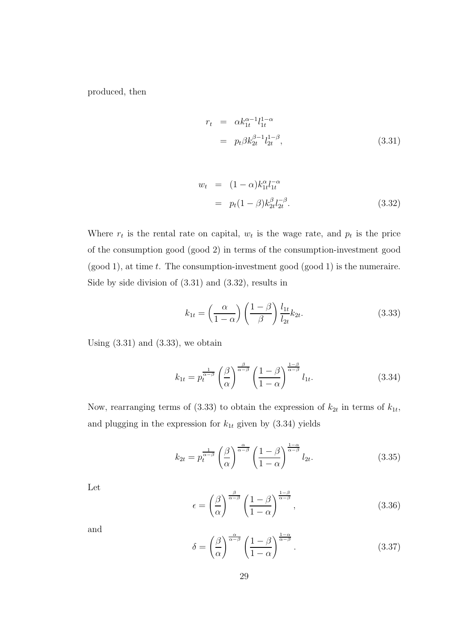produced, then

$$
r_t = \alpha k_{1t}^{\alpha - 1} l_{1t}^{1 - \alpha}
$$
  
=  $p_t \beta k_{2t}^{\beta - 1} l_{2t}^{1 - \beta}$ , (3.31)

$$
w_t = (1 - \alpha)k_{1t}^{\alpha} l_{1t}^{-\alpha}
$$
  
=  $p_t(1 - \beta)k_{2t}^{\beta} l_{2t}^{-\beta}$ . (3.32)

Where  $r_t$  is the rental rate on capital,  $w_t$  is the wage rate, and  $p_t$  is the price of the consumption good (good 2) in terms of the consumption-investment good  $(good 1)$ , at time t. The consumption-investment good  $(good 1)$  is the numeraire. Side by side division of (3.31) and (3.32), results in

$$
k_{1t} = \left(\frac{\alpha}{1-\alpha}\right) \left(\frac{1-\beta}{\beta}\right) \frac{l_{1t}}{l_{2t}} k_{2t}.
$$
 (3.33)

Using  $(3.31)$  and  $(3.33)$ , we obtain

$$
k_{1t} = p_t^{\frac{1}{\alpha - \beta}} \left(\frac{\beta}{\alpha}\right)^{\frac{\beta}{\alpha - \beta}} \left(\frac{1 - \beta}{1 - \alpha}\right)^{\frac{1 - \beta}{\alpha - \beta}} l_{1t}.
$$
 (3.34)

Now, rearranging terms of (3.33) to obtain the expression of  $k_{2t}$  in terms of  $k_{1t}$ , and plugging in the expression for  $k_{1t}$  given by (3.34) yields

$$
k_{2t} = p_t^{\frac{1}{\alpha-\beta}} \left(\frac{\beta}{\alpha}\right)^{\frac{\alpha}{\alpha-\beta}} \left(\frac{1-\beta}{1-\alpha}\right)^{\frac{1-\alpha}{\alpha-\beta}} l_{2t}.
$$
 (3.35)

Let

$$
\epsilon = \left(\frac{\beta}{\alpha}\right)^{\frac{\beta}{\alpha-\beta}} \left(\frac{1-\beta}{1-\alpha}\right)^{\frac{1-\beta}{\alpha-\beta}},\tag{3.36}
$$

and

$$
\delta = \left(\frac{\beta}{\alpha}\right)^{\frac{\alpha}{\alpha-\beta}} \left(\frac{1-\beta}{1-\alpha}\right)^{\frac{1-\alpha}{\alpha-\beta}}.\tag{3.37}
$$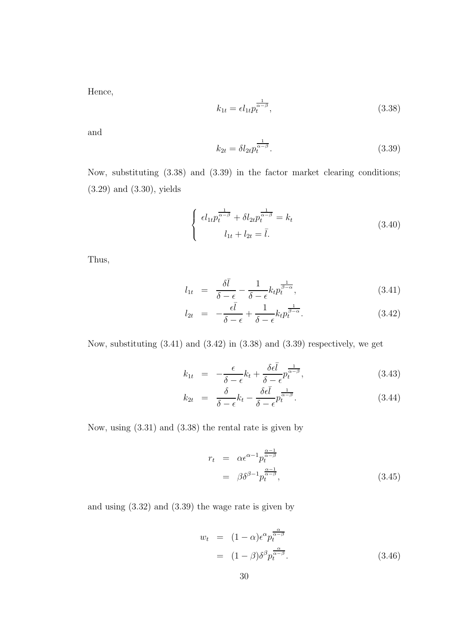Hence,

$$
k_{1t} = \epsilon l_{1t} p_t^{\frac{1}{\alpha - \beta}},\tag{3.38}
$$

and

$$
k_{2t} = \delta l_{2t} p_t^{\frac{1}{\alpha - \beta}}.
$$
\n
$$
(3.39)
$$

Now, substituting (3.38) and (3.39) in the factor market clearing conditions; (3.29) and (3.30), yields

$$
\begin{cases}\n\epsilon l_{1t} p_t^{\frac{1}{\alpha-\beta}} + \delta l_{2t} p_t^{\frac{1}{\alpha-\beta}} = k_t \\
l_{1t} + l_{2t} = \bar{l}.\n\end{cases} \tag{3.40}
$$

Thus,

$$
l_{1t} = \frac{\delta \bar{l}}{\delta - \epsilon} - \frac{1}{\delta - \epsilon} k_t p_t^{\frac{1}{\beta - \alpha}}, \tag{3.41}
$$

$$
l_{2t} = -\frac{\epsilon \bar{l}}{\delta - \epsilon} + \frac{1}{\delta - \epsilon} k_t p_t^{\frac{1}{\beta - \alpha}}.
$$
\n(3.42)

Now, substituting (3.41) and (3.42) in (3.38) and (3.39) respectively, we get

$$
k_{1t} = -\frac{\epsilon}{\delta - \epsilon} k_t + \frac{\delta \epsilon \bar{l}}{\delta - \epsilon} p_t^{\frac{1}{\alpha - \beta}}, \tag{3.43}
$$

$$
k_{2t} = \frac{\delta}{\delta - \epsilon} k_t - \frac{\delta \epsilon l}{\delta - \epsilon} p_t^{\frac{1}{\alpha - \beta}}.
$$
\n(3.44)

Now, using (3.31) and (3.38) the rental rate is given by

$$
r_t = \alpha \epsilon^{\alpha - 1} p_t^{\frac{\alpha - 1}{\alpha - \beta}}
$$
  
=  $\beta \delta^{\beta - 1} p_t^{\frac{\alpha - 1}{\alpha - \beta}},$  (3.45)

and using (3.32) and (3.39) the wage rate is given by

$$
w_t = (1 - \alpha)\epsilon^{\alpha} p_t^{\frac{\alpha}{\alpha - \beta}}
$$
  
= 
$$
(1 - \beta)\delta^{\beta} p_t^{\frac{\alpha}{\alpha - \beta}}.
$$
 (3.46)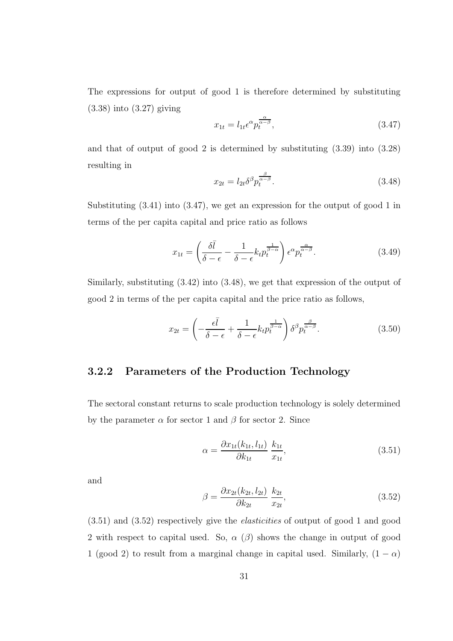The expressions for output of good 1 is therefore determined by substituting (3.38) into (3.27) giving

$$
x_{1t} = l_{1t} \epsilon^{\alpha} p_t^{\frac{\alpha}{\alpha - \beta}}, \tag{3.47}
$$

and that of output of good 2 is determined by substituting (3.39) into (3.28) resulting in

$$
x_{2t} = l_{2t} \delta^{\beta} p_t^{\frac{\beta}{\alpha - \beta}}.
$$
\n(3.48)

Substituting (3.41) into (3.47), we get an expression for the output of good 1 in terms of the per capita capital and price ratio as follows

$$
x_{1t} = \left(\frac{\delta \bar{l}}{\delta - \epsilon} - \frac{1}{\delta - \epsilon} k_t p_t^{\frac{1}{\beta - \alpha}}\right) \epsilon^{\alpha} p_t^{\frac{\alpha}{\alpha - \beta}}.
$$
 (3.49)

Similarly, substituting (3.42) into (3.48), we get that expression of the output of good 2 in terms of the per capita capital and the price ratio as follows,

$$
x_{2t} = \left(-\frac{\epsilon \bar{l}}{\delta - \epsilon} + \frac{1}{\delta - \epsilon} k_t p_t^{\frac{1}{\beta - \alpha}}\right) \delta^{\beta} p_t^{\frac{\beta}{\alpha - \beta}}.
$$
 (3.50)

### 3.2.2 Parameters of the Production Technology

The sectoral constant returns to scale production technology is solely determined by the parameter  $\alpha$  for sector 1 and  $\beta$  for sector 2. Since

$$
\alpha = \frac{\partial x_{1t}(k_{1t}, l_{1t})}{\partial k_{1t}} \frac{k_{1t}}{x_{1t}},\tag{3.51}
$$

and

$$
\beta = \frac{\partial x_{2t}(k_{2t}, l_{2t})}{\partial k_{2t}} \frac{k_{2t}}{x_{2t}},\tag{3.52}
$$

(3.51) and (3.52) respectively give the elasticities of output of good 1 and good 2 with respect to capital used. So,  $\alpha$  ( $\beta$ ) shows the change in output of good 1 (good 2) to result from a marginal change in capital used. Similarly,  $(1 - \alpha)$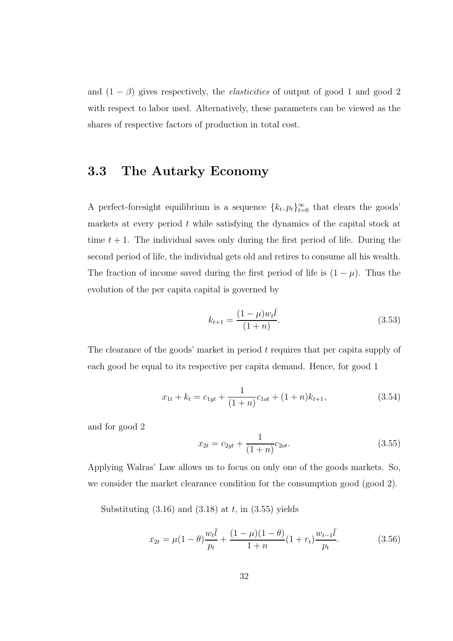and  $(1 - \beta)$  gives respectively, the *elasticities* of output of good 1 and good 2 with respect to labor used. Alternatively, these parameters can be viewed as the shares of respective factors of production in total cost.

## 3.3 The Autarky Economy

A perfect-foresight equilibrium is a sequence  $\{k_t, p_t\}_{t=0}^{\infty}$  that clears the goods' markets at every period  $t$  while satisfying the dynamics of the capital stock at time  $t + 1$ . The individual saves only during the first period of life. During the second period of life, the individual gets old and retires to consume all his wealth. The fraction of income saved during the first period of life is  $(1 - \mu)$ . Thus the evolution of the per capita capital is governed by

$$
k_{t+1} = \frac{(1-\mu)w_t\bar{l}}{(1+n)}.\t(3.53)
$$

The clearance of the goods' market in period t requires that per capita supply of each good be equal to its respective per capita demand. Hence, for good 1

$$
x_{1t} + k_t = c_{1yt} + \frac{1}{(1+n)}c_{1ot} + (1+n)k_{t+1},
$$
\n(3.54)

and for good 2

$$
x_{2t} = c_{2yt} + \frac{1}{(1+n)}c_{2ot}.
$$
\n(3.55)

Applying Walras' Law allows us to focus on only one of the goods markets. So, we consider the market clearance condition for the consumption good (good 2).

Substituting  $(3.16)$  and  $(3.18)$  at t, in  $(3.55)$  yields

$$
x_{2t} = \mu(1-\theta)\frac{w_t\bar{l}}{p_t} + \frac{(1-\mu)(1-\theta)}{1+n}(1+r_t)\frac{w_{t-1}\bar{l}}{p_t}.
$$
 (3.56)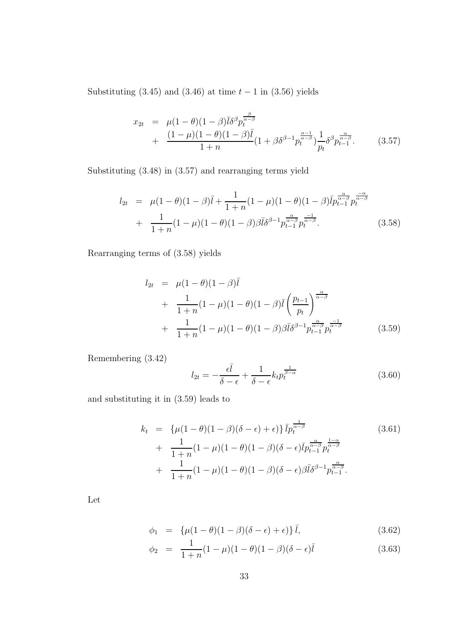Substituting  $(3.45)$  and  $(3.46)$  at time  $t - 1$  in  $(3.56)$  yields

$$
x_{2t} = \mu (1 - \theta)(1 - \beta)\bar{l}\delta^{\beta} p_t^{\frac{\beta}{\alpha - \beta}} + \frac{(1 - \mu)(1 - \beta)\bar{l}}{1 + n} (1 + \beta \delta^{\beta - 1} p_t^{\frac{\alpha - 1}{\alpha - \beta}}) \frac{1}{p_t} \delta^{\beta} p_{t-1}^{\frac{\alpha}{\alpha - \beta}}.
$$
 (3.57)

Substituting (3.48) in (3.57) and rearranging terms yield

$$
l_{2t} = \mu(1-\theta)(1-\beta)\bar{l} + \frac{1}{1+n}(1-\mu)(1-\theta)(1-\beta)\bar{l}p_{t-1}^{\frac{\alpha}{\alpha-\beta}}p_t^{\frac{-\alpha}{\alpha-\beta}} + \frac{1}{1+n}(1-\mu)(1-\theta)(1-\beta)\bar{\beta}\bar{l}\delta^{\beta-1}p_t^{\frac{-\alpha}{\alpha-\beta}}p_t^{\frac{-1}{\alpha-\beta}}.
$$
(3.58)

Rearranging terms of (3.58) yields

$$
l_{2t} = \mu(1-\theta)(1-\beta)\bar{l} + \frac{1}{1+n}(1-\mu)(1-\theta)(1-\beta)\bar{l} \left(\frac{p_{t-1}}{p_t}\right)^{\frac{\alpha}{\alpha-\beta}} + \frac{1}{1+n}(1-\mu)(1-\theta)(1-\beta)\beta\bar{l}\delta^{\beta-1}p_{t-1}^{\frac{\alpha}{\alpha-\beta}}p_t^{\frac{-1}{\alpha-\beta}} \qquad (3.59)
$$

Remembering (3.42)

$$
l_{2t} = -\frac{\epsilon \bar{l}}{\delta - \epsilon} + \frac{1}{\delta - \epsilon} k_t p_t^{\frac{1}{\beta - \alpha}}
$$
(3.60)

and substituting it in (3.59) leads to

$$
k_t = \left\{ \mu(1-\theta)(1-\beta)(\delta-\epsilon) + \epsilon \right\} \bar{l}p_t^{\frac{1}{\alpha-\beta}}
$$
(3.61)  
+ 
$$
\frac{1}{1+n}(1-\mu)(1-\theta)(1-\beta)(\delta-\epsilon)\bar{l}p_{t-1}^{\frac{\alpha}{\alpha-\beta}}p_t^{\frac{1-\alpha}{\alpha-\beta}}
$$
  
+ 
$$
\frac{1}{1+n}(1-\mu)(1-\theta)(1-\beta)(\delta-\epsilon)\beta\bar{l}\delta^{\beta-1}p_{t-1}^{\frac{\alpha}{\alpha-\beta}}.
$$

Let

$$
\phi_1 = \{\mu(1-\theta)(1-\beta)(\delta-\epsilon) + \epsilon\} \bar{l}, \tag{3.62}
$$

$$
\phi_2 = \frac{1}{1+n}(1-\mu)(1-\theta)(1-\beta)(\delta-\epsilon)\bar{l} \tag{3.63}
$$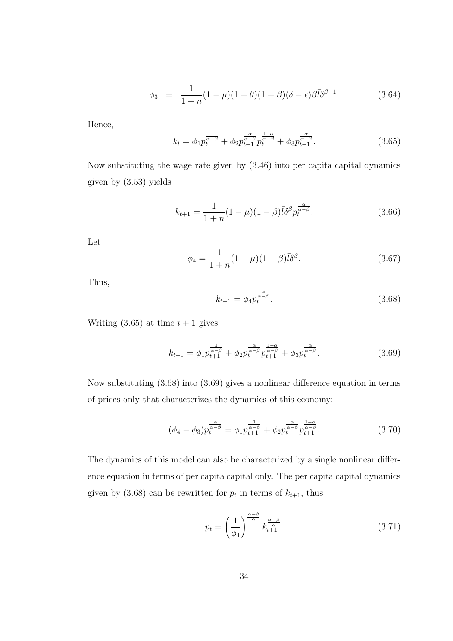$$
\phi_3 = \frac{1}{1+n}(1-\mu)(1-\theta)(1-\beta)(\delta-\epsilon)\beta\bar{l}\delta^{\beta-1}.
$$
 (3.64)

Hence,

$$
k_t = \phi_1 p_t^{\frac{1}{\alpha - \beta}} + \phi_2 p_{t-1}^{\frac{\alpha}{\alpha - \beta}} p_t^{\frac{1 - \alpha}{\alpha - \beta}} + \phi_3 p_{t-1}^{\frac{\alpha}{\alpha - \beta}}.
$$
\n(3.65)

Now substituting the wage rate given by (3.46) into per capita capital dynamics given by (3.53) yields

$$
k_{t+1} = \frac{1}{1+n}(1-\mu)(1-\beta)\bar{l}\delta^{\beta}p_t^{\frac{\alpha}{\alpha-\beta}}.
$$
\n(3.66)

Let

$$
\phi_4 = \frac{1}{1+n}(1-\mu)(1-\beta)\bar{l}\delta^{\beta}.
$$
\n(3.67)

Thus,

$$
k_{t+1} = \phi_4 p_t^{\frac{\alpha}{\alpha - \beta}}.\t(3.68)
$$

Writing  $(3.65)$  at time  $t + 1$  gives

$$
k_{t+1} = \phi_1 p_{t+1}^{\frac{1}{\alpha-\beta}} + \phi_2 p_t^{\frac{\alpha}{\alpha-\beta}} p_{t+1}^{\frac{1-\alpha}{\alpha-\beta}} + \phi_3 p_t^{\frac{\alpha}{\alpha-\beta}}.
$$
 (3.69)

Now substituting (3.68) into (3.69) gives a nonlinear difference equation in terms of prices only that characterizes the dynamics of this economy:

$$
(\phi_4 - \phi_3) p_t^{\frac{\alpha}{\alpha - \beta}} = \phi_1 p_{t+1}^{\frac{1}{\alpha - \beta}} + \phi_2 p_t^{\frac{\alpha}{\alpha - \beta}} p_{t+1}^{\frac{1 - \alpha}{\alpha - \beta}}.
$$
\n(3.70)

The dynamics of this model can also be characterized by a single nonlinear difference equation in terms of per capita capital only. The per capita capital dynamics given by  $(3.68)$  can be rewritten for  $p_t$  in terms of  $k_{t+1}$ , thus

$$
p_t = \left(\frac{1}{\phi_4}\right)^{\frac{\alpha-\beta}{\alpha}} k_{t+1}^{\frac{\alpha-\beta}{\alpha}}.\tag{3.71}
$$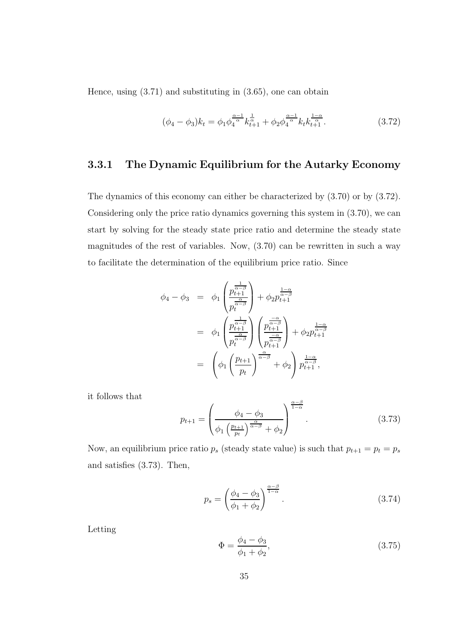Hence, using (3.71) and substituting in (3.65), one can obtain

$$
(\phi_4 - \phi_3)k_t = \phi_1 \phi_4^{\frac{\alpha - 1}{\alpha}} k_{t+1}^{\frac{1}{\alpha}} + \phi_2 \phi_4^{\frac{\alpha - 1}{\alpha}} k_t k_{t+1}^{\frac{1 - \alpha}{\alpha}}.
$$
 (3.72)

### 3.3.1 The Dynamic Equilibrium for the Autarky Economy

The dynamics of this economy can either be characterized by (3.70) or by (3.72). Considering only the price ratio dynamics governing this system in (3.70), we can start by solving for the steady state price ratio and determine the steady state magnitudes of the rest of variables. Now, (3.70) can be rewritten in such a way to facilitate the determination of the equilibrium price ratio. Since

$$
\phi_4 - \phi_3 = \phi_1 \left( \frac{p_{t+1}^{\frac{1}{\alpha-\beta}}}{p_t^{\frac{\alpha}{\alpha-\beta}}} \right) + \phi_2 p_{t+1}^{\frac{1-\alpha}{\alpha-\beta}}
$$
\n
$$
= \phi_1 \left( \frac{p_{t+1}^{\frac{1}{\alpha-\beta}}}{p_t^{\frac{\alpha}{\alpha-\beta}}} \right) \left( \frac{p_{t+1}^{\frac{-\alpha}{\alpha-\beta}}}{p_{t+1}^{\frac{-\alpha}{\alpha-\beta}}} \right) + \phi_2 p_{t+1}^{\frac{1-\alpha}{\alpha-\beta}}
$$
\n
$$
= \left( \phi_1 \left( \frac{p_{t+1}}{p_t} \right)^{\frac{\alpha}{\alpha-\beta}} + \phi_2 \right) p_{t+1}^{\frac{1-\alpha}{\alpha-\beta}},
$$

it follows that

$$
p_{t+1} = \left(\frac{\phi_4 - \phi_3}{\phi_1 \left(\frac{p_{t+1}}{p_t}\right)^{\frac{\alpha}{\alpha-\beta}} + \phi_2}\right)^{\frac{\alpha-\beta}{1-\alpha}}.\tag{3.73}
$$

Now, an equilibrium price ratio  $p_s$  (steady state value) is such that  $p_{t+1} = p_t = p_s$ and satisfies (3.73). Then,

$$
p_s = \left(\frac{\phi_4 - \phi_3}{\phi_1 + \phi_2}\right)^{\frac{\alpha - \beta}{1 - \alpha}}.\tag{3.74}
$$

Letting

$$
\Phi = \frac{\phi_4 - \phi_3}{\phi_1 + \phi_2},\tag{3.75}
$$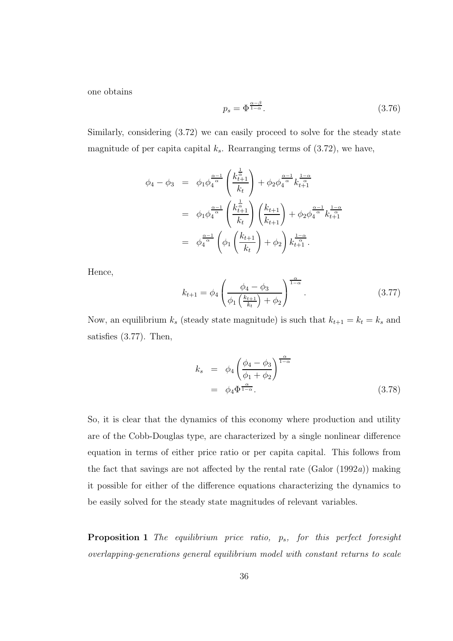one obtains

$$
p_s = \Phi^{\frac{\alpha-\beta}{1-\alpha}}.\tag{3.76}
$$

Similarly, considering (3.72) we can easily proceed to solve for the steady state magnitude of per capita capital  $k_s$ . Rearranging terms of  $(3.72)$ , we have,

$$
\phi_4 - \phi_3 = \phi_1 \phi_4^{\frac{\alpha - 1}{\alpha}} \left( \frac{k_{t+1}^{\frac{1}{\alpha}}}{k_t} \right) + \phi_2 \phi_4^{\frac{\alpha - 1}{\alpha}} k_{t+1}^{\frac{1 - \alpha}{\alpha}}
$$
  
\n
$$
= \phi_1 \phi_4^{\frac{\alpha - 1}{\alpha}} \left( \frac{k_{t+1}^{\frac{1}{\alpha}}}{k_t} \right) \left( \frac{k_{t+1}}{k_{t+1}} \right) + \phi_2 \phi_4^{\frac{\alpha - 1}{\alpha}} k_{t+1}^{\frac{1 - \alpha}{\alpha}}
$$
  
\n
$$
= \phi_4^{\frac{\alpha - 1}{\alpha}} \left( \phi_1 \left( \frac{k_{t+1}}{k_t} \right) + \phi_2 \right) k_{t+1}^{\frac{1 - \alpha}{\alpha}}.
$$

Hence,

$$
k_{t+1} = \phi_4 \left( \frac{\phi_4 - \phi_3}{\phi_1 \left( \frac{k_{t+1}}{k_t} \right) + \phi_2} \right)^{\frac{\alpha}{1-\alpha}}.
$$
 (3.77)

Now, an equilibrium  $k_s$  (steady state magnitude) is such that  $k_{t+1} = k_t = k_s$  and satisfies (3.77). Then,

$$
k_s = \phi_4 \left( \frac{\phi_4 - \phi_3}{\phi_1 + \phi_2} \right)^{\frac{\alpha}{1 - \alpha}}
$$
  
=  $\phi_4 \Phi^{\frac{\alpha}{1 - \alpha}}.$  (3.78)

So, it is clear that the dynamics of this economy where production and utility are of the Cobb-Douglas type, are characterized by a single nonlinear difference equation in terms of either price ratio or per capita capital. This follows from the fact that savings are not affected by the rental rate  $(Ga)$  (1992a)) making it possible for either of the difference equations characterizing the dynamics to be easily solved for the steady state magnitudes of relevant variables.

**Proposition 1** The equilibrium price ratio,  $p_s$ , for this perfect foresight overlapping-generations general equilibrium model with constant returns to scale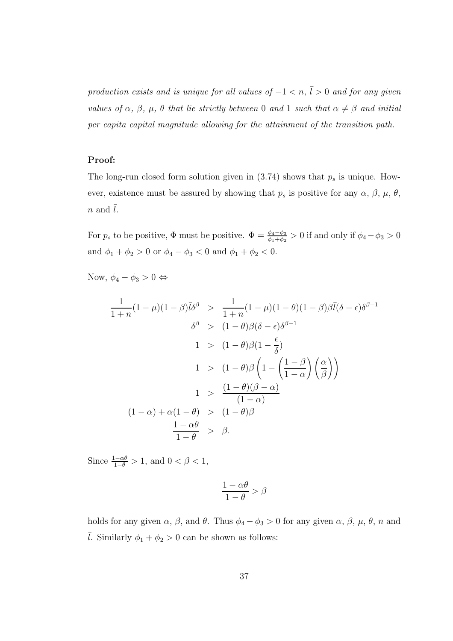production exists and is unique for all values of  $-1 < n$ ,  $\overline{l} > 0$  and for any given values of  $\alpha$ ,  $\beta$ ,  $\mu$ ,  $\theta$  that lie strictly between 0 and 1 such that  $\alpha \neq \beta$  and initial per capita capital magnitude allowing for the attainment of the transition path.

#### Proof:

The long-run closed form solution given in  $(3.74)$  shows that  $p_s$  is unique. However, existence must be assured by showing that  $p_s$  is positive for any  $\alpha$ ,  $\beta$ ,  $\mu$ ,  $\theta$ ,  $n$  and  $\overline{l}$ .

For  $p_s$  to be positive,  $\Phi$  must be positive.  $\Phi = \frac{\phi_4 - \phi_3}{\phi_1 + \phi_2} > 0$  if and only if  $\phi_4 - \phi_3 > 0$ and  $\phi_1 + \phi_2 > 0$  or  $\phi_4 - \phi_3 < 0$  and  $\phi_1 + \phi_2 < 0$ .

Now,  $\phi_4 - \phi_3 > 0 \Leftrightarrow$ 

$$
\frac{1}{1+n}(1-\mu)(1-\beta)\overline{l}\delta^{\beta} > \frac{1}{1+n}(1-\mu)(1-\theta)(1-\beta)\overline{\beta}\overline{l}(\delta-\epsilon)\delta^{\beta-1}
$$

$$
\delta^{\beta} > (1-\theta)\beta(\delta-\epsilon)\delta^{\beta-1}
$$

$$
1 > (1-\theta)\beta(1-\frac{\epsilon}{\delta})
$$

$$
1 > (1-\theta)\beta\left(1-\left(\frac{1-\beta}{1-\alpha}\right)\left(\frac{\alpha}{\beta}\right)\right)
$$

$$
1 > \frac{(1-\theta)(\beta-\alpha)}{(1-\alpha)}
$$

$$
(1-\alpha) + \alpha(1-\theta) > (1-\theta)\beta
$$

$$
\frac{1-\alpha\theta}{1-\theta} > \beta.
$$

Since  $\frac{1-\alpha\theta}{1-\theta} > 1$ , and  $0 < \beta < 1$ ,

$$
\frac{1-\alpha\theta}{1-\theta} > \beta
$$

holds for any given  $\alpha$ ,  $\beta$ , and  $\theta$ . Thus  $\phi_4 - \phi_3 > 0$  for any given  $\alpha$ ,  $\beta$ ,  $\mu$ ,  $\theta$ ,  $n$  and  $\overline{l}$ . Similarly  $\phi_1 + \phi_2 > 0$  can be shown as follows: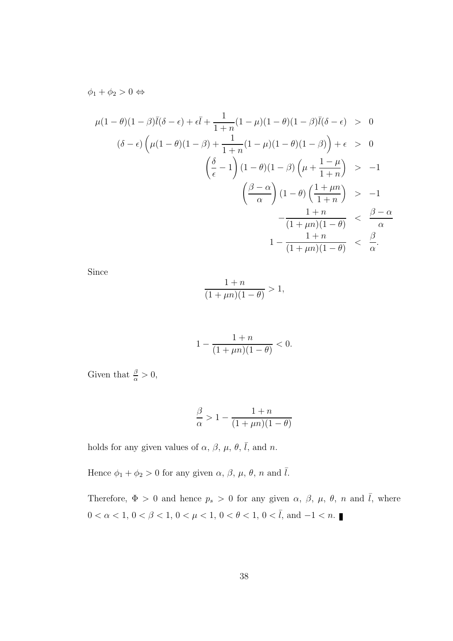$\phi_1 + \phi_2 > 0 \Leftrightarrow$ 

$$
\mu(1-\theta)(1-\beta)\overline{l}(\delta-\epsilon) + \epsilon \overline{l} + \frac{1}{1+n}(1-\mu)(1-\theta)(1-\beta)\overline{l}(\delta-\epsilon) > 0
$$
  

$$
(\delta-\epsilon)\left(\mu(1-\theta)(1-\beta) + \frac{1}{1+n}(1-\mu)(1-\theta)(1-\beta)\right) + \epsilon > 0
$$
  

$$
\left(\frac{\delta}{\epsilon} - 1\right)(1-\theta)(1-\beta)\left(\mu + \frac{1-\mu}{1+n}\right) > -1
$$
  

$$
\left(\frac{\beta-\alpha}{\alpha}\right)(1-\theta)\left(\frac{1+\mu n}{1+n}\right) > -1
$$
  

$$
-\frac{1+n}{(1+\mu n)(1-\theta)} < \frac{\beta-\alpha}{\alpha}
$$
  

$$
1 - \frac{1+n}{(1+\mu n)(1-\theta)} < \frac{\beta}{\alpha}.
$$

Since

$$
\frac{1+n}{(1+\mu n)(1-\theta)} > 1,
$$

$$
1 - \frac{1+n}{(1+\mu n)(1-\theta)} < 0.
$$

Given that  $\frac{\beta}{\alpha} > 0$ ,

$$
\frac{\beta}{\alpha} > 1 - \frac{1+n}{(1+\mu n)(1-\theta)}
$$

holds for any given values of  $\alpha$ ,  $\beta$ ,  $\mu$ ,  $\theta$ ,  $\overline{l}$ , and n.

Hence  $\phi_1 + \phi_2 > 0$  for any given  $\alpha$ ,  $\beta$ ,  $\mu$ ,  $\theta$ ,  $n$  and  $\overline{l}$ .

Therefore,  $\Phi > 0$  and hence  $p_s > 0$  for any given  $\alpha$ ,  $\beta$ ,  $\mu$ ,  $\theta$ ,  $n$  and  $\bar{l}$ , where 0 <  $\alpha$  < 1, 0 <  $\beta$  < 1, 0 <  $\mu$  < 1, 0 <  $\theta$  < 1, 0 <  $\bar{l}$ , and −1 < n.  $\blacksquare$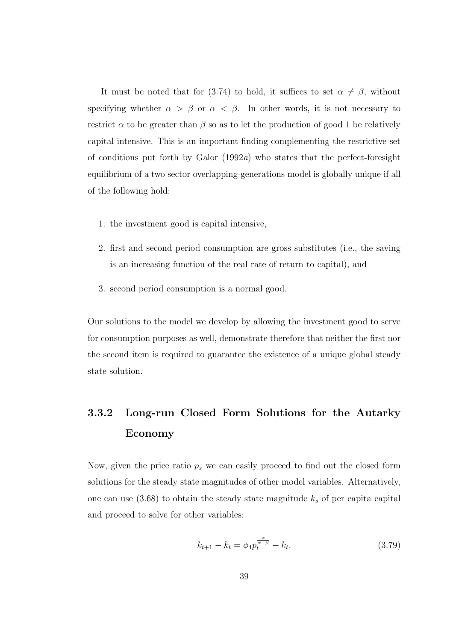It must be noted that for (3.74) to hold, it suffices to set  $\alpha \neq \beta$ , without specifying whether  $\alpha > \beta$  or  $\alpha < \beta$ . In other words, it is not necessary to restrict  $\alpha$  to be greater than  $\beta$  so as to let the production of good 1 be relatively capital intensive. This is an important finding complementing the restrictive set of conditions put forth by Galor  $(1992a)$  who states that the perfect-foresight equilibrium of a two sector overlapping-generations model is globally unique if all of the following hold:

- 1. the investment good is capital intensive,
- 2. first and second period consumption are gross substitutes (i.e., the saving is an increasing function of the real rate of return to capital), and
- 3. second period consumption is a normal good.

Our solutions to the model we develop by allowing the investment good to serve for consumption purposes as well, demonstrate therefore that neither the first nor the second item is required to guarantee the existence of a unique global steady state solution.

## 3.3.2 Long-run Closed Form Solutions for the Autarky Economy

Now, given the price ratio  $p_s$  we can easily proceed to find out the closed form solutions for the steady state magnitudes of other model variables. Alternatively, one can use  $(3.68)$  to obtain the steady state magnitude  $k_s$  of per capital capital and proceed to solve for other variables:

$$
k_{t+1} - k_t = \phi_4 p_t^{\frac{\alpha}{\alpha - \beta}} - k_t.
$$
 (3.79)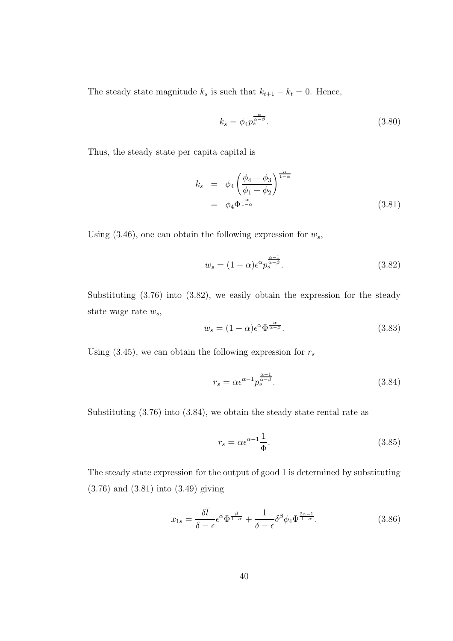The steady state magnitude  $k_s$  is such that  $k_{t+1} - k_t = 0$ . Hence,

$$
k_s = \phi_4 p_s^{\frac{\alpha}{\alpha - \beta}}.\tag{3.80}
$$

Thus, the steady state per capita capital is

$$
k_s = \phi_4 \left( \frac{\phi_4 - \phi_3}{\phi_1 + \phi_2} \right)^{\frac{\alpha}{1 - \alpha}}
$$
  
=  $\phi_4 \Phi^{\frac{\alpha}{1 - \alpha}}$  (3.81)

Using  $(3.46)$ , one can obtain the following expression for  $w_s$ ,

$$
w_s = (1 - \alpha)\epsilon^{\alpha} p_s^{\frac{\alpha - 1}{\alpha - \beta}}.\tag{3.82}
$$

Substituting (3.76) into (3.82), we easily obtain the expression for the steady state wage rate  $w_s$ ,

$$
w_s = (1 - \alpha)\epsilon^{\alpha} \Phi^{\frac{\alpha}{\alpha - \beta}}.\tag{3.83}
$$

Using (3.45), we can obtain the following expression for  $r_s$ 

$$
r_s = \alpha \epsilon^{\alpha - 1} p_s^{\frac{\alpha - 1}{\alpha - \beta}}.
$$
\n(3.84)

Substituting (3.76) into (3.84), we obtain the steady state rental rate as

$$
r_s = \alpha \epsilon^{\alpha - 1} \frac{1}{\Phi}.
$$
\n(3.85)

The steady state expression for the output of good 1 is determined by substituting (3.76) and (3.81) into (3.49) giving

$$
x_{1s} = \frac{\delta \bar{l}}{\delta - \epsilon} \epsilon^{\alpha} \Phi^{\frac{\beta}{1 - \alpha}} + \frac{1}{\delta - \epsilon} \delta^{\beta} \phi_4 \Phi^{\frac{2\alpha - 1}{1 - \alpha}}.
$$
 (3.86)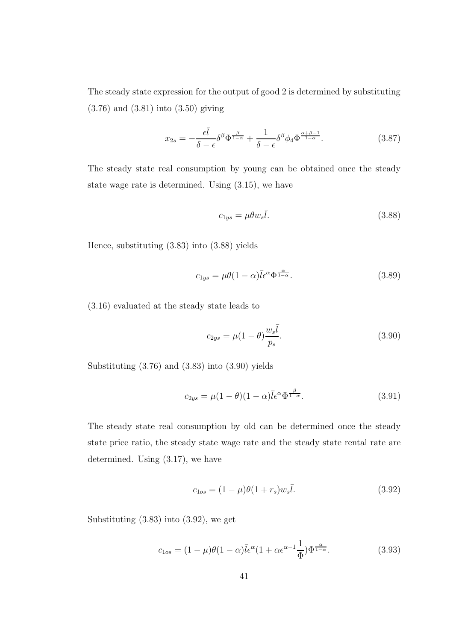The steady state expression for the output of good 2 is determined by substituting (3.76) and (3.81) into (3.50) giving

$$
x_{2s} = -\frac{\epsilon \bar{l}}{\delta - \epsilon} \delta^{\beta} \Phi^{\frac{\beta}{1-\alpha}} + \frac{1}{\delta - \epsilon} \delta^{\beta} \phi_4 \Phi^{\frac{\alpha+\beta-1}{1-\alpha}}.
$$
 (3.87)

The steady state real consumption by young can be obtained once the steady state wage rate is determined. Using (3.15), we have

$$
c_{1ys} = \mu \theta w_s \bar{l}.\tag{3.88}
$$

Hence, substituting (3.83) into (3.88) yields

$$
c_{1ys} = \mu\theta(1-\alpha)\bar{l}\epsilon^{\alpha}\Phi^{\frac{\alpha}{1-\alpha}}.\tag{3.89}
$$

(3.16) evaluated at the steady state leads to

$$
c_{2ys} = \mu(1 - \theta) \frac{w_s \bar{l}}{p_s}.
$$
\n(3.90)

Substituting (3.76) and (3.83) into (3.90) yields

$$
c_{2ys} = \mu(1 - \theta)(1 - \alpha)\bar{l}\epsilon^{\alpha}\Phi^{\frac{\beta}{1 - \alpha}}.
$$
\n(3.91)

The steady state real consumption by old can be determined once the steady state price ratio, the steady state wage rate and the steady state rental rate are determined. Using (3.17), we have

$$
c_{1os} = (1 - \mu)\theta(1 + r_s)w_s\bar{l}.
$$
\n(3.92)

Substituting (3.83) into (3.92), we get

$$
c_{1os} = (1 - \mu)\theta(1 - \alpha)\bar{l}\epsilon^{\alpha}(1 + \alpha\epsilon^{\alpha - 1}\frac{1}{\Phi})\Phi^{\frac{\alpha}{1 - \alpha}}.
$$
 (3.93)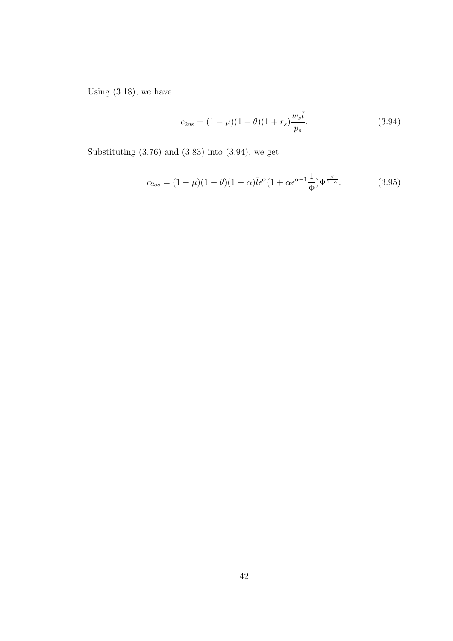Using (3.18), we have

$$
c_{2os} = (1 - \mu)(1 - \theta)(1 + r_s) \frac{w_s \bar{l}}{p_s}.
$$
\n(3.94)

Substituting (3.76) and (3.83) into (3.94), we get

$$
c_{2os} = (1 - \mu)(1 - \theta)(1 - \alpha)\bar{l}\epsilon^{\alpha}(1 + \alpha \epsilon^{\alpha - 1}\frac{1}{\Phi})\Phi^{\frac{\beta}{1 - \alpha}}.
$$
 (3.95)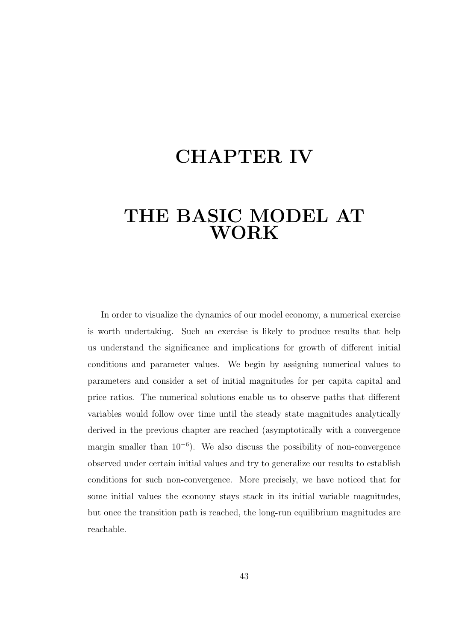# CHAPTER IV

# THE BASIC MODEL AT WORK

In order to visualize the dynamics of our model economy, a numerical exercise is worth undertaking. Such an exercise is likely to produce results that help us understand the significance and implications for growth of different initial conditions and parameter values. We begin by assigning numerical values to parameters and consider a set of initial magnitudes for per capita capital and price ratios. The numerical solutions enable us to observe paths that different variables would follow over time until the steady state magnitudes analytically derived in the previous chapter are reached (asymptotically with a convergence margin smaller than  $10^{-6}$ ). We also discuss the possibility of non-convergence observed under certain initial values and try to generalize our results to establish conditions for such non-convergence. More precisely, we have noticed that for some initial values the economy stays stack in its initial variable magnitudes, but once the transition path is reached, the long-run equilibrium magnitudes are reachable.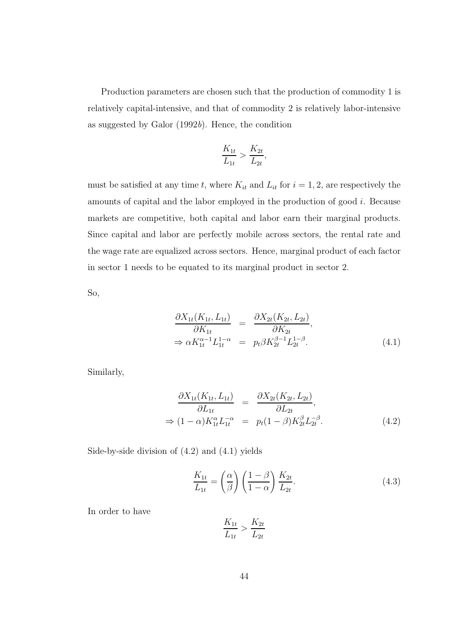Production parameters are chosen such that the production of commodity 1 is relatively capital-intensive, and that of commodity 2 is relatively labor-intensive as suggested by Galor (1992b). Hence, the condition

$$
\frac{K_{1t}}{L_{1t}} > \frac{K_{2t}}{L_{2t}},
$$

must be satisfied at any time t, where  $K_{it}$  and  $L_{it}$  for  $i = 1, 2$ , are respectively the amounts of capital and the labor employed in the production of good i. Because markets are competitive, both capital and labor earn their marginal products. Since capital and labor are perfectly mobile across sectors, the rental rate and the wage rate are equalized across sectors. Hence, marginal product of each factor in sector 1 needs to be equated to its marginal product in sector 2.

So,

$$
\frac{\partial X_{1t}(K_{1t}, L_{1t})}{\partial K_{1t}} = \frac{\partial X_{2t}(K_{2t}, L_{2t})}{\partial K_{2t}},
$$
  
\n
$$
\Rightarrow \alpha K_{1t}^{\alpha - 1} L_{1t}^{1 - \alpha} = p_t \beta K_{2t}^{\beta - 1} L_{2t}^{1 - \beta}.
$$
\n(4.1)

Similarly,

$$
\frac{\partial X_{1t}(K_{1t}, L_{1t})}{\partial L_{1t}} = \frac{\partial X_{2t}(K_{2t}, L_{2t})}{\partial L_{2t}}, \n\Rightarrow (1 - \alpha)K_{1t}^{\alpha}L_{1t}^{-\alpha} = p_t(1 - \beta)K_{2t}^{\beta}L_{2t}^{-\beta}.
$$
\n(4.2)

Side-by-side division of (4.2) and (4.1) yields

$$
\frac{K_{1t}}{L_{1t}} = \left(\frac{\alpha}{\beta}\right) \left(\frac{1-\beta}{1-\alpha}\right) \frac{K_{2t}}{L_{2t}}.
$$
\n(4.3)

In order to have

$$
\frac{K_{1t}}{L_{1t}} > \frac{K_{2t}}{L_{2t}}
$$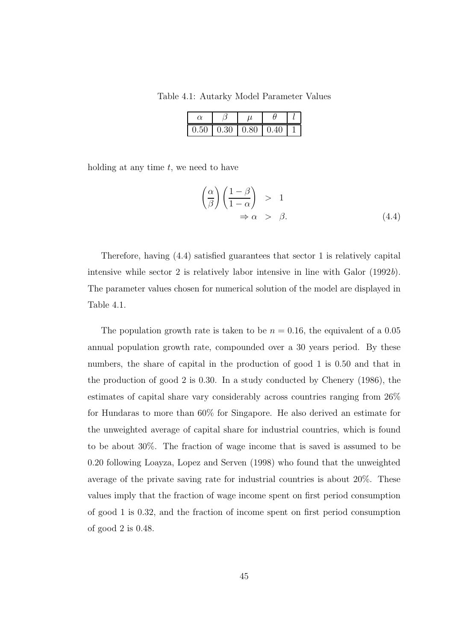Table 4.1: Autarky Model Parameter Values

| $0.50^{\circ}$ | $-0.30$ | $\mid$ 0.80 | 11. ZH |  |
|----------------|---------|-------------|--------|--|

holding at any time  $t$ , we need to have

$$
\left(\frac{\alpha}{\beta}\right)\left(\frac{1-\beta}{1-\alpha}\right) > 1
$$
  
\n
$$
\Rightarrow \alpha > \beta.
$$
 (4.4)

Therefore, having (4.4) satisfied guarantees that sector 1 is relatively capital intensive while sector 2 is relatively labor intensive in line with Galor (1992b). The parameter values chosen for numerical solution of the model are displayed in Table 4.1.

The population growth rate is taken to be  $n = 0.16$ , the equivalent of a 0.05 annual population growth rate, compounded over a 30 years period. By these numbers, the share of capital in the production of good 1 is 0.50 and that in the production of good 2 is 0.30. In a study conducted by Chenery (1986), the estimates of capital share vary considerably across countries ranging from 26% for Hundaras to more than 60% for Singapore. He also derived an estimate for the unweighted average of capital share for industrial countries, which is found to be about 30%. The fraction of wage income that is saved is assumed to be 0.20 following Loayza, Lopez and Serven (1998) who found that the unweighted average of the private saving rate for industrial countries is about 20%. These values imply that the fraction of wage income spent on first period consumption of good 1 is 0.32, and the fraction of income spent on first period consumption of good 2 is 0.48.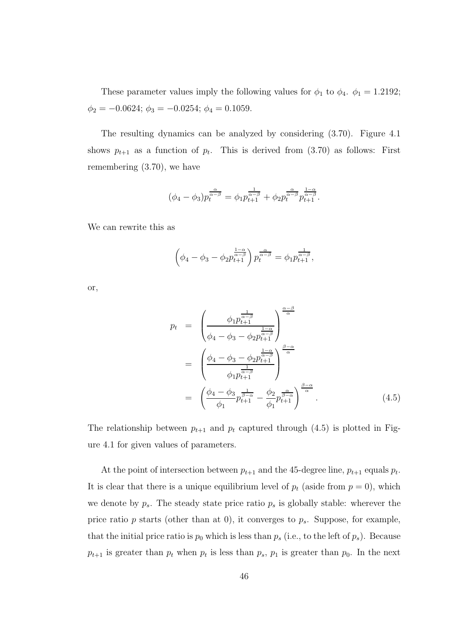These parameter values imply the following values for  $\phi_1$  to  $\phi_4$ .  $\phi_1 = 1.2192$ ;  $\phi_2 = -0.0624; \, \phi_3 = -0.0254; \, \phi_4 = 0.1059.$ 

The resulting dynamics can be analyzed by considering (3.70). Figure 4.1 shows  $p_{t+1}$  as a function of  $p_t$ . This is derived from  $(3.70)$  as follows: First remembering (3.70), we have

$$
(\phi_4 - \phi_3) p_t^{\frac{\alpha}{\alpha - \beta}} = \phi_1 p_{t+1}^{\frac{1}{\alpha - \beta}} + \phi_2 p_t^{\frac{\alpha}{\alpha - \beta}} p_{t+1}^{\frac{1 - \alpha}{\alpha - \beta}}.
$$

We can rewrite this as

$$
\left(\phi_4 - \phi_3 - \phi_2 p_{t+1}^{\frac{1-\alpha}{\alpha-\beta}}\right) p_t^{\frac{\alpha}{\alpha-\beta}} = \phi_1 p_{t+1}^{\frac{1}{\alpha-\beta}},
$$

or,

$$
p_{t} = \left(\frac{\phi_{1}p_{t+1}^{\frac{1}{\alpha-\beta}}}{\phi_{4}-\phi_{3}-\phi_{2}p_{t+1}^{\frac{1-\alpha}{\alpha-\beta}}}\right)_{\alpha}^{\frac{\alpha-\beta}{\alpha}}
$$

$$
= \left(\frac{\phi_{4}-\phi_{3}-\phi_{2}p_{t+1}^{\frac{1-\alpha}{\alpha-\beta}}}{\phi_{1}p_{t+1}^{\frac{1}{\alpha-\beta}}}\right)_{\alpha}^{\frac{\beta-\alpha}{\alpha}}
$$

$$
= \left(\frac{\phi_{4}-\phi_{3}}{\phi_{1}}p_{t+1}^{\frac{1}{\alpha-\alpha}}-\frac{\phi_{2}}{\phi_{1}}p_{t+1}^{\frac{\alpha}{\alpha-\alpha}}\right)_{\alpha}^{\frac{\beta-\alpha}{\alpha}}.
$$
(4.5)

The relationship between  $p_{t+1}$  and  $p_t$  captured through (4.5) is plotted in Figure 4.1 for given values of parameters.

At the point of intersection between  $p_{t+1}$  and the 45-degree line,  $p_{t+1}$  equals  $p_t$ . It is clear that there is a unique equilibrium level of  $p_t$  (aside from  $p = 0$ ), which we denote by  $p_s$ . The steady state price ratio  $p_s$  is globally stable: wherever the price ratio p starts (other than at 0), it converges to  $p_s$ . Suppose, for example, that the initial price ratio is  $p_0$  which is less than  $p_s$  (i.e., to the left of  $p_s$ ). Because  $p_{t+1}$  is greater than  $p_t$  when  $p_t$  is less than  $p_s$ ,  $p_1$  is greater than  $p_0$ . In the next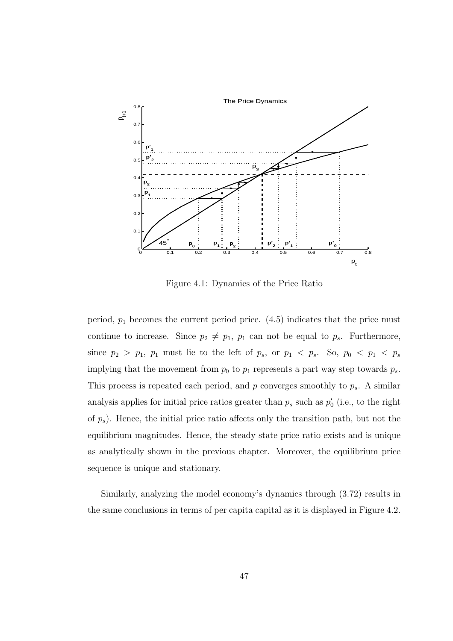

Figure 4.1: Dynamics of the Price Ratio

period,  $p_1$  becomes the current period price.  $(4.5)$  indicates that the price must continue to increase. Since  $p_2 \neq p_1$ ,  $p_1$  can not be equal to  $p_s$ . Furthermore, since  $p_2 > p_1$ ,  $p_1$  must lie to the left of  $p_s$ , or  $p_1 < p_s$ . So,  $p_0 < p_1 < p_s$ implying that the movement from  $p_0$  to  $p_1$  represents a part way step towards  $p_s$ . This process is repeated each period, and  $p$  converges smoothly to  $p_s$ . A similar analysis applies for initial price ratios greater than  $p_s$  such as  $p'_s$  $'_0$  (i.e., to the right of  $p_s$ ). Hence, the initial price ratio affects only the transition path, but not the equilibrium magnitudes. Hence, the steady state price ratio exists and is unique as analytically shown in the previous chapter. Moreover, the equilibrium price sequence is unique and stationary.

Similarly, analyzing the model economy's dynamics through (3.72) results in the same conclusions in terms of per capita capital as it is displayed in Figure 4.2.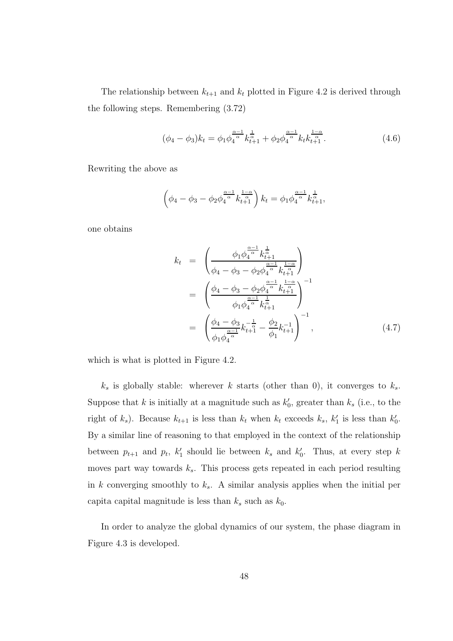The relationship between  $k_{t+1}$  and  $k_t$  plotted in Figure 4.2 is derived through the following steps. Remembering (3.72)

$$
(\phi_4 - \phi_3)k_t = \phi_1 \phi_4^{\frac{\alpha - 1}{\alpha}} k_{t+1}^{\frac{1}{\alpha}} + \phi_2 \phi_4^{\frac{\alpha - 1}{\alpha}} k_t k_{t+1}^{\frac{1 - \alpha}{\alpha}}.
$$
\n(4.6)

Rewriting the above as

$$
\left(\phi_4 - \phi_3 - \phi_2 \phi_4^{\frac{\alpha - 1}{\alpha}} k_{t+1}^{\frac{1 - \alpha}{\alpha}}\right) k_t = \phi_1 \phi_4^{\frac{\alpha - 1}{\alpha}} k_{t+1}^{\frac{1}{\alpha}},
$$

one obtains

$$
k_{t} = \left(\frac{\phi_{1}\phi_{4}^{\frac{\alpha-1}{\alpha}}k_{t+1}^{\frac{1}{\alpha}}}{\phi_{4} - \phi_{3} - \phi_{2}\phi_{4}^{\frac{\alpha-1}{\alpha}}k_{t+1}^{\frac{1-\alpha}{\alpha}}}\right)
$$
  
\n
$$
= \left(\frac{\phi_{4} - \phi_{3} - \phi_{2}\phi_{4}^{\frac{\alpha-1}{\alpha}}k_{t+1}^{\frac{1-\alpha}{\alpha}}}{\phi_{1}\phi_{4}^{\frac{\alpha-1}{\alpha}}k_{t+1}^{\frac{1}{\alpha}}}\right)^{-1}
$$
  
\n
$$
= \left(\frac{\phi_{4} - \phi_{3}}{\phi_{1}\phi_{4}^{\frac{\alpha-1}{\alpha}}k_{t+1}^{\frac{1}{\alpha}} - \frac{\phi_{2}}{\phi_{1}}k_{t+1}^{-1}}\right)^{-1}, \qquad (4.7)
$$

which is what is plotted in Figure 4.2.

 $k<sub>s</sub>$  is globally stable: wherever k starts (other than 0), it converges to  $k<sub>s</sub>$ . Suppose that k is initially at a magnitude such as  $k_0$ <sup>'</sup>  $v_0$ , greater than  $k_s$  (i.e., to the right of  $k_s$ ). Because  $k_{t+1}$  is less than  $k_t$  when  $k_t$  exceeds  $k_s$ ,  $k'_1$  $'_{1}$  is less than  $k'_{0}$  $\frac{\prime}{0}$ . By a similar line of reasoning to that employed in the context of the relationship between  $p_{t+1}$  and  $p_t$ ,  $k'_1$ <sup>'</sup><sub>1</sub> should lie between  $k_s$  and  $k'_0$  $\int_0$ . Thus, at every step k moves part way towards  $k_s$ . This process gets repeated in each period resulting in k converging smoothly to  $k_s$ . A similar analysis applies when the initial per capita capital magnitude is less than  $k_s$  such as  $k_0$ .

In order to analyze the global dynamics of our system, the phase diagram in Figure 4.3 is developed.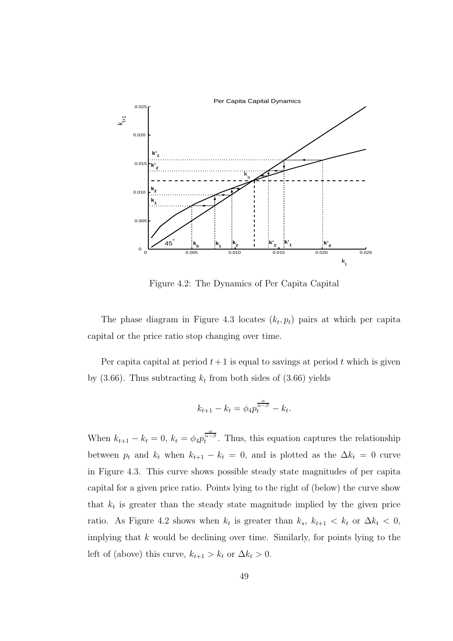

Figure 4.2: The Dynamics of Per Capita Capital

The phase diagram in Figure 4.3 locates  $(k_t, p_t)$  pairs at which per capita capital or the price ratio stop changing over time.

Per capital at period  $t+1$  is equal to savings at period t which is given by  $(3.66)$ . Thus subtracting  $k_t$  from both sides of  $(3.66)$  yields

$$
k_{t+1} - k_t = \phi_4 p_t^{\frac{\alpha}{\alpha - \beta}} - k_t.
$$

When  $k_{t+1} - k_t = 0$ ,  $k_t = \phi_4 p_t^{\frac{\alpha}{\alpha - \beta}}$ . Thus, this equation captures the relationship between  $p_t$  and  $k_t$  when  $k_{t+1} - k_t = 0$ , and is plotted as the  $\Delta k_t = 0$  curve in Figure 4.3. This curve shows possible steady state magnitudes of per capita capital for a given price ratio. Points lying to the right of (below) the curve show that  $k_t$  is greater than the steady state magnitude implied by the given price ratio. As Figure 4.2 shows when  $k_t$  is greater than  $k_s$ ,  $k_{t+1} < k_t$  or  $\Delta k_t < 0$ , implying that  $k$  would be declining over time. Similarly, for points lying to the left of (above) this curve,  $k_{t+1} > k_t$  or  $\Delta k_t > 0$ .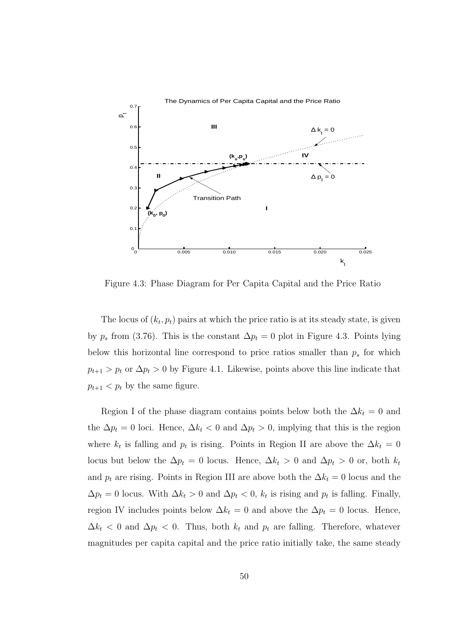

Figure 4.3: Phase Diagram for Per Capita Capital and the Price Ratio

The locus of  $(k_t, p_t)$  pairs at which the price ratio is at its steady state, is given by  $p_s$  from (3.76). This is the constant  $\Delta p_t = 0$  plot in Figure 4.3. Points lying below this horizontal line correspond to price ratios smaller than  $p_s$  for which  $p_{t+1} > p_t$  or  $\Delta p_t > 0$  by Figure 4.1. Likewise, points above this line indicate that  $p_{t+1} < p_t$  by the same figure.

Region I of the phase diagram contains points below both the  $\Delta k_t = 0$  and the  $\Delta p_t = 0$  loci. Hence,  $\Delta k_t < 0$  and  $\Delta p_t > 0$ , implying that this is the region where  $k_t$  is falling and  $p_t$  is rising. Points in Region II are above the  $\Delta k_t = 0$ locus but below the  $\Delta p_t = 0$  locus. Hence,  $\Delta k_t > 0$  and  $\Delta p_t > 0$  or, both  $k_t$ and  $p_t$  are rising. Points in Region III are above both the  $\Delta k_t = 0$  locus and the  $\Delta p_t = 0$  locus. With  $\Delta k_t > 0$  and  $\Delta p_t < 0$ ,  $k_t$  is rising and  $p_t$  is falling. Finally, region IV includes points below  $\Delta k_t = 0$  and above the  $\Delta p_t = 0$  locus. Hence,  $\Delta k_t$  < 0 and  $\Delta p_t$  < 0. Thus, both  $k_t$  and  $p_t$  are falling. Therefore, whatever magnitudes per capita capital and the price ratio initially take, the same steady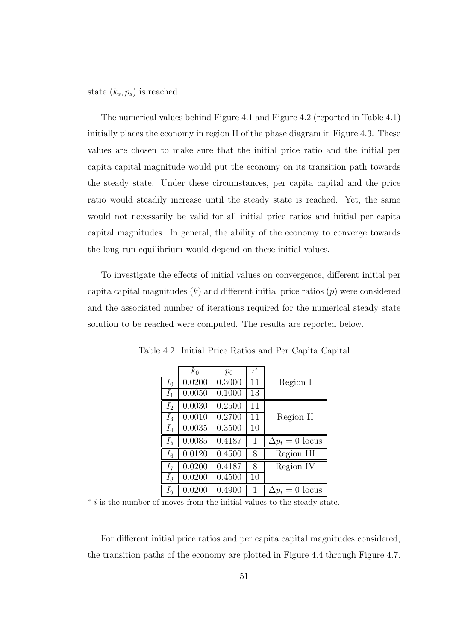state  $(k_s, p_s)$  is reached.

The numerical values behind Figure 4.1 and Figure 4.2 (reported in Table 4.1) initially places the economy in region II of the phase diagram in Figure 4.3. These values are chosen to make sure that the initial price ratio and the initial per capita capital magnitude would put the economy on its transition path towards the steady state. Under these circumstances, per capita capital and the price ratio would steadily increase until the steady state is reached. Yet, the same would not necessarily be valid for all initial price ratios and initial per capita capital magnitudes. In general, the ability of the economy to converge towards the long-run equilibrium would depend on these initial values.

To investigate the effects of initial values on convergence, different initial per capital magnitudes  $(k)$  and different initial price ratios  $(p)$  were considered and the associated number of iterations required for the numerical steady state solution to be reached were computed. The results are reported below.

|         | $k_0$  | $p_0$  | $i^*$ |                        |
|---------|--------|--------|-------|------------------------|
| $I_0$   | 0.0200 | 0.3000 | 11    | Region I               |
| $I_1$   | 0.0050 | 0.1000 | 13    |                        |
| $I_2$   | 0.0030 | 0.2500 | 11    |                        |
| $I_3$   | 0.0010 | 0.2700 | 11    | Region II              |
| $I_4$   | 0.0035 | 0.3500 | 10    |                        |
| $I_{5}$ | 0.0085 | 0.4187 | 1     | $\Delta p_t = 0$ locus |
| $I_6$   | 0.0120 | 0.4500 | 8     | Region III             |
| $I_7$   | 0.0200 | 0.4187 | 8     | Region IV              |
| $I_{8}$ | 0.0200 | 0.4500 | 10    |                        |
| $I_9$   | 0.0200 | 0.4900 | 1     | $\Delta p_t = 0$ locus |

Table 4.2: Initial Price Ratios and Per Capita Capital

\* *i* is the number of moves from the initial values to the steady state.

For different initial price ratios and per capita capital magnitudes considered, the transition paths of the economy are plotted in Figure 4.4 through Figure 4.7.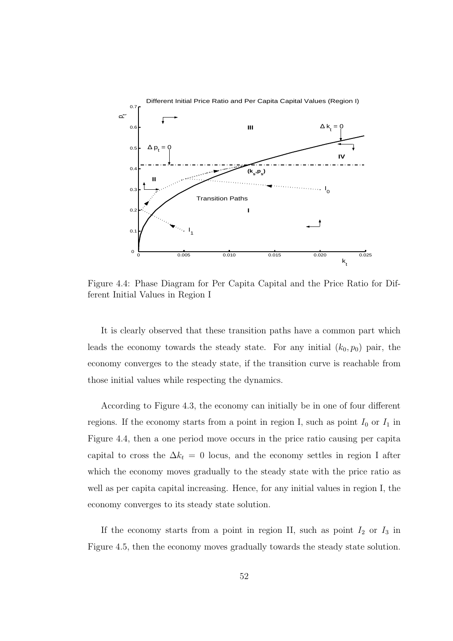

Figure 4.4: Phase Diagram for Per Capita Capital and the Price Ratio for Different Initial Values in Region I

It is clearly observed that these transition paths have a common part which leads the economy towards the steady state. For any initial  $(k_0, p_0)$  pair, the economy converges to the steady state, if the transition curve is reachable from those initial values while respecting the dynamics.

According to Figure 4.3, the economy can initially be in one of four different regions. If the economy starts from a point in region I, such as point  $I_0$  or  $I_1$  in Figure 4.4, then a one period move occurs in the price ratio causing per capita capital to cross the  $\Delta k_t = 0$  locus, and the economy settles in region I after which the economy moves gradually to the steady state with the price ratio as well as per capita capital increasing. Hence, for any initial values in region I, the economy converges to its steady state solution.

If the economy starts from a point in region II, such as point  $I_2$  or  $I_3$  in Figure 4.5, then the economy moves gradually towards the steady state solution.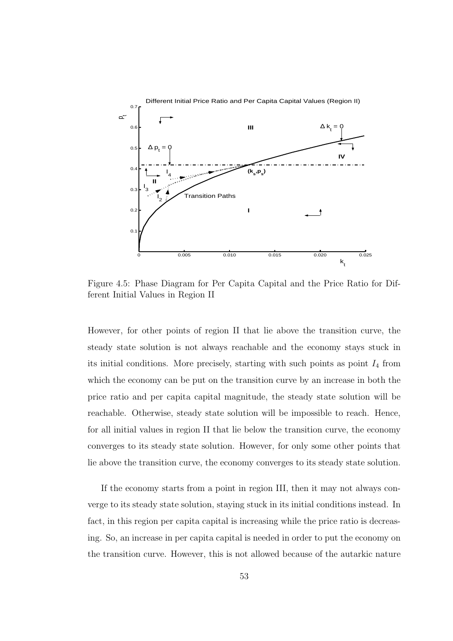

Figure 4.5: Phase Diagram for Per Capita Capital and the Price Ratio for Different Initial Values in Region II

However, for other points of region II that lie above the transition curve, the steady state solution is not always reachable and the economy stays stuck in its initial conditions. More precisely, starting with such points as point  $I_4$  from which the economy can be put on the transition curve by an increase in both the price ratio and per capita capital magnitude, the steady state solution will be reachable. Otherwise, steady state solution will be impossible to reach. Hence, for all initial values in region II that lie below the transition curve, the economy converges to its steady state solution. However, for only some other points that lie above the transition curve, the economy converges to its steady state solution.

If the economy starts from a point in region III, then it may not always converge to its steady state solution, staying stuck in its initial conditions instead. In fact, in this region per capita capital is increasing while the price ratio is decreasing. So, an increase in per capita capital is needed in order to put the economy on the transition curve. However, this is not allowed because of the autarkic nature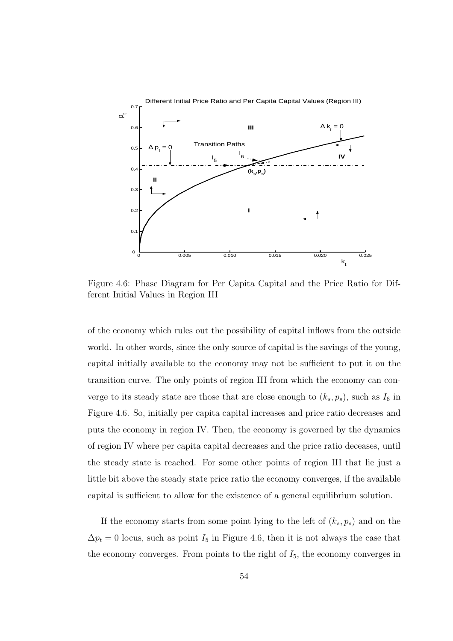

Figure 4.6: Phase Diagram for Per Capita Capital and the Price Ratio for Different Initial Values in Region III

of the economy which rules out the possibility of capital inflows from the outside world. In other words, since the only source of capital is the savings of the young, capital initially available to the economy may not be sufficient to put it on the transition curve. The only points of region III from which the economy can converge to its steady state are those that are close enough to  $(k_s, p_s)$ , such as  $I_6$  in Figure 4.6. So, initially per capita capital increases and price ratio decreases and puts the economy in region IV. Then, the economy is governed by the dynamics of region IV where per capita capital decreases and the price ratio deceases, until the steady state is reached. For some other points of region III that lie just a little bit above the steady state price ratio the economy converges, if the available capital is sufficient to allow for the existence of a general equilibrium solution.

If the economy starts from some point lying to the left of  $(k_s, p_s)$  and on the  $\Delta p_t = 0$  locus, such as point  $I_5$  in Figure 4.6, then it is not always the case that the economy converges. From points to the right of  $I_5$ , the economy converges in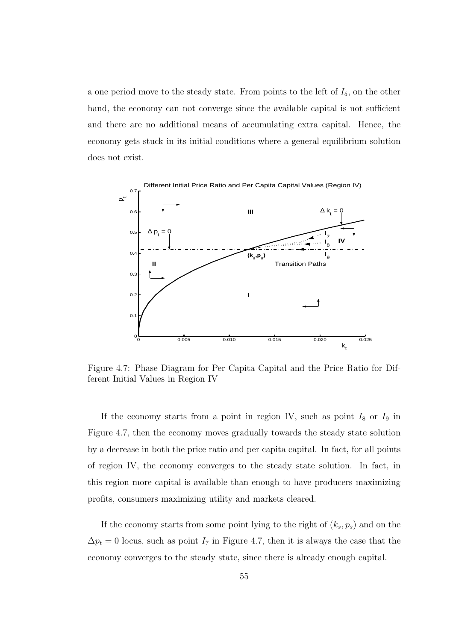a one period move to the steady state. From points to the left of  $I_5$ , on the other hand, the economy can not converge since the available capital is not sufficient and there are no additional means of accumulating extra capital. Hence, the economy gets stuck in its initial conditions where a general equilibrium solution does not exist.



Figure 4.7: Phase Diagram for Per Capita Capital and the Price Ratio for Different Initial Values in Region IV

If the economy starts from a point in region IV, such as point  $I_8$  or  $I_9$  in Figure 4.7, then the economy moves gradually towards the steady state solution by a decrease in both the price ratio and per capita capital. In fact, for all points of region IV, the economy converges to the steady state solution. In fact, in this region more capital is available than enough to have producers maximizing profits, consumers maximizing utility and markets cleared.

If the economy starts from some point lying to the right of  $(k_s, p_s)$  and on the  $\Delta p_t = 0$  locus, such as point  $I_7$  in Figure 4.7, then it is always the case that the economy converges to the steady state, since there is already enough capital.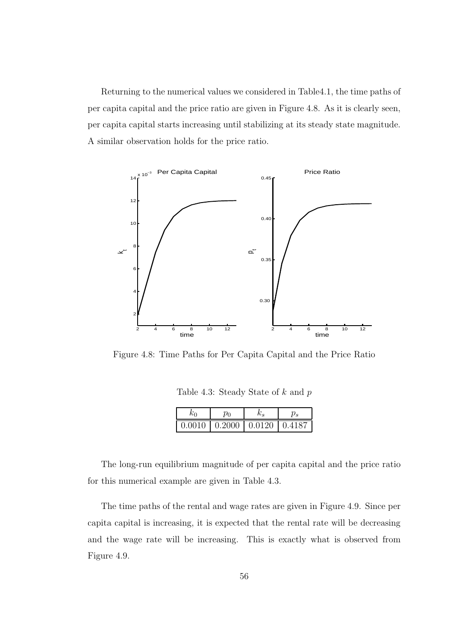Returning to the numerical values we considered in Table4.1, the time paths of per capita capital and the price ratio are given in Figure 4.8. As it is clearly seen, per capita capital starts increasing until stabilizing at its steady state magnitude. A similar observation holds for the price ratio.



Figure 4.8: Time Paths for Per Capita Capital and the Price Ratio

Table 4.3: Steady State of  $k$  and  $p$ 

| Nυ |                                           |  |
|----|-------------------------------------------|--|
|    | $0.0010$   $0.2000$   $0.0120$   $0.4187$ |  |

The long-run equilibrium magnitude of per capita capital and the price ratio for this numerical example are given in Table 4.3.

The time paths of the rental and wage rates are given in Figure 4.9. Since per capita capital is increasing, it is expected that the rental rate will be decreasing and the wage rate will be increasing. This is exactly what is observed from Figure 4.9.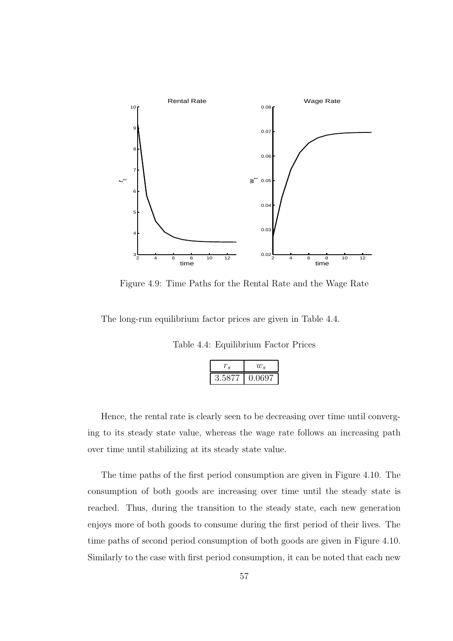

Figure 4.9: Time Paths for the Rental Rate and the Wage Rate

The long-run equilibrium factor prices are given in Table 4.4.

Table 4.4: Equilibrium Factor Prices

|                | $w_{s}$ |  |
|----------------|---------|--|
| $3.58^{\circ}$ | 0.0697  |  |

Hence, the rental rate is clearly seen to be decreasing over time until converging to its steady state value, whereas the wage rate follows an increasing path over time until stabilizing at its steady state value.

The time paths of the first period consumption are given in Figure 4.10. The consumption of both goods are increasing over time until the steady state is reached. Thus, during the transition to the steady state, each new generation enjoys more of both goods to consume during the first period of their lives. The time paths of second period consumption of both goods are given in Figure 4.10. Similarly to the case with first period consumption, it can be noted that each new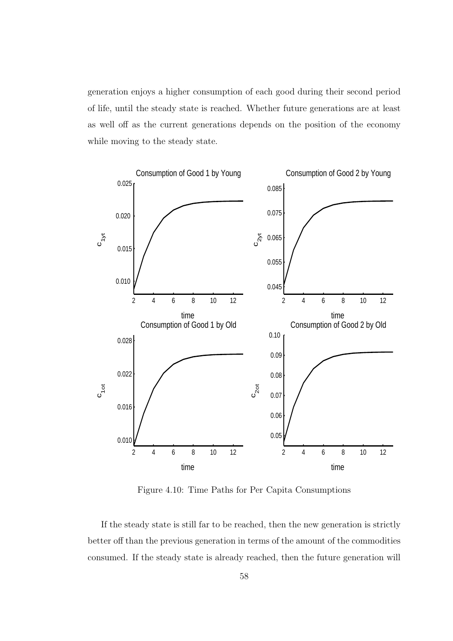generation enjoys a higher consumption of each good during their second period of life, until the steady state is reached. Whether future generations are at least as well off as the current generations depends on the position of the economy while moving to the steady state.



Figure 4.10: Time Paths for Per Capita Consumptions

If the steady state is still far to be reached, then the new generation is strictly better off than the previous generation in terms of the amount of the commodities consumed. If the steady state is already reached, then the future generation will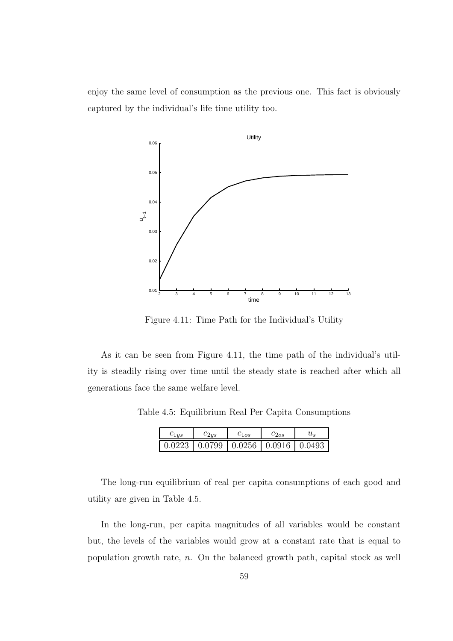enjoy the same level of consumption as the previous one. This fact is obviously captured by the individual's life time utility too.



Figure 4.11: Time Path for the Individual's Utility

As it can be seen from Figure 4.11, the time path of the individual's utility is steadily rising over time until the steady state is reached after which all generations face the same welfare level.

Table 4.5: Equilibrium Real Per Capita Consumptions

| $c_{1us}$ | $c_{2us}$ | $c_{1os}$                                                             | $c_{2os}$ |  |
|-----------|-----------|-----------------------------------------------------------------------|-----------|--|
|           |           | $\mid$ 0.0223 $\mid$ 0.0799 $\mid$ 0.0256 $\mid$ 0.0916 $\mid$ 0.0493 |           |  |

The long-run equilibrium of real per capita consumptions of each good and utility are given in Table 4.5.

In the long-run, per capita magnitudes of all variables would be constant but, the levels of the variables would grow at a constant rate that is equal to population growth rate, n. On the balanced growth path, capital stock as well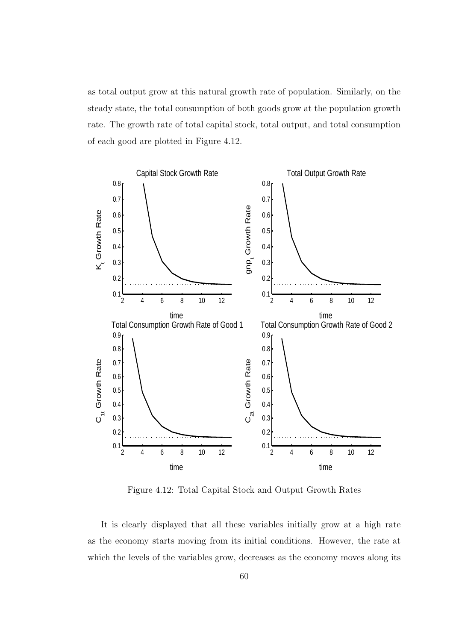as total output grow at this natural growth rate of population. Similarly, on the steady state, the total consumption of both goods grow at the population growth rate. The growth rate of total capital stock, total output, and total consumption of each good are plotted in Figure 4.12.



Figure 4.12: Total Capital Stock and Output Growth Rates

It is clearly displayed that all these variables initially grow at a high rate as the economy starts moving from its initial conditions. However, the rate at which the levels of the variables grow, decreases as the economy moves along its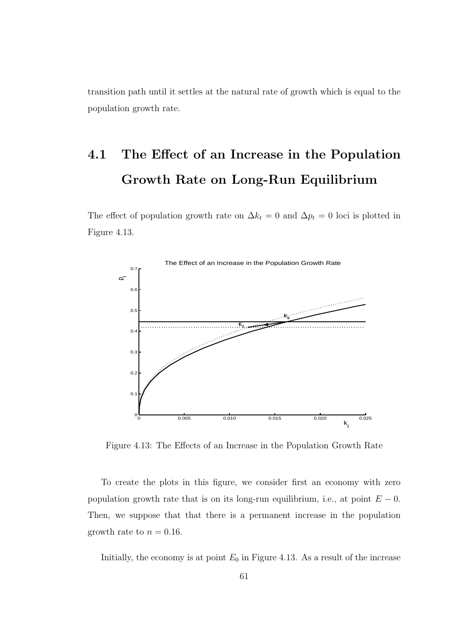transition path until it settles at the natural rate of growth which is equal to the population growth rate.

# 4.1 The Effect of an Increase in the Population Growth Rate on Long-Run Equilibrium

The effect of population growth rate on  $\Delta k_t = 0$  and  $\Delta p_t = 0$  loci is plotted in Figure 4.13.



Figure 4.13: The Effects of an Increase in the Population Growth Rate

To create the plots in this figure, we consider first an economy with zero population growth rate that is on its long-run equilibrium, i.e., at point  $E - 0$ . Then, we suppose that that there is a permanent increase in the population growth rate to  $n = 0.16$ .

Initially, the economy is at point  $E_0$  in Figure 4.13. As a result of the increase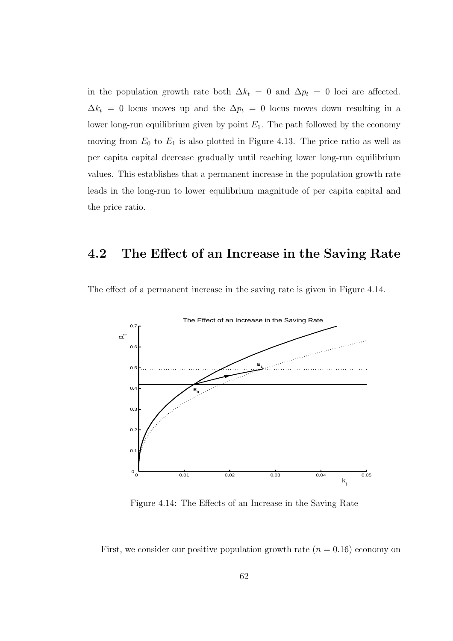in the population growth rate both  $\Delta k_t = 0$  and  $\Delta p_t = 0$  loci are affected.  $\Delta k_t = 0$  locus moves up and the  $\Delta p_t = 0$  locus moves down resulting in a lower long-run equilibrium given by point  $E_1$ . The path followed by the economy moving from  $E_0$  to  $E_1$  is also plotted in Figure 4.13. The price ratio as well as per capita capital decrease gradually until reaching lower long-run equilibrium values. This establishes that a permanent increase in the population growth rate leads in the long-run to lower equilibrium magnitude of per capita capital and the price ratio.

### 4.2 The Effect of an Increase in the Saving Rate



The effect of a permanent increase in the saving rate is given in Figure 4.14.

Figure 4.14: The Effects of an Increase in the Saving Rate

First, we consider our positive population growth rate  $(n = 0.16)$  economy on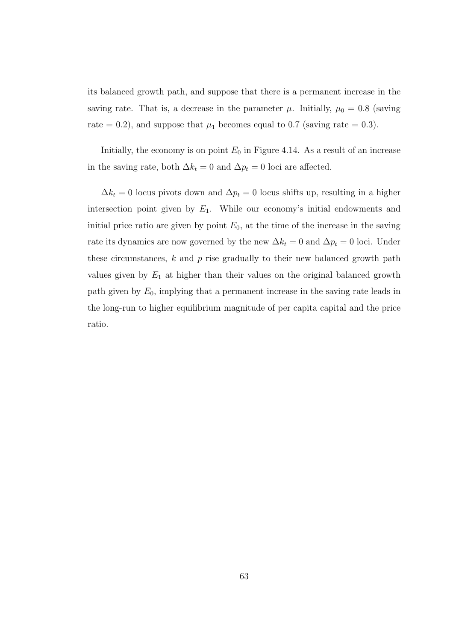its balanced growth path, and suppose that there is a permanent increase in the saving rate. That is, a decrease in the parameter  $\mu$ . Initially,  $\mu_0 = 0.8$  (saving rate = 0.2), and suppose that  $\mu_1$  becomes equal to 0.7 (saving rate = 0.3).

Initially, the economy is on point  $E_0$  in Figure 4.14. As a result of an increase in the saving rate, both  $\Delta k_t = 0$  and  $\Delta p_t = 0$  loci are affected.

 $\Delta k_t = 0$  locus pivots down and  $\Delta p_t = 0$  locus shifts up, resulting in a higher intersection point given by  $E_1$ . While our economy's initial endowments and initial price ratio are given by point  $E_0$ , at the time of the increase in the saving rate its dynamics are now governed by the new  $\Delta k_t = 0$  and  $\Delta p_t = 0$  loci. Under these circumstances,  $k$  and  $p$  rise gradually to their new balanced growth path values given by  $E_1$  at higher than their values on the original balanced growth path given by  $E_0$ , implying that a permanent increase in the saving rate leads in the long-run to higher equilibrium magnitude of per capita capital and the price ratio.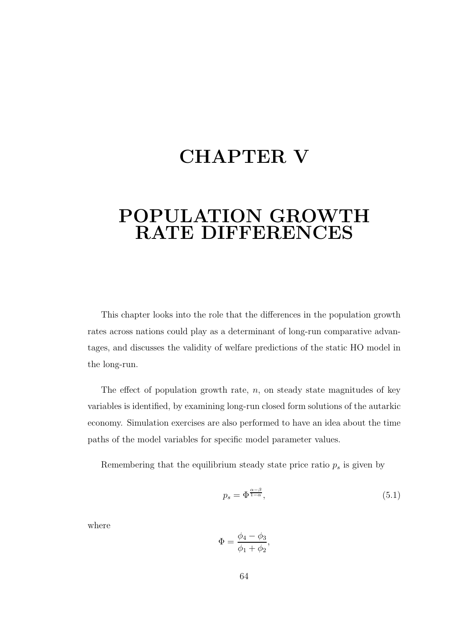# CHAPTER V

### POPULATION GROWTH RATE DIFFERENCES

This chapter looks into the role that the differences in the population growth rates across nations could play as a determinant of long-run comparative advantages, and discusses the validity of welfare predictions of the static HO model in the long-run.

The effect of population growth rate,  $n$ , on steady state magnitudes of key variables is identified, by examining long-run closed form solutions of the autarkic economy. Simulation exercises are also performed to have an idea about the time paths of the model variables for specific model parameter values.

Remembering that the equilibrium steady state price ratio  $p_s$  is given by

$$
p_s = \Phi^{\frac{\alpha - \beta}{1 - \alpha}},\tag{5.1}
$$

where

$$
\Phi = \frac{\phi_4 - \phi_3}{\phi_1 + \phi_2},
$$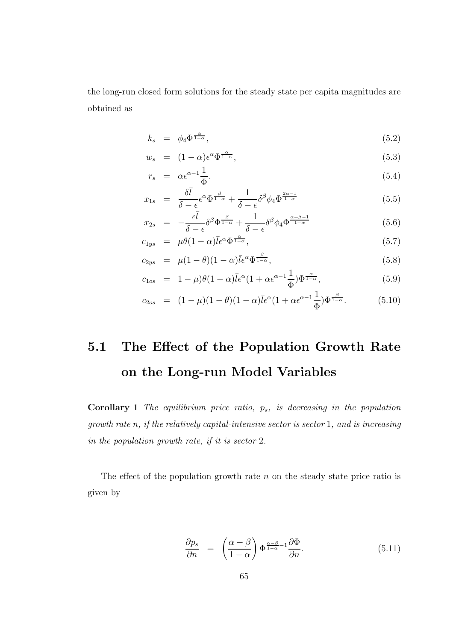the long-run closed form solutions for the steady state per capita magnitudes are obtained as

$$
k_s = \phi_4 \Phi^{\frac{\alpha}{1-\alpha}}, \tag{5.2}
$$

$$
w_s = (1 - \alpha)\epsilon^{\alpha} \Phi^{\frac{\alpha}{1 - \alpha}}, \tag{5.3}
$$

$$
r_s = \alpha \epsilon^{\alpha - 1} \frac{1}{\Phi}.
$$
\n
$$
(5.4)
$$

$$
x_{1s} = \frac{\delta \bar{l}}{\delta - \epsilon} \epsilon^{\alpha} \Phi^{\frac{\beta}{1-\alpha}} + \frac{1}{\delta - \epsilon} \delta^{\beta} \phi_4 \Phi^{\frac{2\alpha - 1}{1-\alpha}}
$$
(5.5)

$$
x_{2s} = -\frac{\epsilon \bar{l}}{\delta - \epsilon} \delta^{\beta} \Phi^{\frac{\beta}{1-\alpha}} + \frac{1}{\delta - \epsilon} \delta^{\beta} \phi_4 \Phi^{\frac{\alpha+\beta-1}{1-\alpha}}
$$
(5.6)

$$
c_{1ys} = \mu\theta(1-\alpha)\bar{l}\epsilon^{\alpha}\Phi^{\frac{\alpha}{1-\alpha}}, \qquad (5.7)
$$

$$
c_{2ys} = \mu (1 - \theta)(1 - \alpha)\bar{l}\epsilon^{\alpha}\Phi^{\frac{\beta}{1 - \alpha}}, \qquad (5.8)
$$

$$
c_{1os} = 1 - \mu)\theta(1 - \alpha)\bar{l}\epsilon^{\alpha}(1 + \alpha\epsilon^{\alpha - 1}\frac{1}{\Phi})\Phi^{\frac{\alpha}{1 - \alpha}}, \qquad (5.9)
$$

$$
c_{2os} = (1 - \mu)(1 - \theta)(1 - \alpha)\bar{l}\epsilon^{\alpha}(1 + \alpha \epsilon^{\alpha - 1}\frac{1}{\Phi})\Phi^{\frac{\beta}{1 - \alpha}}.
$$
 (5.10)

# 5.1 The Effect of the Population Growth Rate on the Long-run Model Variables

Corollary 1 The equilibrium price ratio,  $p_s$ , is decreasing in the population growth rate n, if the relatively capital-intensive sector is sector 1, and is increasing in the population growth rate, if it is sector 2.

The effect of the population growth rate  $n$  on the steady state price ratio is given by

$$
\frac{\partial p_s}{\partial n} = \left( \frac{\alpha - \beta}{1 - \alpha} \right) \Phi^{\frac{\alpha - \beta}{1 - \alpha} - 1} \frac{\partial \Phi}{\partial n}.
$$
\n(5.11)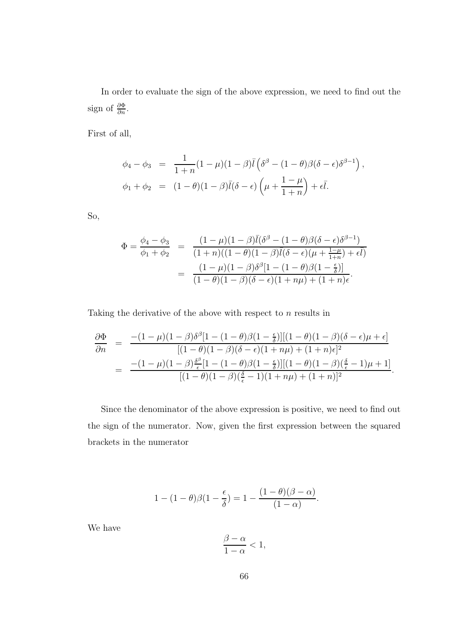In order to evaluate the sign of the above expression, we need to find out the sign of  $\frac{\partial \Phi}{\partial n}$ .

First of all,

$$
\phi_4 - \phi_3 = \frac{1}{1+n}(1-\mu)(1-\beta)\overline{l}(\delta^{\beta} - (1-\theta)\beta(\delta - \epsilon)\delta^{\beta-1}),
$$
  

$$
\phi_1 + \phi_2 = (1-\theta)(1-\beta)\overline{l}(\delta - \epsilon)\left(\mu + \frac{1-\mu}{1+n}\right) + \epsilon\overline{l}.
$$

So,

$$
\Phi = \frac{\phi_4 - \phi_3}{\phi_1 + \phi_2} = \frac{(1 - \mu)(1 - \beta)\bar{l}(\delta^{\beta} - (1 - \theta)\beta(\delta - \epsilon)\delta^{\beta - 1})}{(1 + n)((1 - \theta)(1 - \beta)\bar{l}(\delta - \epsilon)(\mu + \frac{1 - \mu}{1 + n}) + \epsilon\bar{l})}
$$

$$
= \frac{(1 - \mu)(1 - \beta)\delta^{\beta}[1 - (1 - \theta)\beta(1 - \frac{\epsilon}{\delta})]}{(1 - \theta)(1 - \beta)(\delta - \epsilon)(1 + n\mu) + (1 + n)\epsilon}.
$$

Taking the derivative of the above with respect to  $n$  results in

$$
\frac{\partial \Phi}{\partial n} = \frac{-(1-\mu)(1-\beta)\delta^{\beta}[1-(1-\theta)\beta(1-\frac{\epsilon}{\delta})][(1-\theta)(1-\beta)(\delta-\epsilon)\mu+\epsilon]}{[(1-\theta)(1-\beta)(\delta-\epsilon)(1+n\mu)+(1+n)\epsilon]^{2}}
$$

$$
= \frac{-(1-\mu)(1-\beta)\frac{\delta^{\beta}}{\epsilon}[1-(1-\theta)\beta(1-\frac{\epsilon}{\delta})][(1-\theta)(1-\beta)(\frac{\delta}{\epsilon}-1)\mu+1]}{[(1-\theta)(1-\beta)(\frac{\delta}{\epsilon}-1)(1+n\mu)+(1+n)]^{2}}.
$$

Since the denominator of the above expression is positive, we need to find out the sign of the numerator. Now, given the first expression between the squared brackets in the numerator

$$
1 - (1 - \theta)\beta(1 - \frac{\epsilon}{\delta}) = 1 - \frac{(1 - \theta)(\beta - \alpha)}{(1 - \alpha)}.
$$

We have

$$
\frac{\beta-\alpha}{1-\alpha}<1,
$$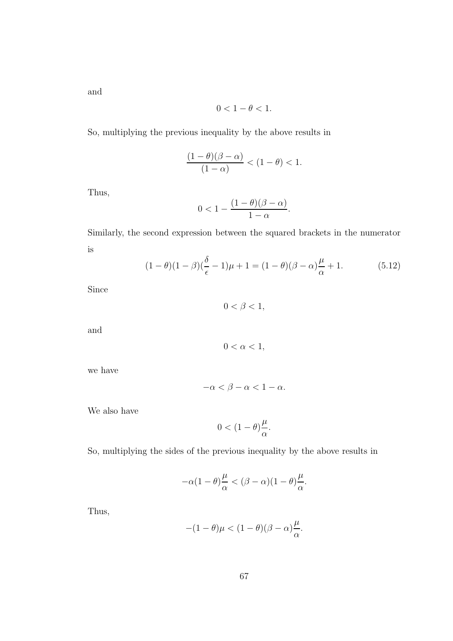and

$$
0<1-\theta<1.
$$

So, multiplying the previous inequality by the above results in

$$
\frac{(1-\theta)(\beta-\alpha)}{(1-\alpha)} < (1-\theta) < 1.
$$

Thus,

$$
0<1-\frac{(1-\theta)(\beta-\alpha)}{1-\alpha}.
$$

Similarly, the second expression between the squared brackets in the numerator is

$$
(1 - \theta)(1 - \beta)\left(\frac{\delta}{\epsilon} - 1\right)\mu + 1 = (1 - \theta)(\beta - \alpha)\frac{\mu}{\alpha} + 1. \tag{5.12}
$$

Since

$$
0<\beta<1,
$$

and

$$
0 < \alpha < 1,
$$

we have

$$
-\alpha < \beta - \alpha < 1 - \alpha.
$$

We also have

$$
0<(1-\theta)\frac{\mu}{\alpha}.
$$

So, multiplying the sides of the previous inequality by the above results in

$$
-\alpha(1-\theta)\frac{\mu}{\alpha}<(\beta-\alpha)(1-\theta)\frac{\mu}{\alpha}.
$$

Thus,

$$
-(1-\theta)\mu < (1-\theta)(\beta-\alpha)\frac{\mu}{\alpha}.
$$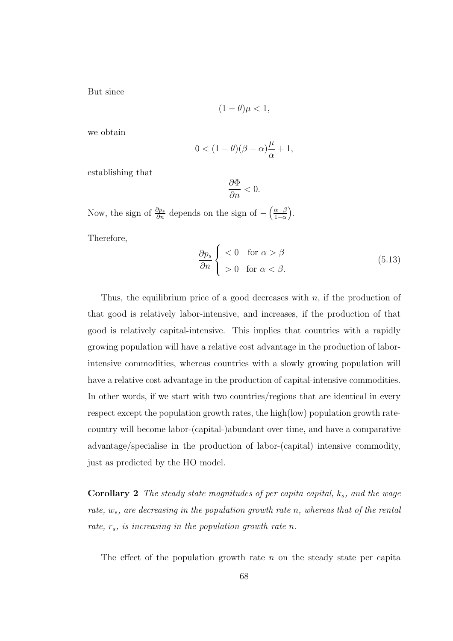But since

$$
(1 - \theta)\mu < 1,
$$

we obtain

$$
0<(1-\theta)(\beta-\alpha)\frac{\mu}{\alpha}+1,
$$

establishing that

$$
\frac{\partial \Phi}{\partial n} < 0.
$$

Now, the sign of  $\frac{\partial p_s}{\partial n}$  depends on the sign of  $-\left(\frac{\alpha-\beta}{1-\alpha}\right)$  $\frac{\alpha-\beta}{1-\alpha}$ . Therefore,

$$
\frac{\partial p_s}{\partial n} \begin{cases} < 0 \quad \text{for } \alpha > \beta \\ > 0 \quad \text{for } \alpha < \beta. \end{cases} \tag{5.13}
$$

Thus, the equilibrium price of a good decreases with  $n$ , if the production of that good is relatively labor-intensive, and increases, if the production of that good is relatively capital-intensive. This implies that countries with a rapidly growing population will have a relative cost advantage in the production of laborintensive commodities, whereas countries with a slowly growing population will have a relative cost advantage in the production of capital-intensive commodities. In other words, if we start with two countries/regions that are identical in every respect except the population growth rates, the high(low) population growth ratecountry will become labor-(capital-)abundant over time, and have a comparative advantage/specialise in the production of labor-(capital) intensive commodity, just as predicted by the HO model.

**Corollary 2** The steady state magnitudes of per capita capital,  $k_s$ , and the wage rate,  $w_s$ , are decreasing in the population growth rate n, whereas that of the rental rate,  $r_s$ , is increasing in the population growth rate n.

The effect of the population growth rate  $n$  on the steady state per capita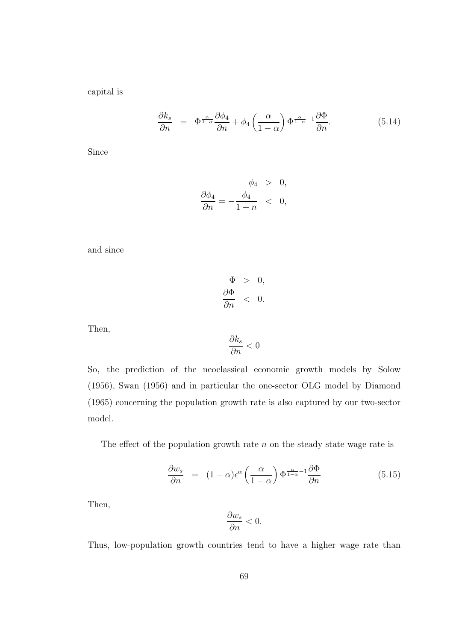capital is

$$
\frac{\partial k_s}{\partial n} = \Phi^{\frac{\alpha}{1-\alpha}} \frac{\partial \phi_4}{\partial n} + \phi_4 \left( \frac{\alpha}{1-\alpha} \right) \Phi^{\frac{\alpha}{1-\alpha} - 1} \frac{\partial \Phi}{\partial n}.
$$
 (5.14)

Since

$$
\frac{\partial \phi_4}{\partial n} = -\frac{\phi_4}{1+n} \quad < \quad 0,
$$

and since

$$
\Phi > 0,
$$
  

$$
\frac{\partial \Phi}{\partial n} < 0.
$$

Then,

$$
\frac{\partial k_s}{\partial n} < 0
$$

So, the prediction of the neoclassical economic growth models by Solow (1956), Swan (1956) and in particular the one-sector OLG model by Diamond (1965) concerning the population growth rate is also captured by our two-sector model.

The effect of the population growth rate  $n$  on the steady state wage rate is

$$
\frac{\partial w_s}{\partial n} = (1 - \alpha)\epsilon^{\alpha} \left(\frac{\alpha}{1 - \alpha}\right) \Phi^{\frac{\alpha}{1 - \alpha} - 1} \frac{\partial \Phi}{\partial n}
$$
(5.15)

Then,

$$
\frac{\partial w_s}{\partial n} < 0.
$$

Thus, low-population growth countries tend to have a higher wage rate than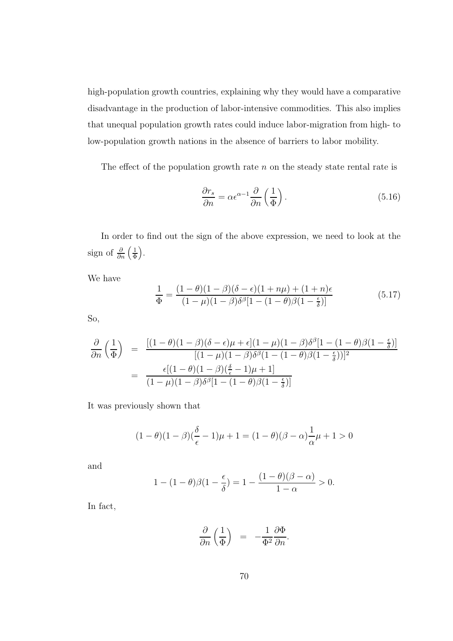high-population growth countries, explaining why they would have a comparative disadvantage in the production of labor-intensive commodities. This also implies that unequal population growth rates could induce labor-migration from high- to low-population growth nations in the absence of barriers to labor mobility.

The effect of the population growth rate  $n$  on the steady state rental rate is

$$
\frac{\partial r_s}{\partial n} = \alpha \epsilon^{\alpha - 1} \frac{\partial}{\partial n} \left( \frac{1}{\Phi} \right). \tag{5.16}
$$

In order to find out the sign of the above expression, we need to look at the sign of  $\frac{\partial}{\partial n} \left( \frac{1}{\Phi} \right)$  $\frac{1}{\Phi}$ .

We have

$$
\frac{1}{\Phi} = \frac{(1-\theta)(1-\beta)(\delta-\epsilon)(1+n\mu) + (1+n)\epsilon}{(1-\mu)(1-\beta)\delta^{\beta}[1-(1-\theta)\beta(1-\frac{\epsilon}{\delta})]}
$$
(5.17)

So,

$$
\frac{\partial}{\partial n} \left( \frac{1}{\Phi} \right) = \frac{\left[ (1 - \theta)(1 - \beta)(\delta - \epsilon)\mu + \epsilon \right] (1 - \mu)(1 - \beta)\delta^{\beta} [1 - (1 - \theta)\beta(1 - \frac{\epsilon}{\delta})]}{\left[ (1 - \mu)(1 - \beta)\delta^{\beta} (1 - (1 - \theta)\beta(1 - \frac{\epsilon}{\delta})) \right]^{2}}
$$
\n
$$
= \frac{\epsilon [(1 - \theta)(1 - \beta)(\frac{\delta}{\epsilon} - 1)\mu + 1]}{(1 - \mu)(1 - \beta)\delta^{\beta} [1 - (1 - \theta)\beta(1 - \frac{\epsilon}{\delta})]}
$$

It was previously shown that

$$
(1 - \theta)(1 - \beta)(\frac{\delta}{\epsilon} - 1)\mu + 1 = (1 - \theta)(\beta - \alpha)\frac{1}{\alpha}\mu + 1 > 0
$$

and

$$
1 - (1 - \theta)\beta(1 - \frac{\epsilon}{\delta}) = 1 - \frac{(1 - \theta)(\beta - \alpha)}{1 - \alpha} > 0.
$$

In fact,

$$
\frac{\partial}{\partial n}\left(\frac{1}{\Phi}\right) \;\;=\;\;-\frac{1}{\Phi^2}\frac{\partial\Phi}{\partial n}.
$$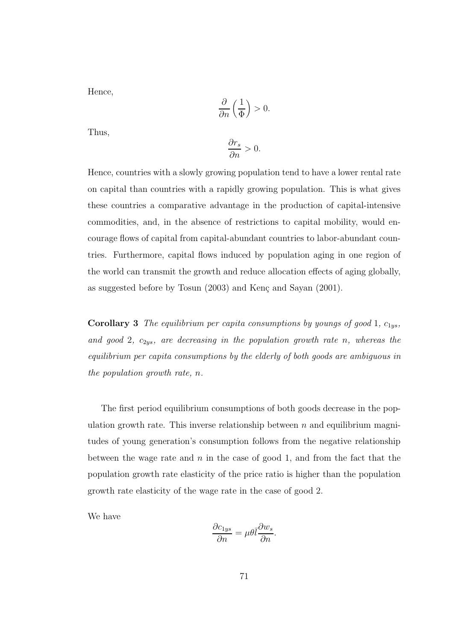Hence,

$$
\frac{\partial}{\partial n}\left(\frac{1}{\Phi}\right) > 0.
$$

Thus,

$$
\frac{\partial r_s}{\partial n} > 0.
$$

Hence, countries with a slowly growing population tend to have a lower rental rate on capital than countries with a rapidly growing population. This is what gives these countries a comparative advantage in the production of capital-intensive commodities, and, in the absence of restrictions to capital mobility, would encourage flows of capital from capital-abundant countries to labor-abundant countries. Furthermore, capital flows induced by population aging in one region of the world can transmit the growth and reduce allocation effects of aging globally, as suggested before by Tosun  $(2003)$  and Kenç and Sayan  $(2001)$ .

**Corollary 3** The equilibrium per capita consumptions by youngs of good 1,  $c_{1ys}$ , and good 2,  $c_{2ys}$ , are decreasing in the population growth rate n, whereas the equilibrium per capita consumptions by the elderly of both goods are ambiguous in the population growth rate, n.

The first period equilibrium consumptions of both goods decrease in the population growth rate. This inverse relationship between  $n$  and equilibrium magnitudes of young generation's consumption follows from the negative relationship between the wage rate and  $n$  in the case of good 1, and from the fact that the population growth rate elasticity of the price ratio is higher than the population growth rate elasticity of the wage rate in the case of good 2.

We have

$$
\frac{\partial c_{1ys}}{\partial n} = \mu \theta \bar{l} \frac{\partial w_s}{\partial n}.
$$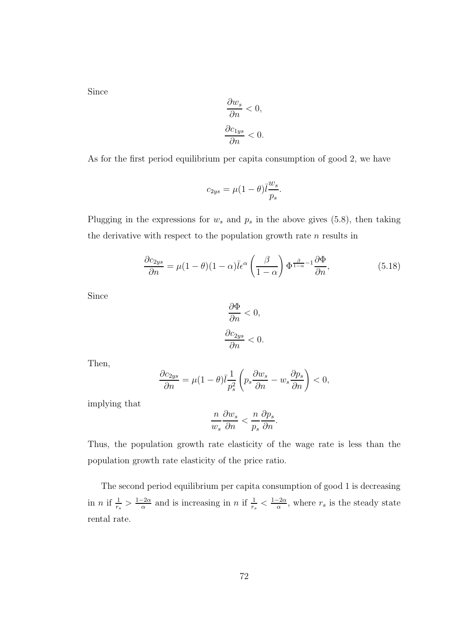Since

$$
\frac{\partial w_s}{\partial n} < 0,
$$
\n
$$
\frac{\partial c_{1ys}}{\partial n} < 0.
$$

As for the first period equilibrium per capita consumption of good 2, we have

$$
c_{2ys}=\mu(1-\theta)\bar{l}\frac{w_s}{p_s}.
$$

Plugging in the expressions for  $w_s$  and  $p_s$  in the above gives (5.8), then taking the derivative with respect to the population growth rate  $n$  results in

$$
\frac{\partial c_{2ys}}{\partial n} = \mu (1 - \theta)(1 - \alpha)\bar{l}\epsilon^{\alpha} \left(\frac{\beta}{1 - \alpha}\right) \Phi^{\frac{\beta}{1 - \alpha} - 1} \frac{\partial \Phi}{\partial n},\tag{5.18}
$$

Since

$$
\frac{\partial \Phi}{\partial n} < 0,
$$
\n
$$
\frac{\partial c_{2ys}}{\partial n} < 0.
$$

Then,

$$
\frac{\partial c_{2ys}}{\partial n} = \mu (1 - \theta) \bar{l} \frac{1}{p_s^2} \left( p_s \frac{\partial w_s}{\partial n} - w_s \frac{\partial p_s}{\partial n} \right) < 0,
$$

implying that

$$
\frac{n}{w_s} \frac{\partial w_s}{\partial n} < \frac{n}{p_s} \frac{\partial p_s}{\partial n}.
$$

Thus, the population growth rate elasticity of the wage rate is less than the population growth rate elasticity of the price ratio.

The second period equilibrium per capita consumption of good 1 is decreasing in *n* if  $\frac{1}{r_s} > \frac{1-2\alpha}{\alpha}$  $\frac{-2\alpha}{\alpha}$  and is increasing in *n* if  $\frac{1}{r_s} < \frac{1-2\alpha}{\alpha}$  $\frac{-2\alpha}{\alpha}$ , where  $r_s$  is the steady state rental rate.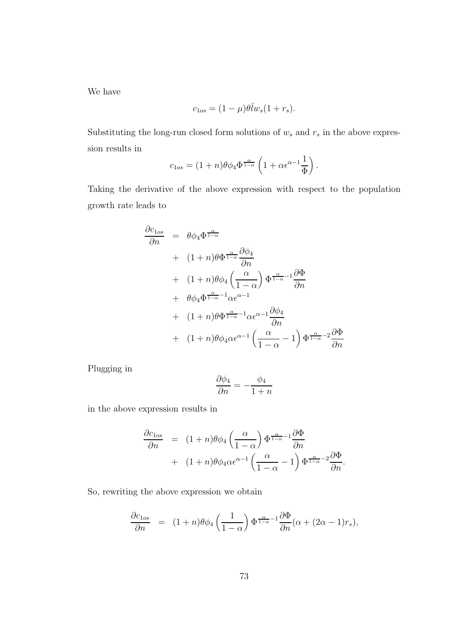We have

$$
c_{1os} = (1 - \mu)\theta \overline{I} w_s (1 + r_s).
$$

Substituting the long-run closed form solutions of  $w_s$  and  $r_s$  in the above expression results in

$$
c_{1os} = (1+n)\theta \phi_4 \Phi^{\frac{\alpha}{1-\alpha}} \left(1 + \alpha \epsilon^{\alpha-1} \frac{1}{\Phi}\right).
$$

Taking the derivative of the above expression with respect to the population growth rate leads to

$$
\frac{\partial c_{1os}}{\partial n} = \theta \phi_4 \Phi^{\frac{\alpha}{1-\alpha}} \n+ (1+n)\theta \Phi^{\frac{\alpha}{1-\alpha}} \frac{\partial \phi_4}{\partial n} \n+ (1+n)\theta \phi_4 \left(\frac{\alpha}{1-\alpha}\right) \Phi^{\frac{\alpha}{1-\alpha}-1} \frac{\partial \Phi}{\partial n} \n+ \theta \phi_4 \Phi^{\frac{\alpha}{1-\alpha}-1} \alpha \epsilon^{\alpha-1} \n+ (1+n)\theta \Phi^{\frac{\alpha}{1-\alpha}-1} \alpha \epsilon^{\alpha-1} \frac{\partial \phi_4}{\partial n} \n+ (1+n)\theta \phi_4 \alpha \epsilon^{\alpha-1} \left(\frac{\alpha}{1-\alpha}-1\right) \Phi^{\frac{\alpha}{1-\alpha}-2} \frac{\partial \Phi}{\partial n}
$$

Plugging in

$$
\frac{\partial \phi_4}{\partial n} = -\frac{\phi_4}{1+n}
$$

in the above expression results in

$$
\frac{\partial c_{\text{lo}s}}{\partial n} = (1+n)\theta \phi_4 \left(\frac{\alpha}{1-\alpha}\right) \Phi^{\frac{\alpha}{1-\alpha}-1} \frac{\partial \Phi}{\partial n} \n+ (1+n)\theta \phi_4 \alpha \epsilon^{\alpha-1} \left(\frac{\alpha}{1-\alpha}-1\right) \Phi^{\frac{\alpha}{1-\alpha}-2} \frac{\partial \Phi}{\partial n}.
$$

So, rewriting the above expression we obtain

$$
\frac{\partial c_{\text{los}}}{\partial n} = (1+n)\theta \phi_4 \left(\frac{1}{1-\alpha}\right) \Phi^{\frac{\alpha}{1-\alpha}-1} \frac{\partial \Phi}{\partial n} (\alpha + (2\alpha - 1)r_s),
$$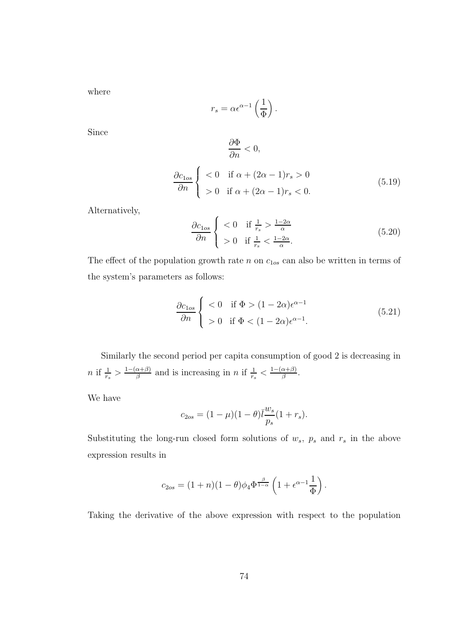where

$$
r_s = \alpha \epsilon^{\alpha - 1} \left(\frac{1}{\Phi}\right).
$$

Since

$$
\frac{\partial \Phi}{\partial n} < 0,
$$
\n
$$
\frac{\partial c_{\text{los}}}{\partial n} \begin{cases} < 0 \quad \text{if } \alpha + (2\alpha - 1)r_s > 0 \\ > 0 \quad \text{if } \alpha + (2\alpha - 1)r_s < 0. \end{cases} \tag{5.19}
$$

Alternatively,

$$
\frac{\partial c_{\text{los}}}{\partial n} \begin{cases} < 0 \quad \text{if } \frac{1}{r_s} > \frac{1-2\alpha}{\alpha} \\ > 0 \quad \text{if } \frac{1}{r_s} < \frac{1-2\alpha}{\alpha} . \end{cases} \tag{5.20}
$$

The effect of the population growth rate  $n$  on  $c_{1os}$  can also be written in terms of the system's parameters as follows:

$$
\frac{\partial c_{\text{los}}}{\partial n} \begin{cases} < 0 \quad \text{if } \Phi > (1 - 2\alpha)\epsilon^{\alpha - 1} \\ > 0 \quad \text{if } \Phi < (1 - 2\alpha)\epsilon^{\alpha - 1} . \end{cases} \tag{5.21}
$$

Similarly the second period per capita consumption of good 2 is decreasing in  $n \text{ if } \frac{1}{r_s} > \frac{1-(\alpha+\beta)}{\beta}$  $\frac{\alpha+\beta}{\beta}$  and is increasing in n if  $\frac{1}{r_s} < \frac{1-(\alpha+\beta)}{\beta}$  $\frac{\alpha+\rho)}{\beta}$ .

We have

$$
c_{2os} = (1 - \mu)(1 - \theta)\bar{t}\frac{w_s}{p_s}(1 + r_s).
$$

Substituting the long-run closed form solutions of  $w_s$ ,  $p_s$  and  $r_s$  in the above expression results in

$$
c_{2os} = (1+n)(1-\theta)\phi_4\Phi^{\frac{\beta}{1-\alpha}}\left(1+\epsilon^{\alpha-1}\frac{1}{\Phi}\right).
$$

Taking the derivative of the above expression with respect to the population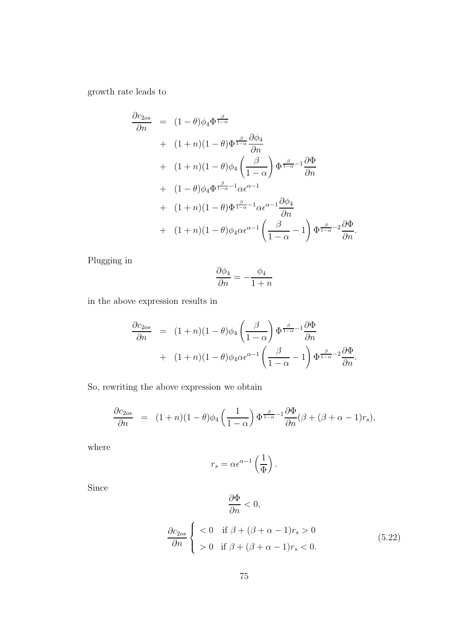growth rate leads to

$$
\frac{\partial c_{2os}}{\partial n} = (1 - \theta)\phi_4 \Phi^{\frac{\beta}{1 - \alpha}} \n+ (1 + n)(1 - \theta)\Phi^{\frac{\beta}{1 - \alpha}} \frac{\partial \phi_4}{\partial n} \n+ (1 + n)(1 - \theta)\phi_4 \left(\frac{\beta}{1 - \alpha}\right) \Phi^{\frac{\beta}{1 - \alpha} - 1} \frac{\partial \Phi}{\partial n} \n+ (1 - \theta)\phi_4 \Phi^{\frac{\beta}{1 - \alpha} - 1} \alpha \epsilon^{\alpha - 1} \n+ (1 + n)(1 - \theta)\Phi^{\frac{\beta}{1 - \alpha} - 1} \alpha \epsilon^{\alpha - 1} \frac{\partial \phi_4}{\partial n} \n+ (1 + n)(1 - \theta)\phi_4 \alpha \epsilon^{\alpha - 1} \left(\frac{\beta}{1 - \alpha} - 1\right) \Phi^{\frac{\beta}{1 - \alpha} - 2} \frac{\partial \Phi}{\partial n}.
$$

Plugging in

$$
\frac{\partial \phi_4}{\partial n} = -\frac{\phi_4}{1+n}
$$

in the above expression results in

$$
\frac{\partial c_{2os}}{\partial n} = (1+n)(1-\theta)\phi_4\left(\frac{\beta}{1-\alpha}\right)\Phi^{\frac{\beta}{1-\alpha}-1}\frac{\partial \Phi}{\partial n} \n+ (1+n)(1-\theta)\phi_4\alpha\epsilon^{\alpha-1}\left(\frac{\beta}{1-\alpha}-1\right)\Phi^{\frac{\beta}{1-\alpha}-2}\frac{\partial \Phi}{\partial n}.
$$

So, rewriting the above expression we obtain

$$
\frac{\partial c_{2os}}{\partial n} = (1+n)(1-\theta)\phi_4\left(\frac{1}{1-\alpha}\right)\Phi^{\frac{\beta}{1-\alpha}-1}\frac{\partial \Phi}{\partial n}(\beta+(\beta+\alpha-1)r_s),
$$

where

$$
r_s = \alpha \epsilon^{\alpha - 1} \left(\frac{1}{\Phi}\right).
$$

Since

$$
\frac{\partial \Phi}{\partial n}<0,
$$

$$
\frac{\partial c_{2os}}{\partial n} \begin{cases} < 0 \quad \text{if } \beta + (\beta + \alpha - 1)r_s > 0 \\ > 0 \quad \text{if } \beta + (\beta + \alpha - 1)r_s < 0. \end{cases} \tag{5.22}
$$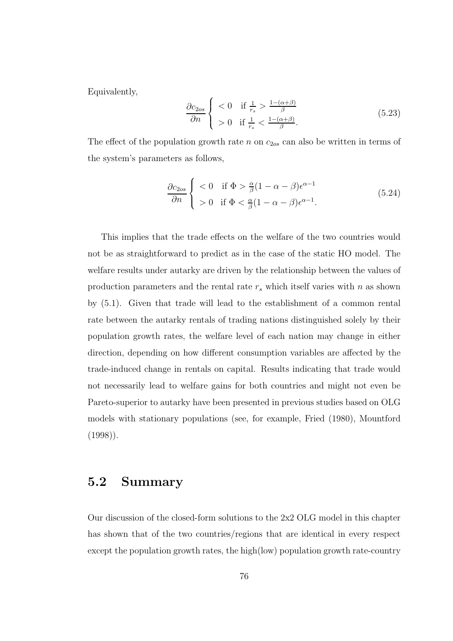Equivalently,

$$
\frac{\partial c_{2os}}{\partial n} \begin{cases} < 0 & \text{if } \frac{1}{r_s} > \frac{1 - (\alpha + \beta)}{\beta} \\ > 0 & \text{if } \frac{1}{r_s} < \frac{1 - (\alpha + \beta)}{\beta}. \end{cases} \tag{5.23}
$$

The effect of the population growth rate  $n$  on  $c_{2os}$  can also be written in terms of the system's parameters as follows,

$$
\frac{\partial c_{2os}}{\partial n} \begin{cases} < 0 \quad \text{if } \Phi > \frac{\alpha}{\beta} (1 - \alpha - \beta) \epsilon^{\alpha - 1} \\ > 0 \quad \text{if } \Phi < \frac{\alpha}{\beta} (1 - \alpha - \beta) \epsilon^{\alpha - 1}. \end{cases} \tag{5.24}
$$

This implies that the trade effects on the welfare of the two countries would not be as straightforward to predict as in the case of the static HO model. The welfare results under autarky are driven by the relationship between the values of production parameters and the rental rate  $r_s$  which itself varies with n as shown by (5.1). Given that trade will lead to the establishment of a common rental rate between the autarky rentals of trading nations distinguished solely by their population growth rates, the welfare level of each nation may change in either direction, depending on how different consumption variables are affected by the trade-induced change in rentals on capital. Results indicating that trade would not necessarily lead to welfare gains for both countries and might not even be Pareto-superior to autarky have been presented in previous studies based on OLG models with stationary populations (see, for example, Fried (1980), Mountford  $(1998)$ .

### 5.2 Summary

Our discussion of the closed-form solutions to the 2x2 OLG model in this chapter has shown that of the two countries/regions that are identical in every respect except the population growth rates, the high(low) population growth rate-country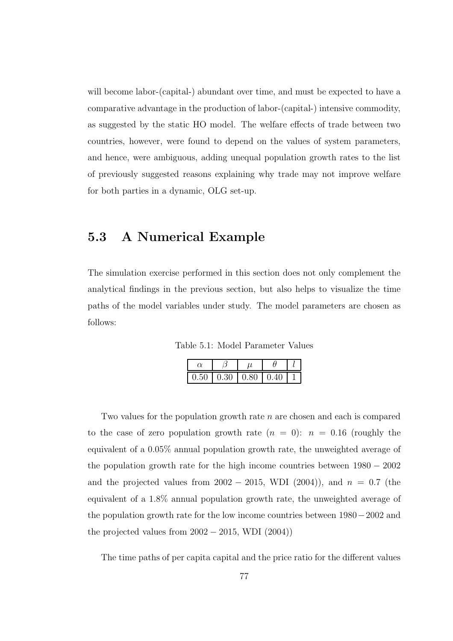will become labor-(capital-) abundant over time, and must be expected to have a comparative advantage in the production of labor-(capital-) intensive commodity, as suggested by the static HO model. The welfare effects of trade between two countries, however, were found to depend on the values of system parameters, and hence, were ambiguous, adding unequal population growth rates to the list of previously suggested reasons explaining why trade may not improve welfare for both parties in a dynamic, OLG set-up.

### 5.3 A Numerical Example

The simulation exercise performed in this section does not only complement the analytical findings in the previous section, but also helps to visualize the time paths of the model variables under study. The model parameters are chosen as follows:

Table 5.1: Model Parameter Values

| $0.50 \mid 0.30 \mid 0.80$ | 0.40 |  |
|----------------------------|------|--|

Two values for the population growth rate  $n$  are chosen and each is compared to the case of zero population growth rate  $(n = 0)$ :  $n = 0.16$  (roughly the equivalent of a 0.05% annual population growth rate, the unweighted average of the population growth rate for the high income countries between 1980 − 2002 and the projected values from  $2002 - 2015$ , WDI (2004)), and  $n = 0.7$  (the equivalent of a 1.8% annual population growth rate, the unweighted average of the population growth rate for the low income countries between 1980−2002 and the projected values from  $2002 - 2015$ , WDI  $(2004)$ )

The time paths of per capita capital and the price ratio for the different values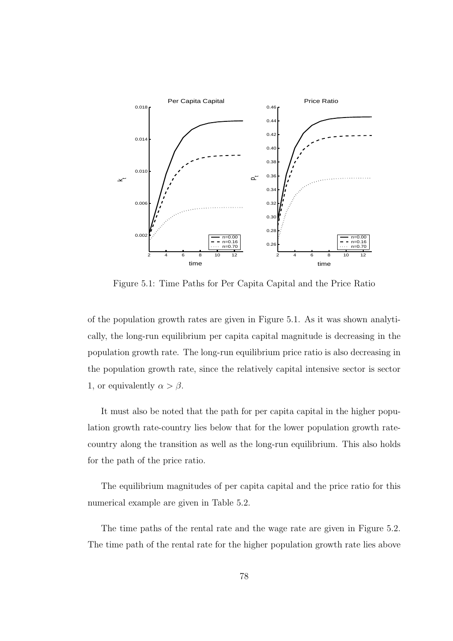

Figure 5.1: Time Paths for Per Capita Capital and the Price Ratio

of the population growth rates are given in Figure 5.1. As it was shown analytically, the long-run equilibrium per capita capital magnitude is decreasing in the population growth rate. The long-run equilibrium price ratio is also decreasing in the population growth rate, since the relatively capital intensive sector is sector 1, or equivalently  $\alpha > \beta$ .

It must also be noted that the path for per capita capital in the higher population growth rate-country lies below that for the lower population growth ratecountry along the transition as well as the long-run equilibrium. This also holds for the path of the price ratio.

The equilibrium magnitudes of per capita capital and the price ratio for this numerical example are given in Table 5.2.

The time paths of the rental rate and the wage rate are given in Figure 5.2. The time path of the rental rate for the higher population growth rate lies above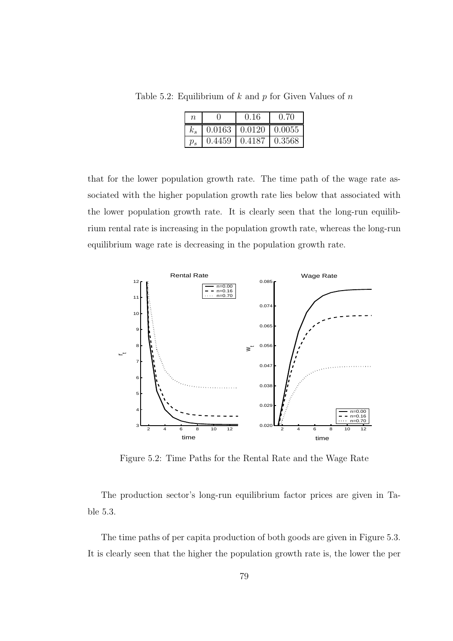Table 5.2: Equilibrium of  $k$  and  $p$  for Given Values of  $n$ 

| n     |        | 0.16   | (1.70) |
|-------|--------|--------|--------|
|       | 0.0163 | 0.0120 | 0.0055 |
| $v_s$ | 0.4459 | 0.4187 | 0.3568 |

that for the lower population growth rate. The time path of the wage rate associated with the higher population growth rate lies below that associated with the lower population growth rate. It is clearly seen that the long-run equilibrium rental rate is increasing in the population growth rate, whereas the long-run equilibrium wage rate is decreasing in the population growth rate.



Figure 5.2: Time Paths for the Rental Rate and the Wage Rate

The production sector's long-run equilibrium factor prices are given in Table 5.3.

The time paths of per capita production of both goods are given in Figure 5.3. It is clearly seen that the higher the population growth rate is, the lower the per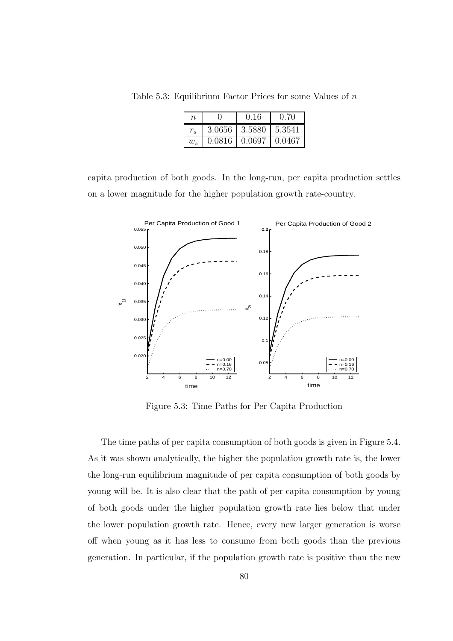Table 5.3: Equilibrium Factor Prices for some Values of  $n$ 

| $\, n$  |        | 0.16   | 0.70   |
|---------|--------|--------|--------|
|         | 3.0656 | 3.5880 | 5.3541 |
| $w_{s}$ | 0.0816 | 0.0697 | 0.0467 |

capita production of both goods. In the long-run, per capita production settles on a lower magnitude for the higher population growth rate-country.



Figure 5.3: Time Paths for Per Capita Production

The time paths of per capita consumption of both goods is given in Figure 5.4. As it was shown analytically, the higher the population growth rate is, the lower the long-run equilibrium magnitude of per capita consumption of both goods by young will be. It is also clear that the path of per capita consumption by young of both goods under the higher population growth rate lies below that under the lower population growth rate. Hence, every new larger generation is worse off when young as it has less to consume from both goods than the previous generation. In particular, if the population growth rate is positive than the new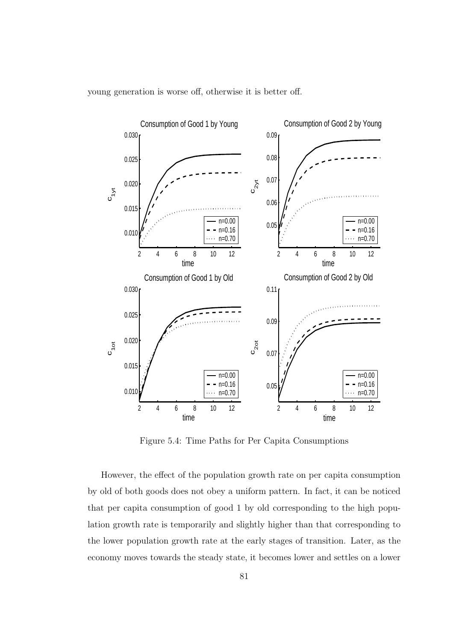

young generation is worse off, otherwise it is better off.

Figure 5.4: Time Paths for Per Capita Consumptions

However, the effect of the population growth rate on per capita consumption by old of both goods does not obey a uniform pattern. In fact, it can be noticed that per capita consumption of good 1 by old corresponding to the high population growth rate is temporarily and slightly higher than that corresponding to the lower population growth rate at the early stages of transition. Later, as the economy moves towards the steady state, it becomes lower and settles on a lower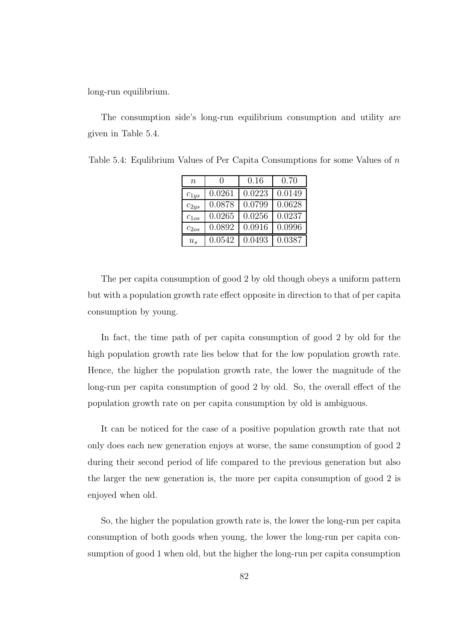long-run equilibrium.

The consumption side's long-run equilibrium consumption and utility are given in Table 5.4.

| $\, n$    | $\mathbf{I}$ | 0.16   | 0.70   |
|-----------|--------------|--------|--------|
| $c_{1ys}$ | 0.0261       | 0.0223 | 0.0149 |
| $c_{2ys}$ | 0.0878       | 0.0799 | 0.0628 |
| $c_{1os}$ | 0.0265       | 0.0256 | 0.0237 |
| $c_{2os}$ | 0.0892       | 0.0916 | 0.0996 |
| $u_{s}$   | 0.0542       | 0.0493 | 0.0387 |

Table 5.4: Equlibrium Values of Per Capita Consumptions for some Values of n

The per capita consumption of good 2 by old though obeys a uniform pattern but with a population growth rate effect opposite in direction to that of per capita consumption by young.

In fact, the time path of per capita consumption of good 2 by old for the high population growth rate lies below that for the low population growth rate. Hence, the higher the population growth rate, the lower the magnitude of the long-run per capita consumption of good 2 by old. So, the overall effect of the population growth rate on per capita consumption by old is ambiguous.

It can be noticed for the case of a positive population growth rate that not only does each new generation enjoys at worse, the same consumption of good 2 during their second period of life compared to the previous generation but also the larger the new generation is, the more per capita consumption of good 2 is enjoyed when old.

So, the higher the population growth rate is, the lower the long-run per capita consumption of both goods when young, the lower the long-run per capita consumption of good 1 when old, but the higher the long-run per capita consumption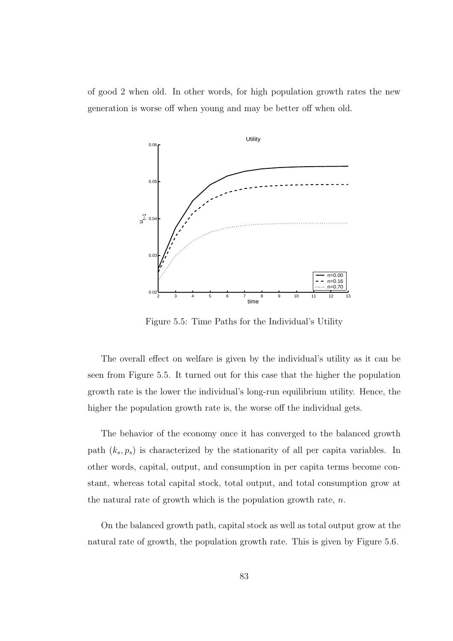of good 2 when old. In other words, for high population growth rates the new generation is worse off when young and may be better off when old.



Figure 5.5: Time Paths for the Individual's Utility

The overall effect on welfare is given by the individual's utility as it can be seen from Figure 5.5. It turned out for this case that the higher the population growth rate is the lower the individual's long-run equilibrium utility. Hence, the higher the population growth rate is, the worse off the individual gets.

The behavior of the economy once it has converged to the balanced growth path  $(k_s, p_s)$  is characterized by the stationarity of all per capita variables. In other words, capital, output, and consumption in per capita terms become constant, whereas total capital stock, total output, and total consumption grow at the natural rate of growth which is the population growth rate,  $n$ .

On the balanced growth path, capital stock as well as total output grow at the natural rate of growth, the population growth rate. This is given by Figure 5.6.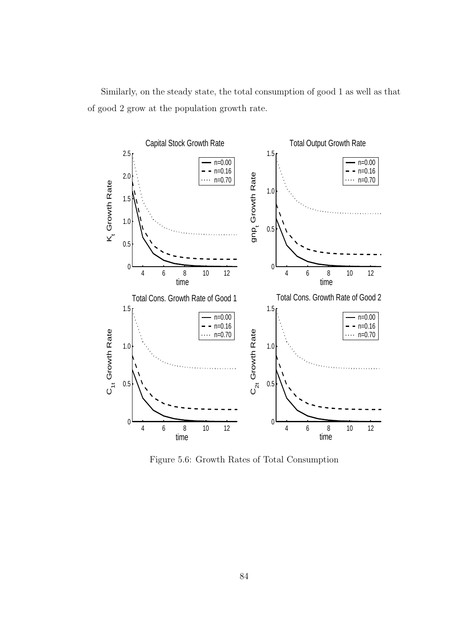Similarly, on the steady state, the total consumption of good 1 as well as that of good 2 grow at the population growth rate.



Figure 5.6: Growth Rates of Total Consumption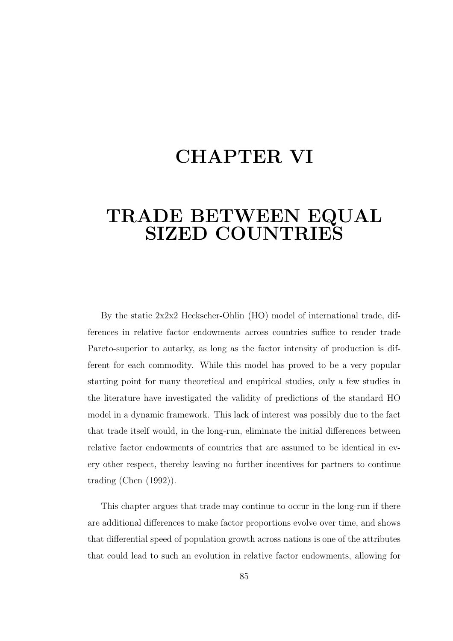## CHAPTER VI

### TRADE BETWEEN EQUAL SIZED COUNTRIES

By the static  $2x2x2$  Heckscher-Ohlin (HO) model of international trade, differences in relative factor endowments across countries suffice to render trade Pareto-superior to autarky, as long as the factor intensity of production is different for each commodity. While this model has proved to be a very popular starting point for many theoretical and empirical studies, only a few studies in the literature have investigated the validity of predictions of the standard HO model in a dynamic framework. This lack of interest was possibly due to the fact that trade itself would, in the long-run, eliminate the initial differences between relative factor endowments of countries that are assumed to be identical in every other respect, thereby leaving no further incentives for partners to continue trading (Chen (1992)).

This chapter argues that trade may continue to occur in the long-run if there are additional differences to make factor proportions evolve over time, and shows that differential speed of population growth across nations is one of the attributes that could lead to such an evolution in relative factor endowments, allowing for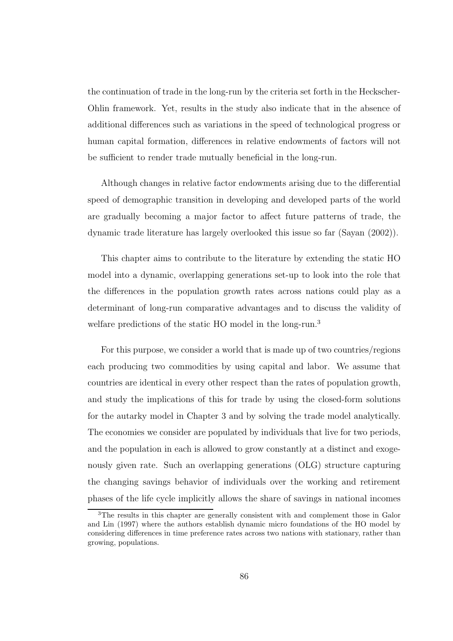the continuation of trade in the long-run by the criteria set forth in the Heckscher-Ohlin framework. Yet, results in the study also indicate that in the absence of additional differences such as variations in the speed of technological progress or human capital formation, differences in relative endowments of factors will not be sufficient to render trade mutually beneficial in the long-run.

Although changes in relative factor endowments arising due to the differential speed of demographic transition in developing and developed parts of the world are gradually becoming a major factor to affect future patterns of trade, the dynamic trade literature has largely overlooked this issue so far (Sayan (2002)).

This chapter aims to contribute to the literature by extending the static HO model into a dynamic, overlapping generations set-up to look into the role that the differences in the population growth rates across nations could play as a determinant of long-run comparative advantages and to discuss the validity of welfare predictions of the static HO model in the long-run.<sup>3</sup>

For this purpose, we consider a world that is made up of two countries/regions each producing two commodities by using capital and labor. We assume that countries are identical in every other respect than the rates of population growth, and study the implications of this for trade by using the closed-form solutions for the autarky model in Chapter 3 and by solving the trade model analytically. The economies we consider are populated by individuals that live for two periods, and the population in each is allowed to grow constantly at a distinct and exogenously given rate. Such an overlapping generations (OLG) structure capturing the changing savings behavior of individuals over the working and retirement phases of the life cycle implicitly allows the share of savings in national incomes

<sup>3</sup>The results in this chapter are generally consistent with and complement those in Galor and Lin (1997) where the authors establish dynamic micro foundations of the HO model by considering differences in time preference rates across two nations with stationary, rather than growing, populations.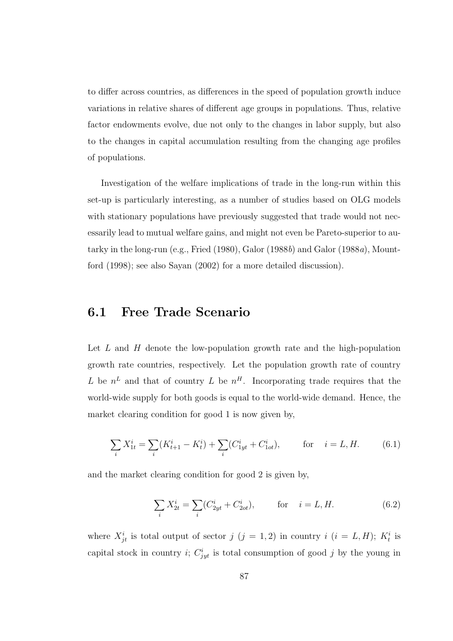to differ across countries, as differences in the speed of population growth induce variations in relative shares of different age groups in populations. Thus, relative factor endowments evolve, due not only to the changes in labor supply, but also to the changes in capital accumulation resulting from the changing age profiles of populations.

Investigation of the welfare implications of trade in the long-run within this set-up is particularly interesting, as a number of studies based on OLG models with stationary populations have previously suggested that trade would not necessarily lead to mutual welfare gains, and might not even be Pareto-superior to autarky in the long-run (e.g., Fried  $(1980)$ , Galor  $(1988b)$  and Galor  $(1988a)$ , Mountford (1998); see also Sayan (2002) for a more detailed discussion).

### 6.1 Free Trade Scenario

Let  $L$  and  $H$  denote the low-population growth rate and the high-population growth rate countries, respectively. Let the population growth rate of country L be  $n^L$  and that of country L be  $n^H$ . Incorporating trade requires that the world-wide supply for both goods is equal to the world-wide demand. Hence, the market clearing condition for good 1 is now given by,

$$
\sum_{i} X_{1t}^{i} = \sum_{i} (K_{t+1}^{i} - K_{t}^{i}) + \sum_{i} (C_{1yt}^{i} + C_{1ot}^{i}), \quad \text{for} \quad i = L, H. \quad (6.1)
$$

and the market clearing condition for good 2 is given by,

$$
\sum_{i} X_{2t}^{i} = \sum_{i} (C_{2yt}^{i} + C_{2ot}^{i}), \quad \text{for} \quad i = L, H. \tag{6.2}
$$

where  $X_{jt}^i$  is total output of sector  $j$   $(j = 1, 2)$  in country  $i$   $(i = L, H)$ ;  $K_t^i$  is capital stock in country *i*;  $C_{jyt}^{i}$  is total consumption of good *j* by the young in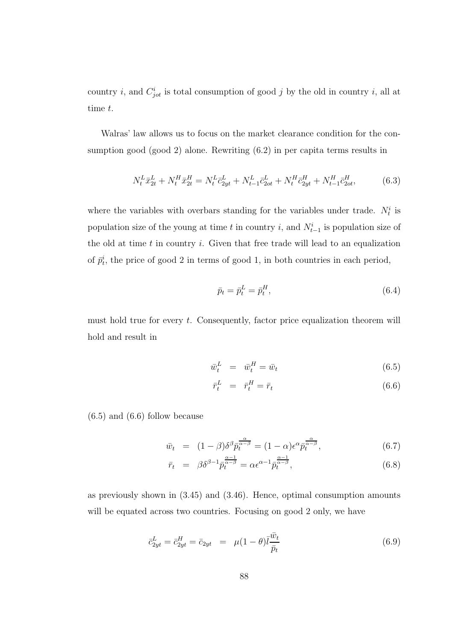country *i*, and  $C_{jot}^i$  is total consumption of good *j* by the old in country *i*, all at time t.

Walras' law allows us to focus on the market clearance condition for the consumption good (good 2) alone. Rewriting (6.2) in per capita terms results in

$$
N_t^L \bar{x}_{2t}^L + N_t^H \bar{x}_{2t}^H = N_t^L \bar{c}_{2yt}^L + N_{t-1}^L \bar{c}_{2ot}^L + N_t^H \bar{c}_{2yt}^H + N_{t-1}^H \bar{c}_{2ot}^H,
$$
(6.3)

where the variables with overbars standing for the variables under trade.  $N_t^i$  is population size of the young at time t in country i, and  $N_{t-1}^i$  is population size of the old at time  $t$  in country  $i$ . Given that free trade will lead to an equalization of  $\bar{p}_t^i$ , the price of good 2 in terms of good 1, in both countries in each period,

$$
\bar{p}_t = \bar{p}_t^L = \bar{p}_t^H,\tag{6.4}
$$

must hold true for every  $t$ . Consequently, factor price equalization theorem will hold and result in

$$
\bar{w}_t^L = \bar{w}_t^H = \bar{w}_t \tag{6.5}
$$

$$
\bar{r}_t^L = \bar{r}_t^H = \bar{r}_t \tag{6.6}
$$

 $(6.5)$  and  $(6.6)$  follow because

$$
\bar{w}_t = (1 - \beta)\delta^{\beta}\bar{p}_t^{\frac{\alpha}{\alpha - \beta}} = (1 - \alpha)\epsilon^{\alpha}\bar{p}_t^{\frac{\alpha}{\alpha - \beta}},\tag{6.7}
$$

$$
\bar{r}_t = \beta \delta^{\beta - 1} \bar{p}_t^{\frac{\alpha - 1}{\alpha - \beta}} = \alpha \epsilon^{\alpha - 1} \bar{p}_t^{\frac{\alpha - 1}{\alpha - \beta}}, \tag{6.8}
$$

as previously shown in (3.45) and (3.46). Hence, optimal consumption amounts will be equated across two countries. Focusing on good 2 only, we have

$$
\bar{c}_{2yt}^L = \bar{c}_{2yt}^H = \bar{c}_{2yt} = \mu(1-\theta)\bar{l}\frac{\bar{w}_t}{\bar{p}_t}
$$
\n(6.9)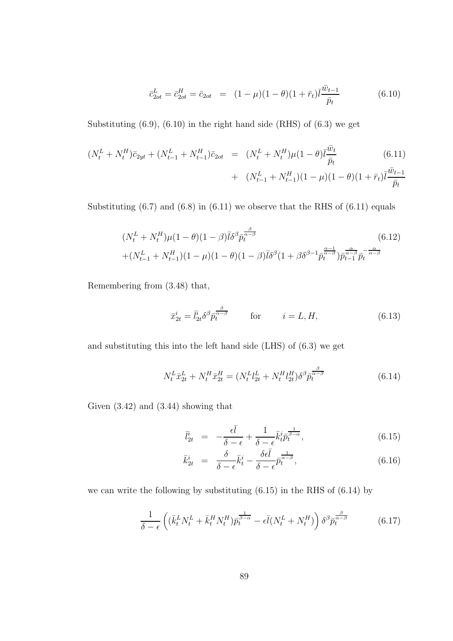$$
\bar{c}_{2ot}^L = \bar{c}_{2ot}^H = \bar{c}_{2ot} = (1 - \mu)(1 - \theta)(1 + \bar{r}_t)\bar{l}\frac{\bar{w}_{t-1}}{\bar{p}_t}
$$
(6.10)

Substituting  $(6.9)$ ,  $(6.10)$  in the right hand side  $(RHS)$  of  $(6.3)$  we get

$$
(N_t^L + N_t^H)\bar{c}_{2yt} + (N_{t-1}^L + N_{t-1}^H)\bar{c}_{2ot} = (N_t^L + N_t^H)\mu(1-\theta)\bar{l}\frac{\bar{w}_t}{\bar{p}_t}
$$
(6.11)  
+ 
$$
(N_{t-1}^L + N_{t-1}^H)(1-\mu)(1-\theta)(1+\bar{r}_t)\bar{l}\frac{\bar{w}_{t-1}}{\bar{p}_t}
$$

Substituting  $(6.7)$  and  $(6.8)$  in  $(6.11)$  we observe that the RHS of  $(6.11)$  equals

$$
(N_t^L + N_t^H)\mu(1 - \theta)(1 - \beta)\bar{l}\delta^{\beta}\bar{p}_t^{\frac{\beta}{\alpha - \beta}}\n+ (N_{t-1}^L + N_{t-1}^H)(1 - \mu)(1 - \theta)(1 - \beta)\bar{l}\delta^{\beta}(1 + \beta\delta^{\beta - 1}\bar{p}_t^{\frac{\alpha - 1}{\alpha - \beta}}) \bar{p}_{t-1}^{\frac{\alpha}{\alpha - \beta}}\bar{p}_t^{-\frac{\alpha}{\alpha - \beta}}\n\tag{6.12}
$$

Remembering from (3.48) that,

$$
\bar{x}_{2t}^i = \bar{l}_{2t}^i \delta^\beta \bar{p}_t^{\frac{\beta}{\alpha-\beta}} \qquad \text{for} \qquad i = L, H,
$$
\n(6.13)

and substituting this into the left hand side (LHS) of (6.3) we get

$$
N_t^L \bar{x}_{2t}^L + N_t^H \bar{x}_{2t}^H = (N_t^L l_{2t}^L + N_t^H l_{2t}^H) \delta^\beta \bar{p}_t^{\frac{\beta}{\alpha - \beta}}
$$
(6.14)

Given (3.42) and (3.44) showing that

$$
\bar{l}_{2t}^{i} = -\frac{\epsilon \bar{l}}{\delta - \epsilon} + \frac{1}{\delta - \epsilon} \bar{k}_t^{i} \bar{p}_t^{\frac{1}{\beta - \alpha}}, \qquad (6.15)
$$

$$
\bar{k}_{2t}^{i} = \frac{\delta}{\delta - \epsilon} \bar{k}_t^{i} - \frac{\delta \epsilon \bar{l}}{\delta - \epsilon} \bar{p}_t^{\frac{1}{\alpha - \beta}}, \qquad (6.16)
$$

we can write the following by substituting (6.15) in the RHS of (6.14) by

$$
\frac{1}{\delta - \epsilon} \left( (\bar{k}_t^L N_t^L + \bar{k}_t^H N_t^H) \bar{p}_t^{\frac{1}{\beta - \alpha}} - \epsilon \bar{l} (N_t^L + N_t^H) \right) \delta^\beta \bar{p}_t^{\frac{\beta}{\alpha - \beta}} \tag{6.17}
$$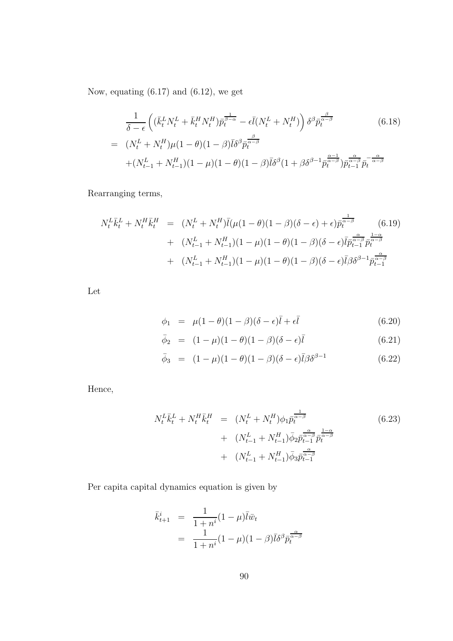Now, equating (6.17) and (6.12), we get

$$
\frac{1}{\delta - \epsilon} \left( (\bar{k}_t^L N_t^L + \bar{k}_t^H N_t^H) \bar{p}_t^{\frac{1}{\beta - \alpha}} - \epsilon \bar{l} (N_t^L + N_t^H) \right) \delta^\beta \bar{p}_t^{\frac{\beta}{\alpha - \beta}} \tag{6.18}
$$
\n
$$
= (N_t^L + N_t^H) \mu (1 - \theta) (1 - \beta) \bar{l} \delta^\beta \bar{p}_t^{\frac{\beta}{\alpha - \beta}}
$$
\n
$$
+ (N_{t-1}^L + N_{t-1}^H) (1 - \mu) (1 - \theta) (1 - \beta) \bar{l} \delta^\beta (1 + \beta \delta^{\beta - 1} \bar{p}_t^{\frac{\alpha - 1}{\alpha - \beta}}) \bar{p}_{t-1}^{\frac{\alpha}{\alpha - \beta}} \bar{p}_t^{-\frac{\alpha}{\alpha - \beta}}
$$

Rearranging terms,

$$
N_t^L \bar{k}_t^L + N_t^H \bar{k}_t^H = (N_t^L + N_t^H) \bar{l} (\mu (1 - \theta)(1 - \beta)(\delta - \epsilon) + \epsilon) \bar{p}_t^{\frac{1}{\alpha - \beta}} \qquad (6.19)
$$
  
+ 
$$
(N_{t-1}^L + N_{t-1}^H)(1 - \mu)(1 - \theta)(1 - \beta)(\delta - \epsilon) \bar{l} \bar{p}_{t-1}^{\frac{\alpha}{\alpha - \beta}} \bar{p}_t^{\frac{1 - \alpha}{\alpha - \beta}}
$$
  
+ 
$$
(N_{t-1}^L + N_{t-1}^H)(1 - \mu)(1 - \theta)(1 - \beta)(\delta - \epsilon) \bar{l} \beta \delta^{\beta - 1} \bar{p}_{t-1}^{\frac{\alpha}{\alpha - \beta}}
$$

Let

$$
\phi_1 = \mu(1-\theta)(1-\beta)(\delta-\epsilon)\bar{l} + \epsilon\bar{l} \tag{6.20}
$$

$$
\bar{\phi}_2 = (1 - \mu)(1 - \theta)(1 - \beta)(\delta - \epsilon)\bar{l} \tag{6.21}
$$

$$
\bar{\phi}_3 = (1 - \mu)(1 - \theta)(1 - \beta)(\delta - \epsilon)\bar{l}\beta\delta^{\beta - 1} \tag{6.22}
$$

Hence,

$$
N_t^L \bar{k}_t^L + N_t^H \bar{k}_t^H = (N_t^L + N_t^H) \phi_1 \bar{p}_t^{\frac{1}{\alpha - \beta}} + (N_{t-1}^L + N_{t-1}^H) \bar{\phi}_2 \bar{p}_{t-1}^{\frac{\alpha}{\alpha - \beta}} \bar{p}_t^{\frac{1 - \alpha}{\alpha - \beta}} + (N_{t-1}^L + N_{t-1}^H) \bar{\phi}_3 \bar{p}_{t-1}^{\frac{\alpha}{\alpha - \beta}}
$$
\n(6.23)

Per capita capital dynamics equation is given by

$$
\begin{array}{rcl}\n\bar{k}_{t+1}^i & = & \frac{1}{1+n^i}(1-\mu)\bar{l}\bar{w}_t \\
& = & \frac{1}{1+n^i}(1-\mu)(1-\beta)\bar{l}\delta^\beta p_t^{\frac{\alpha}{\alpha-\beta}}\n\end{array}
$$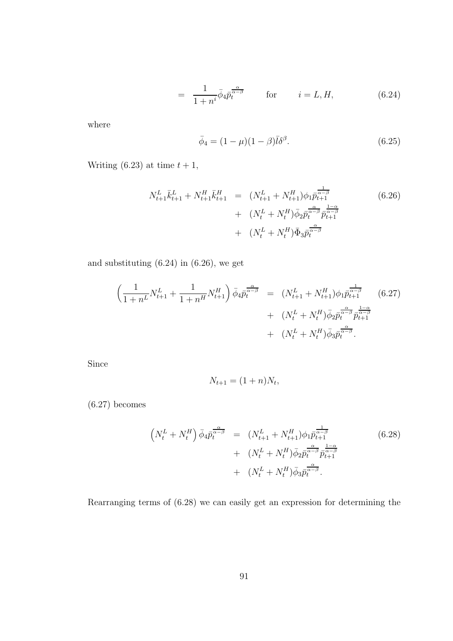$$
= \frac{1}{1+n^i} \bar{\phi}_4 \bar{p}_t^{\frac{\alpha}{\alpha-\beta}} \qquad \text{for} \qquad i = L, H,
$$
 (6.24)

where

$$
\bar{\phi}_4 = (1 - \mu)(1 - \beta)\bar{l}\delta^\beta. \tag{6.25}
$$

Writing (6.23) at time  $t + 1$ ,

$$
N_{t+1}^{L} \bar{k}_{t+1}^{L} + N_{t+1}^{H} \bar{k}_{t+1}^{H} = (N_{t+1}^{L} + N_{t+1}^{H}) \phi_{1} \bar{p}_{t+1}^{\frac{1}{\alpha - \beta}} + (N_{t}^{L} + N_{t}^{H}) \bar{\phi}_{2} \bar{p}_{t}^{\frac{\alpha}{\alpha - \beta}} \bar{p}_{t+1}^{\frac{1 - \alpha}{\alpha - \beta}} + (N_{t}^{L} + N_{t}^{H}) \bar{\Phi}_{3} \bar{p}_{t}^{\frac{\alpha}{\alpha - \beta}}
$$
\n(6.26)

and substituting (6.24) in (6.26), we get

$$
\left(\frac{1}{1+n^L}N_{t+1}^L + \frac{1}{1+n^H}N_{t+1}^H\right)\bar{\phi}_4\bar{p}_t^{\frac{\alpha}{\alpha-\beta}} = (N_{t+1}^L + N_{t+1}^H)\phi_1\bar{p}_{t+1}^{\frac{1}{\alpha-\beta}} \qquad (6.27)
$$
  
+ 
$$
(N_t^L + N_t^H)\bar{\phi}_2\bar{p}_t^{\frac{\alpha}{\alpha-\beta}}\bar{p}_{t+1}^{\frac{1-\alpha}{\alpha-\beta}}
$$
  
+ 
$$
(N_t^L + N_t^H)\bar{\phi}_3\bar{p}_t^{\frac{\alpha}{\alpha-\beta}}.
$$

Since

$$
N_{t+1} = (1+n)N_t,
$$

(6.27) becomes

$$
\left(N_t^L + N_t^H\right)\bar{\phi}_4\bar{p}_t^{\frac{\alpha}{\alpha-\beta}} = \left(N_{t+1}^L + N_{t+1}^H\right)\phi_1\bar{p}_{t+1}^{\frac{1}{\alpha-\beta}} + \left(N_t^L + N_t^H\right)\bar{\phi}_2\bar{p}_t^{\frac{\alpha}{\alpha-\beta}}\bar{p}_{t+1}^{\frac{1-\alpha}{\alpha-\beta}} + \left(N_t^L + N_t^H\right)\bar{\phi}_3\bar{p}_t^{\frac{\alpha}{\alpha-\beta}}.
$$
\n(6.28)

Rearranging terms of (6.28) we can easily get an expression for determining the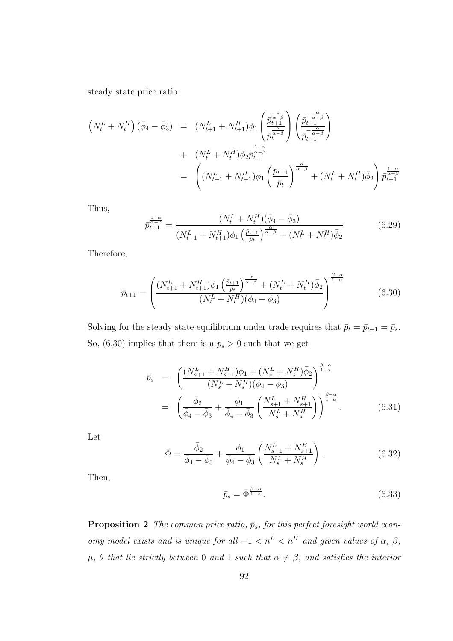steady state price ratio:

$$
\begin{split}\n\left(N_{t}^{L} + N_{t}^{H}\right)(\bar{\phi}_{4} - \bar{\phi}_{3}) &= (N_{t+1}^{L} + N_{t+1}^{H})\phi_{1}\left(\frac{\bar{p}_{t+1}^{\frac{1}{\alpha-\beta}}}{\bar{p}_{t}^{\frac{\alpha}{\alpha-\beta}}}\right)\left(\frac{\bar{p}_{t+1}^{-\frac{\alpha}{\alpha-\beta}}}{\bar{p}_{t+1}^{-\frac{\alpha}{\alpha-\beta}}}\right) \\
&+ (N_{t}^{L} + N_{t}^{H})\bar{\phi}_{2}\bar{p}_{t+1}^{\frac{1-\alpha}{\alpha-\beta}} \\
&= \left((N_{t+1}^{L} + N_{t+1}^{H})\phi_{1}\left(\frac{\bar{p}_{t+1}}{\bar{p}_{t}}\right)^{\frac{\alpha}{\alpha-\beta}} + (N_{t}^{L} + N_{t}^{H})\bar{\phi}_{2}\right)\bar{p}_{t+1}^{\frac{1-\alpha}{\alpha-\beta}}\n\end{split}
$$

Thus,

$$
\bar{p}_{t+1}^{\frac{1-\alpha}{\alpha-\beta}} = \frac{(N_t^L + N_t^H)(\bar{\phi}_4 - \bar{\phi}_3)}{(N_{t+1}^L + N_{t+1}^H)\phi_1 \left(\frac{\bar{p}_{t+1}}{\bar{p}_t}\right)^{\frac{\alpha}{\alpha-\beta}} + (N_t^L + N_t^H)\bar{\phi}_2}
$$
(6.29)

Therefore,

$$
\bar{p}_{t+1} = \left( \frac{(N_{t+1}^L + N_{t+1}^H)\phi_1 \left(\frac{\bar{p}_{t+1}}{\bar{p}_t}\right)^{\frac{\alpha}{\alpha - \beta}} + (N_t^L + N_t^H)\bar{\phi}_2}{(N_t^L + N_t^H)(\bar{\phi}_4 - \bar{\phi}_3)} \right)^{\frac{\beta - \alpha}{1 - \alpha}} \tag{6.30}
$$

Solving for the steady state equilibrium under trade requires that  $\bar{p}_t = \bar{p}_{t+1} = \bar{p}_s$ . So, (6.30) implies that there is a  $\bar{p}_s > 0$  such that we get

$$
\bar{p}_s = \left( \frac{(N_{s+1}^L + N_{s+1}^H)\phi_1 + (N_s^L + N_s^H)\bar{\phi}_2}{(N_s^L + N_s^H)(\bar{\phi}_4 - \bar{\phi}_3)} \right)^{\frac{\beta - \alpha}{1 - \alpha}} \n= \left( \frac{\bar{\phi}_2}{\bar{\phi}_4 - \bar{\phi}_3} + \frac{\phi_1}{\bar{\phi}_4 - \bar{\phi}_3} \left( \frac{N_{s+1}^L + N_{s+1}^H}{N_s^L + N_s^H} \right) \right)^{\frac{\beta - \alpha}{1 - \alpha}}.
$$
\n(6.31)

Let

$$
\bar{\Phi} = \frac{\bar{\phi}_2}{\bar{\phi}_4 - \bar{\phi}_3} + \frac{\phi_1}{\bar{\phi}_4 - \bar{\phi}_3} \left( \frac{N_{s+1}^L + N_{s+1}^H}{N_s^L + N_s^H} \right). \tag{6.32}
$$

Then,

$$
\bar{p}_s = \bar{\Phi}^{\frac{\beta - \alpha}{1 - \alpha}}.\tag{6.33}
$$

**Proposition 2** The common price ratio,  $\bar{p}_s$ , for this perfect foresight world economy model exists and is unique for all  $-1 < n^L < n^H$  and given values of  $\alpha$ ,  $\beta$ ,  $\mu$ ,  $\theta$  that lie strictly between 0 and 1 such that  $\alpha \neq \beta$ , and satisfies the interior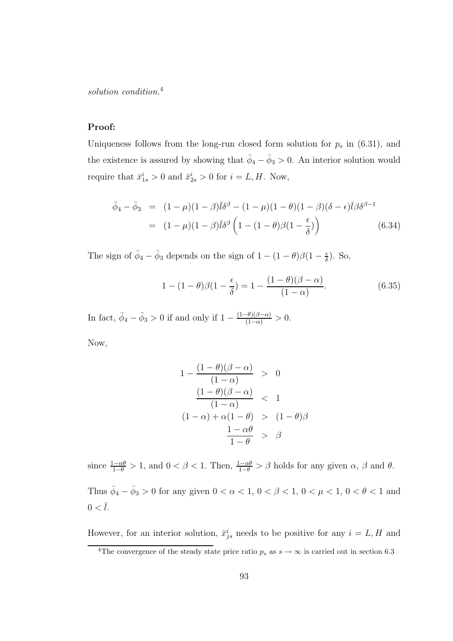solution condition.<sup>4</sup>

#### Proof:

Uniqueness follows from the long-run closed form solution for  $p_s$  in (6.31), and the existence is assured by showing that  $\bar{\phi}_4 - \bar{\phi}_3 > 0$ . An interior solution would require that  $\bar{x}_{1s}^i > 0$  and  $\bar{x}_{2s}^i > 0$  for  $i = L, H$ . Now,

$$
\bar{\phi}_4 - \bar{\phi}_3 = (1 - \mu)(1 - \beta)\bar{l}\delta^\beta - (1 - \mu)(1 - \theta)(1 - \beta)(\delta - \epsilon)\bar{l}\beta\delta^{\beta - 1}
$$
  
= 
$$
(1 - \mu)(1 - \beta)\bar{l}\delta^\beta \left(1 - (1 - \theta)\beta(1 - \frac{\epsilon}{\delta})\right)
$$
(6.34)

The sign of  $\bar{\phi}_4 - \bar{\phi}_3$  depends on the sign of  $1 - (1 - \theta)\beta(1 - \frac{\epsilon}{\delta})$  $\frac{\epsilon}{\delta}$ ). So,

$$
1 - (1 - \theta)\beta(1 - \frac{\epsilon}{\delta}) = 1 - \frac{(1 - \theta)(\beta - \alpha)}{(1 - \alpha)}.
$$
\n(6.35)

In fact,  $\bar{\phi}_4 - \bar{\phi}_3 > 0$  if and only if  $1 - \frac{(1-\theta)(\beta-\alpha)}{(1-\alpha)} > 0$ .

Now,

$$
1 - \frac{(1 - \theta)(\beta - \alpha)}{(1 - \alpha)} > 0
$$
  

$$
\frac{(1 - \theta)(\beta - \alpha)}{(1 - \alpha)} < 1
$$
  

$$
(1 - \alpha) + \alpha(1 - \theta) > (1 - \theta)\beta
$$
  

$$
\frac{1 - \alpha\theta}{1 - \theta} > \beta
$$

since  $\frac{1-\alpha\theta}{1-\theta} > 1$ , and  $0 < \beta < 1$ . Then,  $\frac{1-\alpha\theta}{1-\theta} > \beta$  holds for any given  $\alpha$ ,  $\beta$  and  $\theta$ . Thus  $\bar{\phi}_4 - \bar{\phi}_3 > 0$  for any given  $0 < \alpha < 1$ ,  $0 < \beta < 1$ ,  $0 < \mu < 1$ ,  $0 < \theta < 1$  and  $0<\bar{l}.$ 

However, for an interior solution,  $\bar{x}_{js}^i$  needs to be positive for any  $i = L, H$  and

<sup>&</sup>lt;sup>4</sup>The convergence of the steady state price ratio  $p_s$  as  $s \to \infty$  is carried out in section 6.3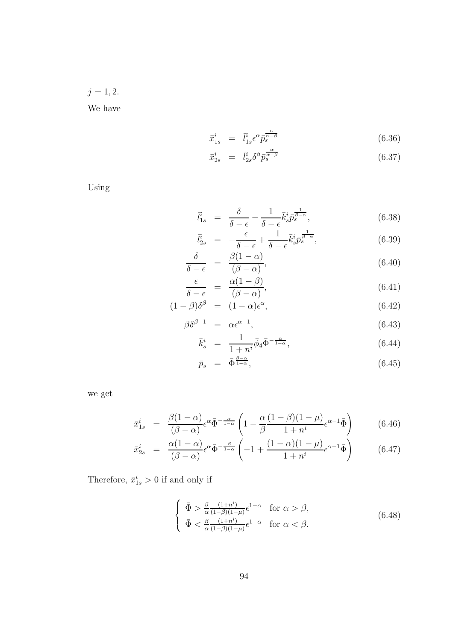$j = 1, 2.$ We have

$$
\bar{x}_{1s}^i = \bar{l}_{1s}^i \epsilon^\alpha \bar{p}_s^{\frac{\alpha}{\alpha - \beta}} \tag{6.36}
$$

$$
\bar{x}_{2s}^i = \bar{l}_{2s}^i \delta^\beta \bar{p}_s^{\frac{\alpha}{\alpha - \beta}} \tag{6.37}
$$

Using

$$
\bar{l}_{1s}^i = \frac{\delta}{\delta - \epsilon} - \frac{1}{\delta - \epsilon} \bar{k}_s^i \bar{p}_s^{\frac{1}{\beta - \alpha}},\tag{6.38}
$$

$$
\overline{l}_{2s}^i = -\frac{\epsilon}{\delta - \epsilon} + \frac{1}{\delta - \epsilon} \overline{k}_s^i \overline{p}_s^{\frac{1}{\beta - \alpha}}, \tag{6.39}
$$

$$
\frac{\delta}{\delta - \epsilon} = \frac{\beta(1 - \alpha)}{(\beta - \alpha)},\tag{6.40}
$$

$$
\frac{\epsilon}{\delta - \epsilon} = \frac{\alpha (1 - \beta)}{(\beta - \alpha)},\tag{6.41}
$$

$$
(1 - \beta)\delta^{\beta} = (1 - \alpha)\epsilon^{\alpha}, \qquad (6.42)
$$

$$
\beta \delta^{\beta - 1} = \alpha \epsilon^{\alpha - 1}, \tag{6.43}
$$

$$
\bar{k}_s^i = \frac{1}{1+n^i} \bar{\phi}_4 \bar{\Phi}^{-\frac{\alpha}{1-\alpha}}, \tag{6.44}
$$

$$
\bar{p}_s = \bar{\Phi}^{\frac{\beta - \alpha}{1 - \alpha}},\tag{6.45}
$$

we get

$$
\bar{x}_{1s}^i = \frac{\beta(1-\alpha)}{(\beta-\alpha)} \epsilon^{\alpha} \bar{\Phi}^{-\frac{\alpha}{1-\alpha}} \left(1 - \frac{\alpha}{\beta} \frac{(1-\beta)(1-\mu)}{1+n^i} \epsilon^{\alpha-1} \bar{\Phi}\right) \tag{6.46}
$$

$$
\bar{x}_{2s}^i = \frac{\alpha(1-\alpha)}{(\beta-\alpha)} \epsilon^{\alpha} \bar{\Phi}^{-\frac{\beta}{1-\alpha}} \left( -1 + \frac{(1-\alpha)(1-\mu)}{1+n^i} \epsilon^{\alpha-1} \bar{\Phi} \right)
$$
(6.47)

Therefore,  $\bar{x}_{1s}^i > 0$  if and only if

$$
\begin{cases} \bar{\Phi} > \frac{\beta}{\alpha} \frac{(1+n^{i})}{(1-\beta)(1-\mu)} \epsilon^{1-\alpha} & \text{for } \alpha > \beta, \\ \bar{\Phi} < \frac{\beta}{\alpha} \frac{(1+n^{i})}{(1-\beta)(1-\mu)} \epsilon^{1-\alpha} & \text{for } \alpha < \beta. \end{cases}
$$
 (6.48)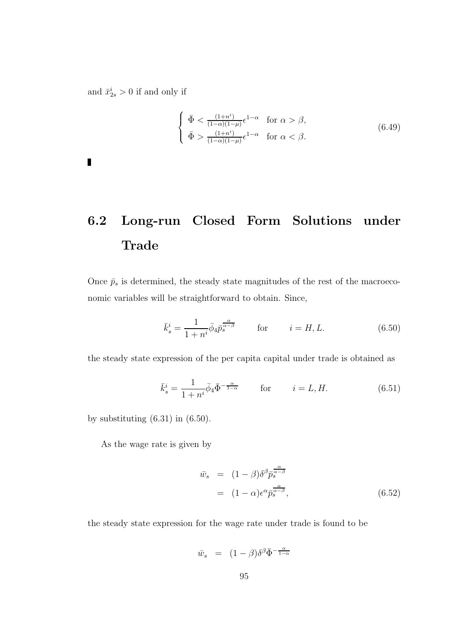and  $\bar{x}_{2s}^i > 0$  if and only if

$$
\begin{cases} \bar{\Phi} < \frac{(1+n^i)}{(1-\alpha)(1-\mu)} \epsilon^{1-\alpha} \quad \text{for } \alpha > \beta, \\ \bar{\Phi} > \frac{(1+n^i)}{(1-\alpha)(1-\mu)} \epsilon^{1-\alpha} \quad \text{for } \alpha < \beta. \end{cases} \tag{6.49}
$$

 $\blacksquare$ 

# 6.2 Long-run Closed Form Solutions under Trade

Once  $\bar{p}_s$  is determined, the steady state magnitudes of the rest of the macroeconomic variables will be straightforward to obtain. Since,

$$
\bar{k}_s^i = \frac{1}{1+n^i} \bar{\phi}_4 \bar{p}_s^{\frac{\alpha}{\alpha-\beta}} \qquad \text{for} \qquad i = H, L. \tag{6.50}
$$

the steady state expression of the per capita capital under trade is obtained as

$$
\bar{k}_s^i = \frac{1}{1+n^i} \bar{\phi}_4 \bar{\Phi}^{-\frac{\alpha}{1-\alpha}} \qquad \text{for} \qquad i = L, H. \tag{6.51}
$$

by substituting  $(6.31)$  in  $(6.50)$ .

As the wage rate is given by

$$
\bar{w}_s = (1 - \beta)\delta^{\beta} \bar{p}_s^{\frac{\alpha}{\alpha - \beta}}
$$
  
=  $(1 - \alpha)\epsilon^{\alpha} \bar{p}_s^{\frac{\alpha}{\alpha - \beta}},$  (6.52)

the steady state expression for the wage rate under trade is found to be

$$
\bar{w}_s = (1 - \beta)\delta^{\beta}\bar{\Phi}^{-\frac{\alpha}{1 - \alpha}}
$$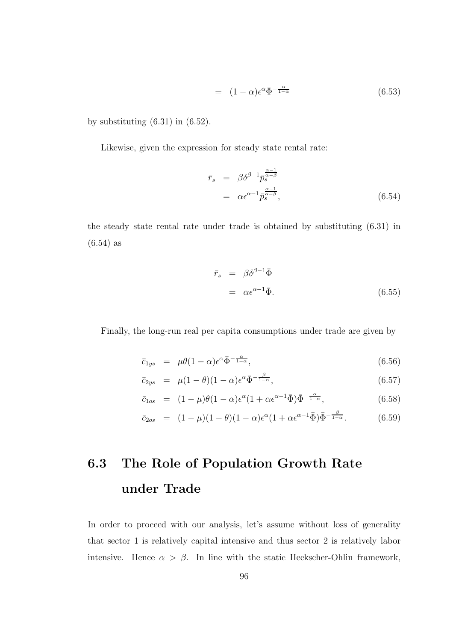$$
= (1 - \alpha)\epsilon^{\alpha}\bar{\Phi}^{-\frac{\alpha}{1 - \alpha}} \tag{6.53}
$$

by substituting  $(6.31)$  in  $(6.52)$ .

Likewise, given the expression for steady state rental rate:

$$
\begin{array}{rcl}\n\bar{r}_s & = & \beta \delta^{\beta - 1} \bar{p}_s^{\frac{\alpha - 1}{\alpha - \beta}} \\
& = & \alpha \epsilon^{\alpha - 1} \bar{p}_s^{\frac{\alpha - 1}{\alpha - \beta}},\n\end{array} \tag{6.54}
$$

the steady state rental rate under trade is obtained by substituting (6.31) in (6.54) as

$$
\begin{array}{rcl}\n\bar{r}_s & = & \beta \delta^{\beta - 1} \bar{\Phi} \\
& = & \alpha \epsilon^{\alpha - 1} \bar{\Phi}.\n\end{array} \tag{6.55}
$$

Finally, the long-run real per capita consumptions under trade are given by

$$
\bar{c}_{1ys} = \mu \theta (1 - \alpha) \epsilon^{\alpha} \bar{\Phi}^{-\frac{\alpha}{1 - \alpha}}, \tag{6.56}
$$

$$
\bar{c}_{2ys} = \mu (1 - \theta)(1 - \alpha) \epsilon^{\alpha} \bar{\Phi}^{-\frac{\beta}{1 - \alpha}}, \qquad (6.57)
$$

$$
\bar{c}_{1os} = (1 - \mu)\theta(1 - \alpha)\epsilon^{\alpha}(1 + \alpha\epsilon^{\alpha - 1}\bar{\Phi})\bar{\Phi}^{-\frac{\alpha}{1 - \alpha}}, \qquad (6.58)
$$

$$
\bar{c}_{2os} = (1 - \mu)(1 - \theta)(1 - \alpha)\epsilon^{\alpha}(1 + \alpha\epsilon^{\alpha - 1}\bar{\Phi})\bar{\Phi}^{-\frac{\beta}{1 - \alpha}}.
$$
 (6.59)

# 6.3 The Role of Population Growth Rate under Trade

In order to proceed with our analysis, let's assume without loss of generality that sector 1 is relatively capital intensive and thus sector 2 is relatively labor intensive. Hence  $\alpha > \beta$ . In line with the static Heckscher-Ohlin framework,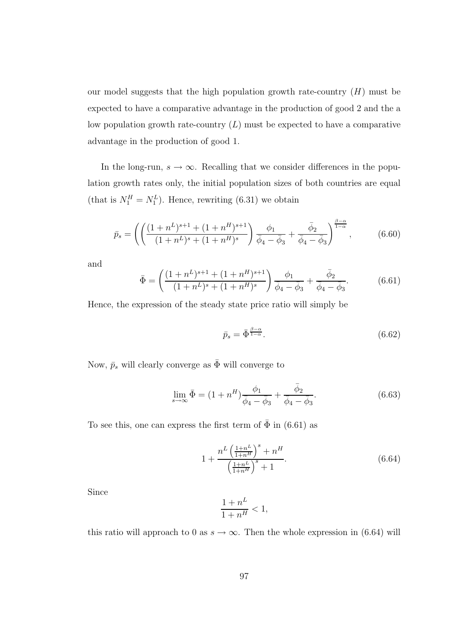our model suggests that the high population growth rate-country  $(H)$  must be expected to have a comparative advantage in the production of good 2 and the a low population growth rate-country  $(L)$  must be expected to have a comparative advantage in the production of good 1.

In the long-run,  $s \to \infty$ . Recalling that we consider differences in the population growth rates only, the initial population sizes of both countries are equal (that is  $N_1^H = N_1^L$ ). Hence, rewriting (6.31) we obtain

$$
\bar{p}_s = \left( \left( \frac{(1+n^L)^{s+1} + (1+n^H)^{s+1}}{(1+n^L)^s + (1+n^H)^s} \right) \frac{\phi_1}{\bar{\phi}_4 - \bar{\phi}_3} + \frac{\bar{\phi}_2}{\bar{\phi}_4 - \bar{\phi}_3} \right)^{\frac{\beta-\alpha}{1-\alpha}}, \tag{6.60}
$$

and

$$
\bar{\Phi} = \left( \frac{(1+n^L)^{s+1} + (1+n^H)^{s+1}}{(1+n^L)^s + (1+n^H)^s} \right) \frac{\phi_1}{\bar{\phi}_4 - \bar{\phi}_3} + \frac{\bar{\phi}_2}{\bar{\phi}_4 - \bar{\phi}_3}.
$$
 (6.61)

Hence, the expression of the steady state price ratio will simply be

$$
\bar{p}_s = \bar{\Phi}^{\frac{\beta - \alpha}{1 - \alpha}}.\tag{6.62}
$$

Now,  $\bar{p}_s$  will clearly converge as  $\bar{\Phi}$  will converge to

$$
\lim_{s \to \infty} \bar{\Phi} = (1 + n^H) \frac{\phi_1}{\bar{\phi}_4 - \bar{\phi}_3} + \frac{\bar{\phi}_2}{\bar{\phi}_4 - \bar{\phi}_3}.
$$
\n(6.63)

To see this, one can express the first term of  $\bar{\Phi}$  in (6.61) as

$$
1 + \frac{n^L \left(\frac{1+n^L}{1+n^H}\right)^s + n^H}{\left(\frac{1+n^L}{1+n^H}\right)^s + 1}.
$$
 (6.64)

Since

$$
\frac{1+n^L}{1+n^H} < 1,
$$

this ratio will approach to 0 as  $s \to \infty$ . Then the whole expression in (6.64) will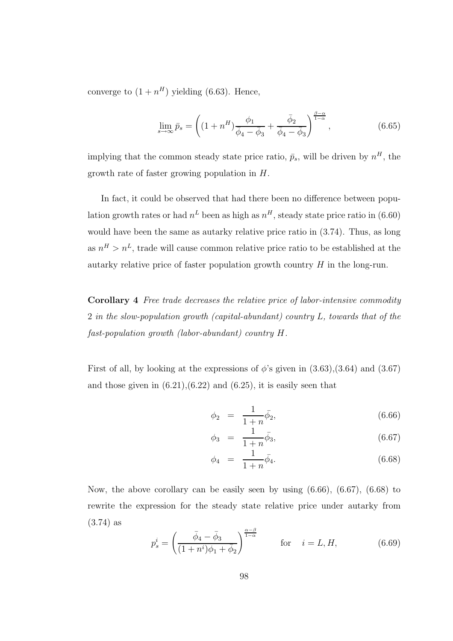converge to  $(1+n^H)$  yielding (6.63). Hence,

$$
\lim_{s \to \infty} \bar{p}_s = \left( (1 + n^H) \frac{\phi_1}{\bar{\phi}_4 - \bar{\phi}_3} + \frac{\bar{\phi}_2}{\bar{\phi}_4 - \bar{\phi}_3} \right)^{\frac{\beta - \alpha}{1 - \alpha}}, \tag{6.65}
$$

implying that the common steady state price ratio,  $\bar{p}_s$ , will be driven by  $n^H$ , the growth rate of faster growing population in H.

In fact, it could be observed that had there been no difference between population growth rates or had  $n^L$  been as high as  $n^H$ , steady state price ratio in (6.60) would have been the same as autarky relative price ratio in (3.74). Thus, as long as  $n^H > n^L$ , trade will cause common relative price ratio to be established at the autarky relative price of faster population growth country  $H$  in the long-run.

Corollary 4 Free trade decreases the relative price of labor-intensive commodity 2 in the slow-population growth (capital-abundant) country L, towards that of the fast-population growth (labor-abundant) country H.

First of all, by looking at the expressions of  $\phi$ 's given in  $(3.63),(3.64)$  and  $(3.67)$ and those given in  $(6.21),(6.22)$  and  $(6.25)$ , it is easily seen that

$$
\phi_2 = \frac{1}{1+n}\bar{\phi_2},\tag{6.66}
$$

$$
\phi_3 = \frac{1}{1+n}\bar{\phi_3},\tag{6.67}
$$

$$
\phi_4 = \frac{1}{1+n} \bar{\phi}_4. \tag{6.68}
$$

Now, the above corollary can be easily seen by using (6.66), (6.67), (6.68) to rewrite the expression for the steady state relative price under autarky from (3.74) as

$$
p_s^i = \left(\frac{\bar{\phi}_4 - \bar{\phi}_3}{(1+n^i)\phi_1 + \bar{\phi}_2}\right)^{\frac{\alpha-\beta}{1-\alpha}} \quad \text{for} \quad i = L, H,
$$
 (6.69)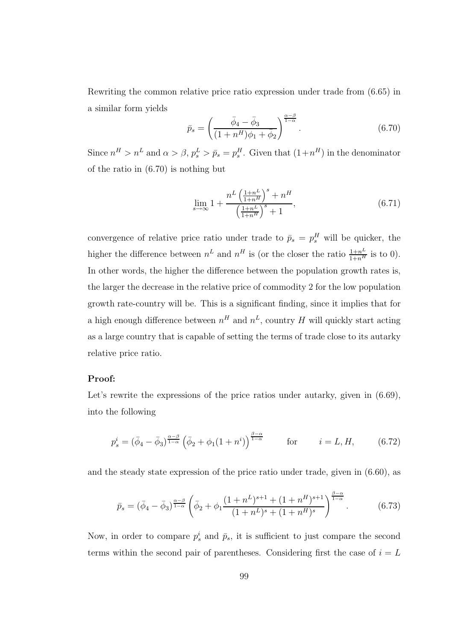Rewriting the common relative price ratio expression under trade from (6.65) in a similar form yields

$$
\bar{p}_s = \left(\frac{\bar{\phi}_4 - \bar{\phi}_3}{(1 + n^H)\phi_1 + \bar{\phi}_2}\right)^{\frac{\alpha - \beta}{1 - \alpha}}.
$$
\n(6.70)

Since  $n^H > n^L$  and  $\alpha > \beta$ ,  $p_s^L > \bar{p}_s = p_s^H$ . Given that  $(1+n^H)$  in the denominator of the ratio in (6.70) is nothing but

$$
\lim_{s \to \infty} 1 + \frac{n^L \left(\frac{1+n^L}{1+n^H}\right)^s + n^H}{\left(\frac{1+n^L}{1+n^H}\right)^s + 1},\tag{6.71}
$$

convergence of relative price ratio under trade to  $\bar{p}_s = p_s^H$  will be quicker, the higher the difference between  $n^L$  and  $n^H$  is (or the closer the ratio  $\frac{1+n^L}{1+n^H}$  is to 0). In other words, the higher the difference between the population growth rates is, the larger the decrease in the relative price of commodity 2 for the low population growth rate-country will be. This is a significant finding, since it implies that for a high enough difference between  $n^H$  and  $n^L$ , country H will quickly start acting as a large country that is capable of setting the terms of trade close to its autarky relative price ratio.

### Proof:

Let's rewrite the expressions of the price ratios under autarky, given in  $(6.69)$ , into the following

$$
p_s^i = (\bar{\phi}_4 - \bar{\phi}_3)^{\frac{\alpha - \beta}{1 - \alpha}} \left( \bar{\phi}_2 + \phi_1 (1 + n^i) \right)^{\frac{\beta - \alpha}{1 - \alpha}} \quad \text{for} \quad i = L, H, \quad (6.72)
$$

and the steady state expression of the price ratio under trade, given in (6.60), as

$$
\bar{p}_s = (\bar{\phi}_4 - \bar{\phi}_3)^{\frac{\alpha-\beta}{1-\alpha}} \left( \bar{\phi}_2 + \phi_1 \frac{(1+n^L)^{s+1} + (1+n^H)^{s+1}}{(1+n^L)^s + (1+n^H)^s} \right)^{\frac{\beta-\alpha}{1-\alpha}}.
$$
(6.73)

Now, in order to compare  $p_s^i$  and  $\bar{p}_s$ , it is sufficient to just compare the second terms within the second pair of parentheses. Considering first the case of  $i = L$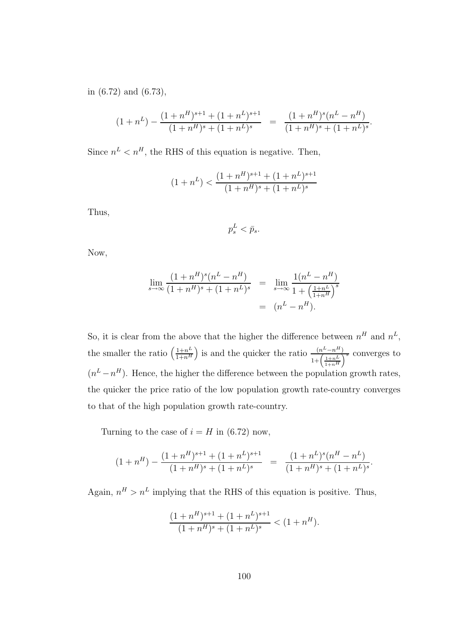in (6.72) and (6.73),

$$
(1+n^{L}) - \frac{(1+n^{H})^{s+1} + (1+n^{L})^{s+1}}{(1+n^{H})^{s} + (1+n^{L})^{s}} = \frac{(1+n^{H})^{s}(n^{L}-n^{H})}{(1+n^{H})^{s} + (1+n^{L})^{s}}.
$$

Since  $n^L < n^H$ , the RHS of this equation is negative. Then,

$$
(1+n^{L}) < \frac{(1+n^{H})^{s+1} + (1+n^{L})^{s+1}}{(1+n^{H})^{s} + (1+n^{L})^{s}}
$$

Thus,

$$
p_s^L < \bar{p}_s.
$$

Now,

$$
\lim_{s \to \infty} \frac{(1 + n^H)^s (n^L - n^H)}{(1 + n^H)^s + (1 + n^L)^s} = \lim_{s \to \infty} \frac{1(n^L - n^H)}{1 + \left(\frac{1 + n^L}{1 + n^H}\right)^s} = (n^L - n^H).
$$

So, it is clear from the above that the higher the difference between  $n^H$  and  $n^L$ , the smaller the ratio  $\left(\frac{1+n^L}{1+n^H}\right)$  $\frac{1+n^L}{1+n^H}$  is and the quicker the ratio  $\frac{(n^L-n^H)}{1+(1+n^L)}$  $\frac{\left(n^2-n^{\alpha}\right)}{1+\left(\frac{1+nL}{1+nH}\right)^s}$  converges to  $(n^L - n^H)$ . Hence, the higher the difference between the population growth rates, the quicker the price ratio of the low population growth rate-country converges to that of the high population growth rate-country.

Turning to the case of  $i = H$  in (6.72) now,

$$
(1+n^{H})-\frac{(1+n^{H})^{s+1}+(1+n^{L})^{s+1}}{(1+n^{H})^{s}+(1+n^{L})^{s}} = \frac{(1+n^{L})^{s}(n^{H}-n^{L})}{(1+n^{H})^{s}+(1+n^{L})^{s}}.
$$

Again,  $n^H > n^L$  implying that the RHS of this equation is positive. Thus,

$$
\frac{(1+n^H)^{s+1} + (1+n^L)^{s+1}}{(1+n^H)^s + (1+n^L)^s} < (1+n^H).
$$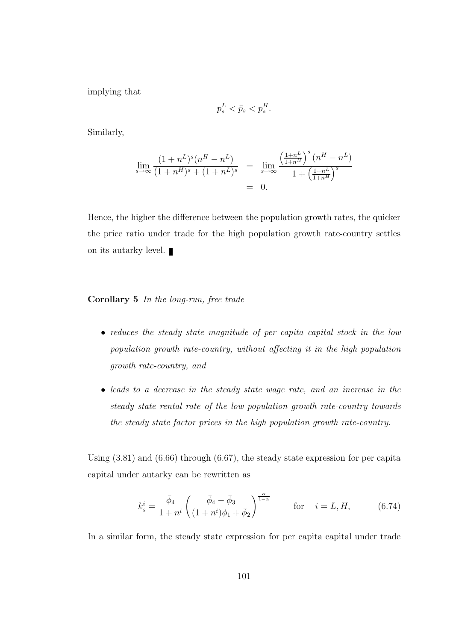implying that

$$
p_s^L < \bar{p}_s < p_s^H.
$$

Similarly,

$$
\lim_{s \to \infty} \frac{(1+n^L)^s (n^H - n^L)}{(1+n^H)^s + (1+n^L)^s} = \lim_{s \to \infty} \frac{\left(\frac{1+n^L}{1+n^H}\right)^s (n^H - n^L)}{1 + \left(\frac{1+n^L}{1+n^H}\right)^s} = 0.
$$

Hence, the higher the difference between the population growth rates, the quicker the price ratio under trade for the high population growth rate-country settles on its autarky level.  $\blacksquare$ 

Corollary 5 In the long-run, free trade

- reduces the steady state magnitude of per capita capital stock in the low population growth rate-country, without affecting it in the high population growth rate-country, and
- leads to a decrease in the steady state wage rate, and an increase in the steady state rental rate of the low population growth rate-country towards the steady state factor prices in the high population growth rate-country.

Using (3.81) and (6.66) through (6.67), the steady state expression for per capita capital under autarky can be rewritten as

$$
k_s^i = \frac{\bar{\phi}_4}{1+n^i} \left( \frac{\bar{\phi}_4 - \bar{\phi}_3}{(1+n^i)\phi_1 + \bar{\phi}_2} \right)^{\frac{\alpha}{1-\alpha}} \quad \text{for} \quad i = L, H, \quad (6.74)
$$

In a similar form, the steady state expression for per capita capital under trade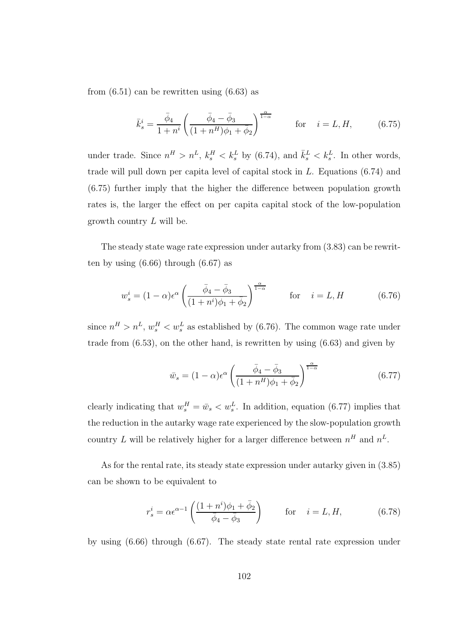from  $(6.51)$  can be rewritten using  $(6.63)$  as

$$
\bar{k}_{s}^{i} = \frac{\bar{\phi}_{4}}{1+n^{i}} \left( \frac{\bar{\phi}_{4} - \bar{\phi}_{3}}{(1+n^{H})\phi_{1} + \bar{\phi}_{2}} \right)^{\frac{\alpha}{1-\alpha}} \quad \text{for} \quad i = L, H,
$$
 (6.75)

under trade. Since  $n^H > n^L$ ,  $k_s^H < k_s^L$  by (6.74), and  $\bar{k}_s^L < k_s^L$ . In other words, trade will pull down per capita level of capital stock in  $L$ . Equations  $(6.74)$  and (6.75) further imply that the higher the difference between population growth rates is, the larger the effect on per capita capital stock of the low-population growth country L will be.

The steady state wage rate expression under autarky from (3.83) can be rewritten by using  $(6.66)$  through  $(6.67)$  as

$$
w_s^i = (1 - \alpha)\epsilon^{\alpha} \left(\frac{\bar{\phi}_4 - \bar{\phi}_3}{(1 + n^i)\phi_1 + \bar{\phi}_2}\right)^{\frac{\alpha}{1 - \alpha}} \quad \text{for} \quad i = L, H \quad (6.76)
$$

since  $n^H > n^L$ ,  $w_s^H < w_s^L$  as established by (6.76). The common wage rate under trade from  $(6.53)$ , on the other hand, is rewritten by using  $(6.63)$  and given by

$$
\bar{w}_s = (1 - \alpha)\epsilon^{\alpha} \left(\frac{\bar{\phi}_4 - \bar{\phi}_3}{(1 + n^H)\phi_1 + \bar{\phi}_2}\right)^{\frac{\alpha}{1 - \alpha}}\tag{6.77}
$$

clearly indicating that  $w_s^H = \bar{w}_s < w_s^L$ . In addition, equation (6.77) implies that the reduction in the autarky wage rate experienced by the slow-population growth country L will be relatively higher for a larger difference between  $n<sup>H</sup>$  and  $n<sup>L</sup>$ .

As for the rental rate, its steady state expression under autarky given in (3.85) can be shown to be equivalent to

$$
r_s^i = \alpha \epsilon^{\alpha - 1} \left( \frac{(1 + n^i)\phi_1 + \bar{\phi}_2}{\bar{\phi}_4 - \bar{\phi}_3} \right) \qquad \text{for} \quad i = L, H,
$$
 (6.78)

by using (6.66) through (6.67). The steady state rental rate expression under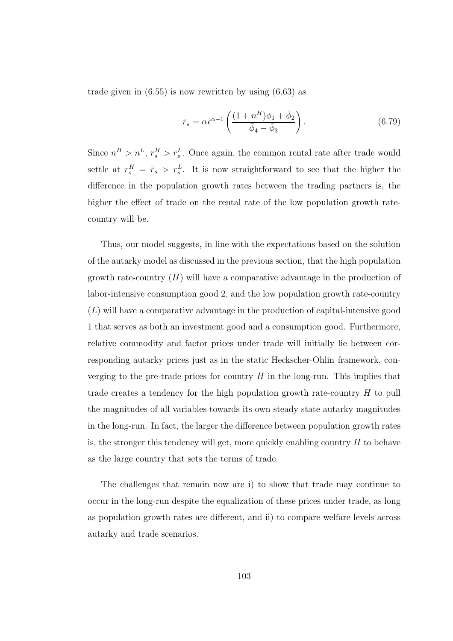trade given in  $(6.55)$  is now rewritten by using  $(6.63)$  as

$$
\bar{r}_s = \alpha \epsilon^{\alpha - 1} \left( \frac{(1 + n^H)\phi_1 + \bar{\phi}_2}{\bar{\phi}_4 - \bar{\phi}_3} \right). \tag{6.79}
$$

Since  $n<sup>H</sup> > n<sup>L</sup>$ ,  $r_s<sup>H</sup> > r_s<sup>L</sup>$ . Once again, the common rental rate after trade would settle at  $r_s^H = \bar{r}_s > r_s^L$ . It is now straightforward to see that the higher the difference in the population growth rates between the trading partners is, the higher the effect of trade on the rental rate of the low population growth ratecountry will be.

Thus, our model suggests, in line with the expectations based on the solution of the autarky model as discussed in the previous section, that the high population growth rate-country  $(H)$  will have a comparative advantage in the production of labor-intensive consumption good 2, and the low population growth rate-country (L) will have a comparative advantage in the production of capital-intensive good 1 that serves as both an investment good and a consumption good. Furthermore, relative commodity and factor prices under trade will initially lie between corresponding autarky prices just as in the static Heckscher-Ohlin framework, converging to the pre-trade prices for country  $H$  in the long-run. This implies that trade creates a tendency for the high population growth rate-country H to pull the magnitudes of all variables towards its own steady state autarky magnitudes in the long-run. In fact, the larger the difference between population growth rates is, the stronger this tendency will get, more quickly enabling country  $H$  to behave as the large country that sets the terms of trade.

The challenges that remain now are i) to show that trade may continue to occur in the long-run despite the equalization of these prices under trade, as long as population growth rates are different, and ii) to compare welfare levels across autarky and trade scenarios.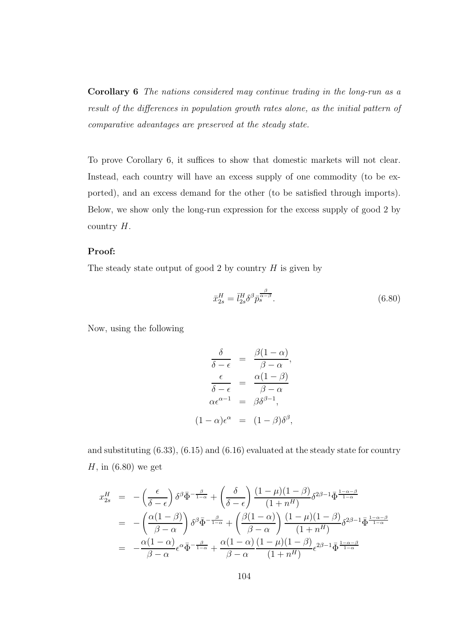Corollary 6 The nations considered may continue trading in the long-run as a result of the differences in population growth rates alone, as the initial pattern of comparative advantages are preserved at the steady state.

To prove Corollary 6, it suffices to show that domestic markets will not clear. Instead, each country will have an excess supply of one commodity (to be exported), and an excess demand for the other (to be satisfied through imports). Below, we show only the long-run expression for the excess supply of good 2 by country  $H$ .

#### Proof:

The steady state output of good 2 by country  $H$  is given by

$$
\bar{x}_{2s}^H = \bar{l}_{2s}^H \delta^\beta \bar{p}_s^{\frac{\beta}{\alpha - \beta}}.\tag{6.80}
$$

Now, using the following

$$
\frac{\delta}{\delta - \epsilon} = \frac{\beta(1 - \alpha)}{\beta - \alpha},
$$

$$
\frac{\epsilon}{\delta - \epsilon} = \frac{\alpha(1 - \beta)}{\beta - \alpha}
$$

$$
\alpha \epsilon^{\alpha - 1} = \beta \delta^{\beta - 1},
$$

$$
(1 - \alpha)\epsilon^{\alpha} = (1 - \beta)\delta^{\beta},
$$

and substituting (6.33), (6.15) and (6.16) evaluated at the steady state for country  $H$ , in  $(6.80)$  we get

$$
x_{2s}^H = -\left(\frac{\epsilon}{\delta - \epsilon}\right) \delta^\beta \bar{\Phi}^{-\frac{\beta}{1-\alpha}} + \left(\frac{\delta}{\delta - \epsilon}\right) \frac{(1-\mu)(1-\beta)}{(1+n^H)} \delta^{2\beta - 1} \bar{\Phi}^{\frac{1-\alpha-\beta}{1-\alpha}}
$$
  
\n
$$
= -\left(\frac{\alpha(1-\beta)}{\beta - \alpha}\right) \delta^\beta \bar{\Phi}^{-\frac{\beta}{1-\alpha}} + \left(\frac{\beta(1-\alpha)}{\beta - \alpha}\right) \frac{(1-\mu)(1-\beta)}{(1+n^H)} \delta^{2\beta - 1} \bar{\Phi}^{\frac{1-\alpha-\beta}{1-\alpha}}
$$
  
\n
$$
= -\frac{\alpha(1-\alpha)}{\beta - \alpha} \epsilon^\alpha \bar{\Phi}^{-\frac{\beta}{1-\alpha}} + \frac{\alpha(1-\alpha)}{\beta - \alpha} \frac{(1-\mu)(1-\beta)}{(1+n^H)} \epsilon^{2\beta - 1} \bar{\Phi}^{\frac{1-\alpha-\beta}{1-\alpha}}
$$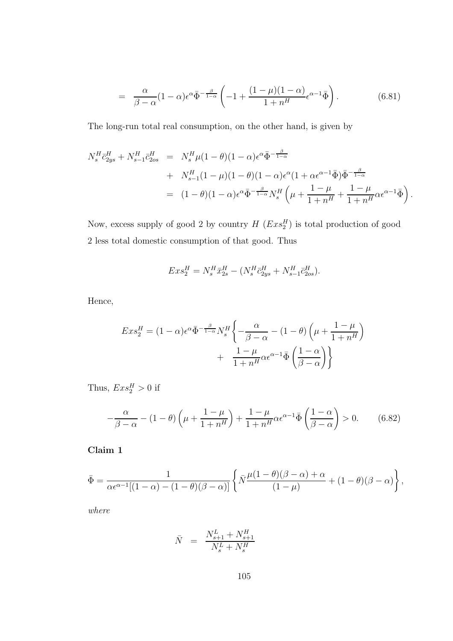$$
= \frac{\alpha}{\beta - \alpha} (1 - \alpha) \epsilon^{\alpha} \bar{\Phi}^{-\frac{\beta}{1 - \alpha}} \left( -1 + \frac{(1 - \mu)(1 - \alpha)}{1 + n^H} \epsilon^{\alpha - 1} \bar{\Phi} \right). \tag{6.81}
$$

The long-run total real consumption, on the other hand, is given by

$$
N_s^H \bar{c}_{2ys}^H + N_{s-1}^H \bar{c}_{2os}^H = N_s^H \mu (1 - \theta)(1 - \alpha) \epsilon^{\alpha} \bar{\Phi}^{-\frac{\beta}{1 - \alpha}} + N_{s-1}^H (1 - \mu)(1 - \theta)(1 - \alpha) \epsilon^{\alpha} (1 + \alpha \epsilon^{\alpha - 1} \bar{\Phi}) \bar{\Phi}^{-\frac{\beta}{1 - \alpha}} = (1 - \theta)(1 - \alpha) \epsilon^{\alpha} \bar{\Phi}^{-\frac{\beta}{1 - \alpha}} N_s^H \left( \mu + \frac{1 - \mu}{1 + n^H} + \frac{1 - \mu}{1 + n^H} \alpha \epsilon^{\alpha - 1} \bar{\Phi} \right).
$$

Now, excess supply of good 2 by country  $H (Exs_2^H)$  is total production of good 2 less total domestic consumption of that good. Thus

$$
Exs_2^H = N_s^H \bar{x}_{2s}^H - (N_s^H \bar{c}_{2ys}^H + N_{s-1}^H \bar{c}_{2os}^H).
$$

Hence,

$$
Ex s_2^H = (1 - \alpha) \epsilon^{\alpha} \bar{\Phi}^{-\frac{\beta}{1 - \alpha}} N_s^H \left\{ -\frac{\alpha}{\beta - \alpha} - (1 - \theta) \left( \mu + \frac{1 - \mu}{1 + n^H} \right) + \frac{1 - \mu}{1 + n^H} \alpha \epsilon^{\alpha - 1} \bar{\Phi} \left( \frac{1 - \alpha}{\beta - \alpha} \right) \right\}
$$

Thus,  $Exs_2^H > 0$  if

$$
-\frac{\alpha}{\beta-\alpha} - (1-\theta)\left(\mu + \frac{1-\mu}{1+n^H}\right) + \frac{1-\mu}{1+n^H}\alpha\epsilon^{\alpha-1}\bar{\Phi}\left(\frac{1-\alpha}{\beta-\alpha}\right) > 0. \tag{6.82}
$$

Claim 1

$$
\bar{\Phi} = \frac{1}{\alpha \epsilon^{\alpha-1}[(1-\alpha)-(1-\theta)(\beta-\alpha)]} \left\{ \bar{N} \frac{\mu(1-\theta)(\beta-\alpha)+\alpha}{(1-\mu)} + (1-\theta)(\beta-\alpha) \right\},\,
$$

where

$$
\bar{N} = \frac{N_{s+1}^L + N_{s+1}^H}{N_s^L + N_s^H}
$$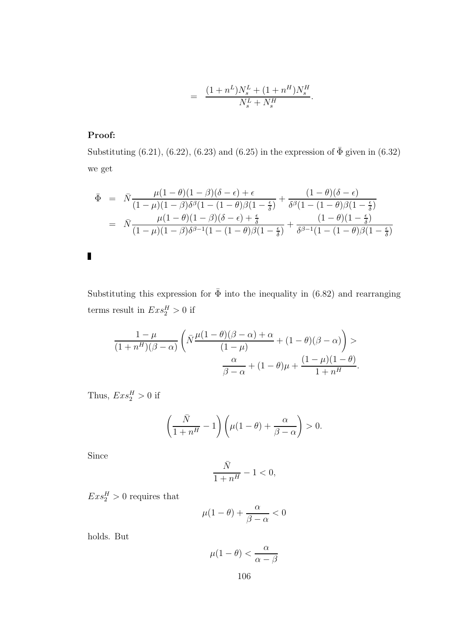$$
= \frac{(1+n^L)N_s^L + (1+n^H)N_s^H}{N_s^L + N_s^H}.
$$

## Proof:

Substituting (6.21), (6.22), (6.23) and (6.25) in the expression of  $\bar{\Phi}$  given in (6.32) we get

$$
\begin{array}{rcl}\n\bar{\Phi} &=& \bar{N} \frac{\mu(1-\theta)(1-\beta)(\delta-\epsilon)+\epsilon}{(1-\mu)(1-\beta)\delta^{\beta}(1-(1-\theta)\beta(1-\frac{\epsilon}{\delta})} + \frac{(1-\theta)(\delta-\epsilon)}{\delta^{\beta}(1-(1-\theta)\beta(1-\frac{\epsilon}{\delta})} \\
&=& \bar{N} \frac{\mu(1-\theta)(1-\beta)(\delta-\epsilon)+\frac{\epsilon}{\delta}}{(1-\mu)(1-\beta)\delta^{\beta-1}(1-(1-\theta)\beta(1-\frac{\epsilon}{\delta})} + \frac{(1-\theta)(1-\frac{\epsilon}{\delta})}{\delta^{\beta-1}(1-(1-\theta)\beta(1-\frac{\epsilon}{\delta})}\n\end{array}
$$

Substituting this expression for  $\bar{\Phi}$  into the inequality in (6.82) and rearranging terms result in  $Exs_2^H > 0$  if

$$
\frac{1-\mu}{(1+n^{H})(\beta-\alpha)}\left(\bar{N}\frac{\mu(1-\theta)(\beta-\alpha)+\alpha}{(1-\mu)}+(1-\theta)(\beta-\alpha)\right) > \frac{\alpha}{\beta-\alpha}+(1-\theta)\mu+\frac{(1-\mu)(1-\theta)}{1+n^{H}}.
$$

Thus,  $Exs_2^H > 0$  if

$$
\left(\frac{\bar{N}}{1+n^H}-1\right)\left(\mu(1-\theta)+\frac{\alpha}{\beta-\alpha}\right)>0.
$$

Since

$$
\frac{\bar{N}}{1+n^H}-1<0,
$$

 $Exs_2^H > 0$  requires that

$$
\mu(1-\theta) + \frac{\alpha}{\beta - \alpha} < 0
$$

holds. But

$$
\mu(1-\theta) < \frac{\alpha}{\alpha - \beta}
$$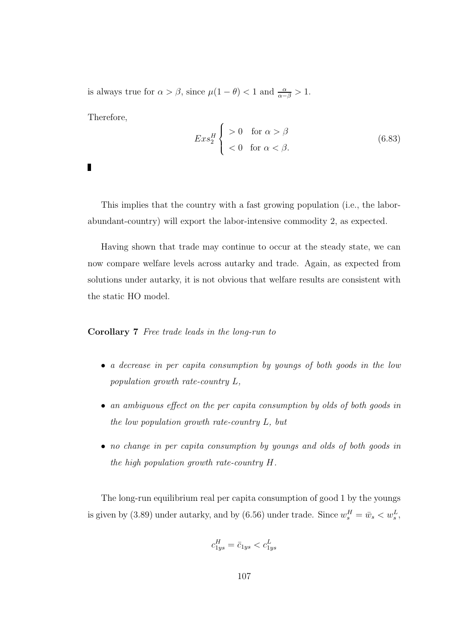is always true for  $\alpha > \beta$ , since  $\mu(1 - \theta) < 1$  and  $\frac{\alpha}{\alpha - \beta} > 1$ .

Therefore,

$$
Ex s_2^H \begin{cases} > 0 & \text{for } \alpha > \beta \\ < 0 & \text{for } \alpha < \beta. \end{cases} \tag{6.83}
$$

П

This implies that the country with a fast growing population (i.e., the laborabundant-country) will export the labor-intensive commodity 2, as expected.

Having shown that trade may continue to occur at the steady state, we can now compare welfare levels across autarky and trade. Again, as expected from solutions under autarky, it is not obvious that welfare results are consistent with the static HO model.

Corollary 7 Free trade leads in the long-run to

- a decrease in per capita consumption by youngs of both goods in the low population growth rate-country L,
- an ambiguous effect on the per capita consumption by olds of both goods in the low population growth rate-country L, but
- no change in per capita consumption by youngs and olds of both goods in the high population growth rate-country H.

The long-run equilibrium real per capita consumption of good 1 by the youngs is given by (3.89) under autarky, and by (6.56) under trade. Since  $w_s^H = \bar{w}_s < w_s^L$ ,

$$
c^H_{1ys}=\bar{c}_{1ys}
$$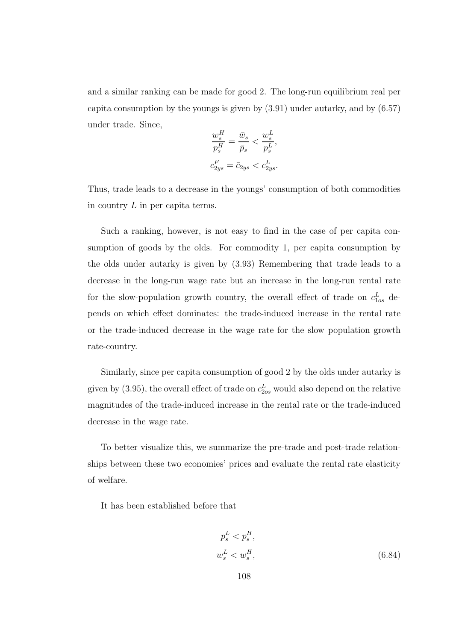and a similar ranking can be made for good 2. The long-run equilibrium real per capita consumption by the youngs is given by (3.91) under autarky, and by (6.57) under trade. Since,

$$
\begin{aligned} \frac{w_s^H}{p_s^H} &= \frac{\bar{w}_s}{\bar{p}_s} < \frac{w_s^L}{p_s^L},\\ c_{2ys}^F &= \bar{c}_{2ys} < c_{2ys}^L. \end{aligned}
$$

Thus, trade leads to a decrease in the youngs' consumption of both commodities in country  $L$  in per capita terms.

Such a ranking, however, is not easy to find in the case of per capita consumption of goods by the olds. For commodity 1, per capita consumption by the olds under autarky is given by (3.93) Remembering that trade leads to a decrease in the long-run wage rate but an increase in the long-run rental rate for the slow-population growth country, the overall effect of trade on  $c_{1os}^L$  depends on which effect dominates: the trade-induced increase in the rental rate or the trade-induced decrease in the wage rate for the slow population growth rate-country.

Similarly, since per capita consumption of good 2 by the olds under autarky is given by (3.95), the overall effect of trade on  $c_{2os}^L$  would also depend on the relative magnitudes of the trade-induced increase in the rental rate or the trade-induced decrease in the wage rate.

To better visualize this, we summarize the pre-trade and post-trade relationships between these two economies' prices and evaluate the rental rate elasticity of welfare.

It has been established before that

$$
p_s^L < p_s^H,
$$
\n
$$
w_s^L < w_s^H,
$$
\n
$$
(6.84)
$$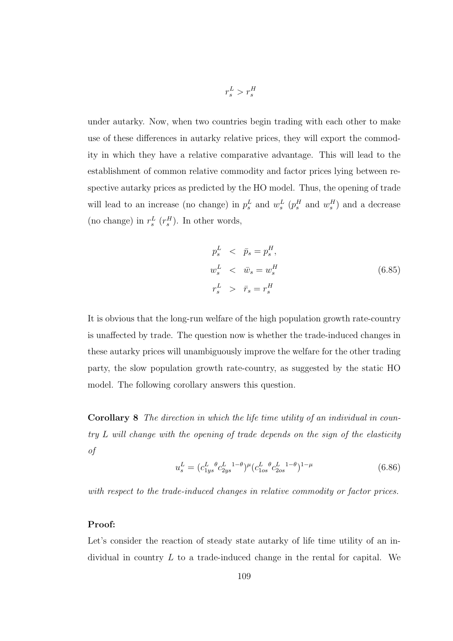under autarky. Now, when two countries begin trading with each other to make use of these differences in autarky relative prices, they will export the commodity in which they have a relative comparative advantage. This will lead to the establishment of common relative commodity and factor prices lying between respective autarky prices as predicted by the HO model. Thus, the opening of trade will lead to an increase (no change) in  $p_s^L$  and  $w_s^L$  ( $p_s^H$  and  $w_s^H$ ) and a decrease (no change) in  $r_s^L$   $(r_s^H)$ . In other words,

 $r_s^L > r_s^H$ 

$$
p_s^L < \bar{p}_s = p_s^H,
$$
  
\n
$$
w_s^L < \bar{w}_s = w_s^H
$$
  
\n
$$
r_s^L > \bar{r}_s = r_s^H
$$
\n(6.85)

It is obvious that the long-run welfare of the high population growth rate-country is unaffected by trade. The question now is whether the trade-induced changes in these autarky prices will unambiguously improve the welfare for the other trading party, the slow population growth rate-country, as suggested by the static HO model. The following corollary answers this question.

Corollary 8 The direction in which the life time utility of an individual in country L will change with the opening of trade depends on the sign of the elasticity of

$$
u_s^L = (c_{1ys}^L \, \,^\theta c_{2ys}^L \, \,^{1-\theta})^\mu (c_{1os}^L \, \,^\theta c_{2os}^L \, \,^{1-\theta})^{1-\mu} \tag{6.86}
$$

with respect to the trade-induced changes in relative commodity or factor prices.

#### Proof:

Let's consider the reaction of steady state autarky of life time utility of an individual in country L to a trade-induced change in the rental for capital. We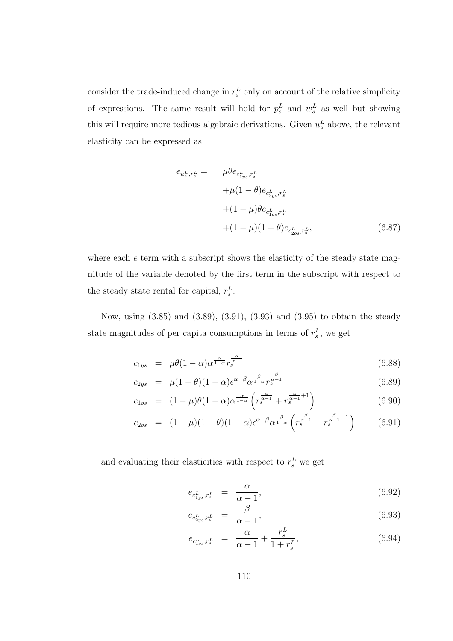consider the trade-induced change in  $r_s^L$  only on account of the relative simplicity of expressions. The same result will hold for  $p_s^L$  and  $w_s^L$  as well but showing this will require more tedious algebraic derivations. Given  $u_s^L$  above, the relevant elasticity can be expressed as

$$
e_{u_s^L, r_s^L} = \mu \theta e_{c_{1ys}^L, r_s^L}
$$
  
+  $\mu (1 - \theta) e_{c_{2ys}^L, r_s^L}$   
+  $(1 - \mu) \theta e_{c_{1os}^L, r_s^L}$   
+  $(1 - \mu) (1 - \theta) e_{c_{2os}^L, r_s^L}$ , (6.87)

where each  $e$  term with a subscript shows the elasticity of the steady state magnitude of the variable denoted by the first term in the subscript with respect to the steady state rental for capital,  $r_s^L$ .

Now, using (3.85) and (3.89), (3.91), (3.93) and (3.95) to obtain the steady state magnitudes of per capita consumptions in terms of  $r_s^L$ , we get

$$
c_{1ys} = \mu \theta (1 - \alpha) \alpha^{\frac{\alpha}{1 - \alpha}} r_s^{\frac{\alpha}{\alpha - 1}}
$$
\n(6.88)

$$
c_{2ys} = \mu(1-\theta)(1-\alpha)\epsilon^{\alpha-\beta}\alpha^{\frac{\beta}{1-\alpha}}r_s^{\frac{\beta}{\alpha-1}}
$$
(6.89)

$$
c_{1os} = (1 - \mu)\theta(1 - \alpha)\alpha^{\frac{\alpha}{1 - \alpha}} \left(r_s^{\frac{\alpha}{\alpha - 1}} + r_s^{\frac{\alpha}{\alpha - 1} + 1}\right)
$$
(6.90)

$$
c_{2os} = (1 - \mu)(1 - \theta)(1 - \alpha)\epsilon^{\alpha - \beta} \alpha^{\frac{\beta}{1 - \alpha}} \left( r_s^{\frac{\beta}{\alpha - 1}} + r_s^{\frac{\beta}{\alpha - 1} + 1} \right) \tag{6.91}
$$

and evaluating their elasticities with respect to  $r_s^L$  we get

$$
e_{c_{1ys}^L, r_s^L} = \frac{\alpha}{\alpha - 1},\tag{6.92}
$$

$$
e_{c_{2ys}^L, r_s^L} = \frac{\beta}{\alpha - 1},\tag{6.93}
$$

$$
e_{c_{1os}^L, r_s^L} = \frac{\alpha}{\alpha - 1} + \frac{r_s^L}{1 + r_s^L},\tag{6.94}
$$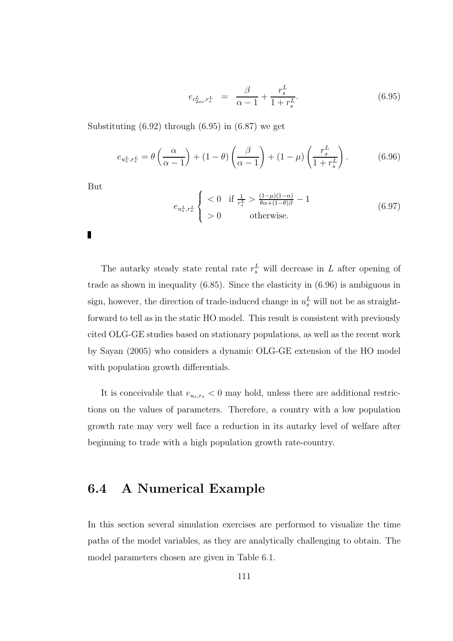$$
e_{c_{2os}^L, r_s^L} = \frac{\beta}{\alpha - 1} + \frac{r_s^L}{1 + r_s^L}.
$$
\n(6.95)

Substituting  $(6.92)$  through  $(6.95)$  in  $(6.87)$  we get

$$
e_{u_s^L, r_s^L} = \theta\left(\frac{\alpha}{\alpha - 1}\right) + (1 - \theta)\left(\frac{\beta}{\alpha - 1}\right) + (1 - \mu)\left(\frac{r_s^L}{1 + r_s^L}\right). \tag{6.96}
$$

But

П

$$
e_{u_s^L, r_s^L} \begin{cases} < 0 \quad \text{if } \frac{1}{r_s^L} > \frac{(1-\mu)(1-\alpha)}{\theta \alpha + (1-\theta)\beta} - 1 \\ > 0 \quad \text{otherwise.} \end{cases} \tag{6.97}
$$

The autarky steady state rental rate  $r_s^L$  will decrease in L after opening of trade as shown in inequality (6.85). Since the elasticity in (6.96) is ambiguous in sign, however, the direction of trade-induced change in  $u_s^L$  will not be as straightforward to tell as in the static HO model. This result is consistent with previously cited OLG-GE studies based on stationary populations, as well as the recent work by Sayan (2005) who considers a dynamic OLG-GE extension of the HO model with population growth differentials.

It is conceivable that  $e_{u_s,r_s} < 0$  may hold, unless there are additional restrictions on the values of parameters. Therefore, a country with a low population growth rate may very well face a reduction in its autarky level of welfare after beginning to trade with a high population growth rate-country.

## 6.4 A Numerical Example

In this section several simulation exercises are performed to visualize the time paths of the model variables, as they are analytically challenging to obtain. The model parameters chosen are given in Table 6.1.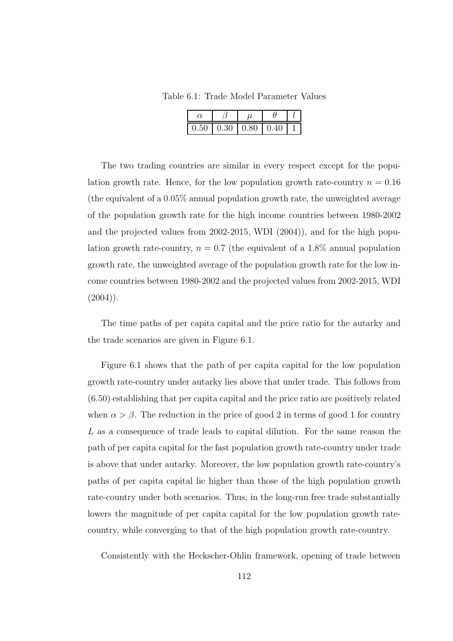Table 6.1: Trade Model Parameter Values

| $0.50 \mid 0.30 \mid 0.80$ | 0.40 |  |
|----------------------------|------|--|

The two trading countries are similar in every respect except for the population growth rate. Hence, for the low population growth rate-country  $n = 0.16$ (the equivalent of a 0.05% annual population growth rate, the unweighted average of the population growth rate for the high income countries between 1980-2002 and the projected values from 2002-2015, WDI (2004)), and for the high population growth rate-country,  $n = 0.7$  (the equivalent of a 1.8% annual population growth rate, the unweighted average of the population growth rate for the low income countries between 1980-2002 and the projected values from 2002-2015, WDI  $(2004)$ ).

The time paths of per capita capital and the price ratio for the autarky and the trade scenarios are given in Figure 6.1.

Figure 6.1 shows that the path of per capita capital for the low population growth rate-country under autarky lies above that under trade. This follows from (6.50) establishing that per capita capital and the price ratio are positively related when  $\alpha > \beta$ . The reduction in the price of good 2 in terms of good 1 for country L as a consequence of trade leads to capital dilution. For the same reason the path of per capita capital for the fast population growth rate-country under trade is above that under autarky. Moreover, the low population growth rate-country's paths of per capita capital lie higher than those of the high population growth rate-country under both scenarios. Thus, in the long-run free trade substantially lowers the magnitude of per capita capital for the low population growth ratecountry, while converging to that of the high population growth rate-country.

Consistently with the Heckscher-Ohlin framework, opening of trade between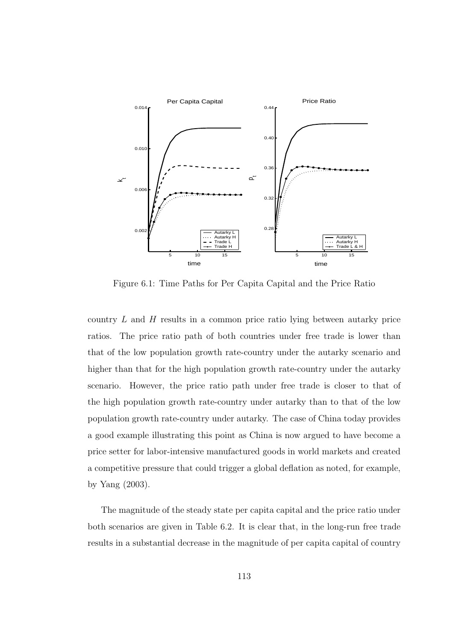

Figure 6.1: Time Paths for Per Capita Capital and the Price Ratio

country  $L$  and  $H$  results in a common price ratio lying between autarky price ratios. The price ratio path of both countries under free trade is lower than that of the low population growth rate-country under the autarky scenario and higher than that for the high population growth rate-country under the autarky scenario. However, the price ratio path under free trade is closer to that of the high population growth rate-country under autarky than to that of the low population growth rate-country under autarky. The case of China today provides a good example illustrating this point as China is now argued to have become a price setter for labor-intensive manufactured goods in world markets and created a competitive pressure that could trigger a global deflation as noted, for example, by Yang (2003).

The magnitude of the steady state per capita capital and the price ratio under both scenarios are given in Table 6.2. It is clear that, in the long-run free trade results in a substantial decrease in the magnitude of per capita capital of country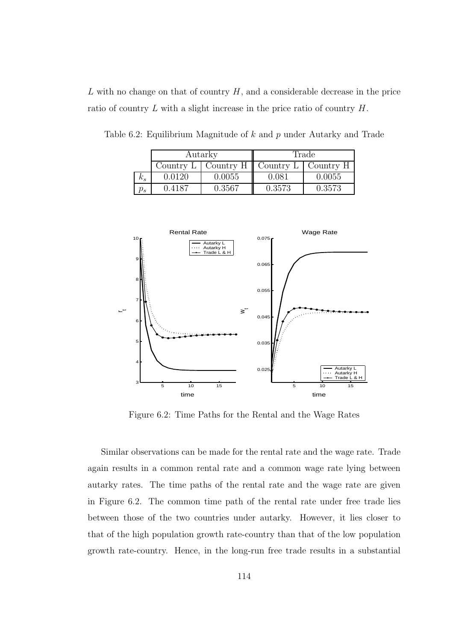$L$  with no change on that of country  $H$ , and a considerable decrease in the price ratio of country L with a slight increase in the price ratio of country H.

|            | Autarky   |           | Trade  |                            |
|------------|-----------|-----------|--------|----------------------------|
|            | Country L | Country H |        | Country $L \mid$ Country H |
| $\kappa_s$ | 0.0120    | 0.0055    | 0.081  | 0.0055                     |
| J s        | ገ 4187    | 0.3567    | 0.3573 | 0.3573                     |

Table 6.2: Equilibrium Magnitude of  $k$  and  $p$  under Autarky and Trade



Figure 6.2: Time Paths for the Rental and the Wage Rates

Similar observations can be made for the rental rate and the wage rate. Trade again results in a common rental rate and a common wage rate lying between autarky rates. The time paths of the rental rate and the wage rate are given in Figure 6.2. The common time path of the rental rate under free trade lies between those of the two countries under autarky. However, it lies closer to that of the high population growth rate-country than that of the low population growth rate-country. Hence, in the long-run free trade results in a substantial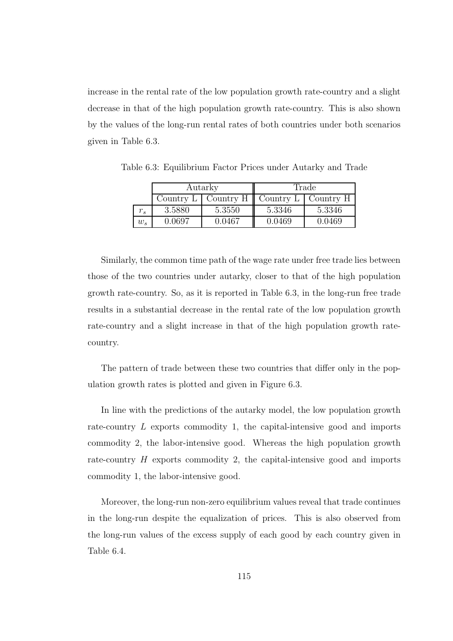increase in the rental rate of the low population growth rate-country and a slight decrease in that of the high population growth rate-country. This is also shown by the values of the long-run rental rates of both countries under both scenarios given in Table 6.3.

|       | Autarky   |           | Trade     |           |
|-------|-----------|-----------|-----------|-----------|
|       | Country L | Country H | Country L | Country H |
| s     | 3.5880    | 5.3550    | 5.3346    | 5.3346    |
| $w_s$ | 0.0697    | 0.0467    | 0.0469    | 0.0469    |

Table 6.3: Equilibrium Factor Prices under Autarky and Trade

Similarly, the common time path of the wage rate under free trade lies between those of the two countries under autarky, closer to that of the high population growth rate-country. So, as it is reported in Table 6.3, in the long-run free trade results in a substantial decrease in the rental rate of the low population growth rate-country and a slight increase in that of the high population growth ratecountry.

The pattern of trade between these two countries that differ only in the population growth rates is plotted and given in Figure 6.3.

In line with the predictions of the autarky model, the low population growth rate-country L exports commodity 1, the capital-intensive good and imports commodity 2, the labor-intensive good. Whereas the high population growth rate-country H exports commodity 2, the capital-intensive good and imports commodity 1, the labor-intensive good.

Moreover, the long-run non-zero equilibrium values reveal that trade continues in the long-run despite the equalization of prices. This is also observed from the long-run values of the excess supply of each good by each country given in Table 6.4.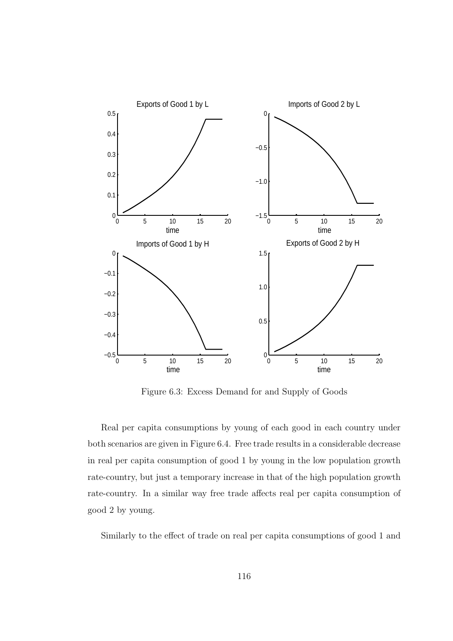

Figure 6.3: Excess Demand for and Supply of Goods

Real per capita consumptions by young of each good in each country under both scenarios are given in Figure 6.4. Free trade results in a considerable decrease in real per capita consumption of good 1 by young in the low population growth rate-country, but just a temporary increase in that of the high population growth rate-country. In a similar way free trade affects real per capita consumption of good 2 by young.

Similarly to the effect of trade on real per capita consumptions of good 1 and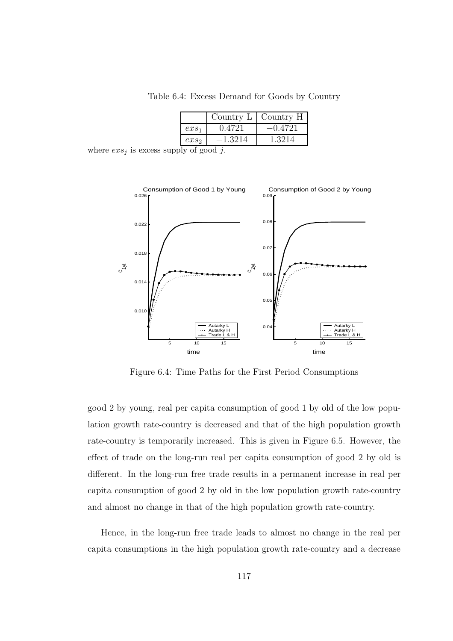Table 6.4: Excess Demand for Goods by Country

|                  | Country L | Country H |
|------------------|-----------|-----------|
| $ex_{s_1}$       | 0.4721    | $-0.4721$ |
| exs <sub>2</sub> | $-1.3214$ | 1.3214    |

where  $exs_j$  is excess supply of good j.



Figure 6.4: Time Paths for the First Period Consumptions

good 2 by young, real per capita consumption of good 1 by old of the low population growth rate-country is decreased and that of the high population growth rate-country is temporarily increased. This is given in Figure 6.5. However, the effect of trade on the long-run real per capita consumption of good 2 by old is different. In the long-run free trade results in a permanent increase in real per capita consumption of good 2 by old in the low population growth rate-country and almost no change in that of the high population growth rate-country.

Hence, in the long-run free trade leads to almost no change in the real per capita consumptions in the high population growth rate-country and a decrease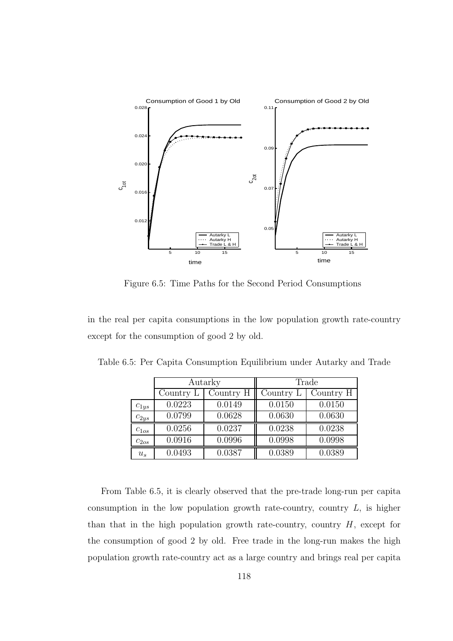

Figure 6.5: Time Paths for the Second Period Consumptions

in the real per capita consumptions in the low population growth rate-country except for the consumption of good 2 by old.

|           | Autarky   |           | Trade     |           |
|-----------|-----------|-----------|-----------|-----------|
|           | Country L | Country H | Country L | Country H |
| $c_{1ys}$ | 0.0223    | 0.0149    | 0.0150    | 0.0150    |
| $c_{2ys}$ | 0.0799    | 0.0628    | 0.0630    | 0.0630    |
| $c_{1os}$ | 0.0256    | 0.0237    | 0.0238    | 0.0238    |
| $c_{2os}$ | 0.0916    | 0.0996    | 0.0998    | 0.0998    |
| $u_s$     | 0.0493    | 0.0387    | 0.0389    | 0.0389    |

Table 6.5: Per Capita Consumption Equilibrium under Autarky and Trade

From Table 6.5, it is clearly observed that the pre-trade long-run per capita consumption in the low population growth rate-country, country  $L$ , is higher than that in the high population growth rate-country, country  $H$ , except for the consumption of good 2 by old. Free trade in the long-run makes the high population growth rate-country act as a large country and brings real per capita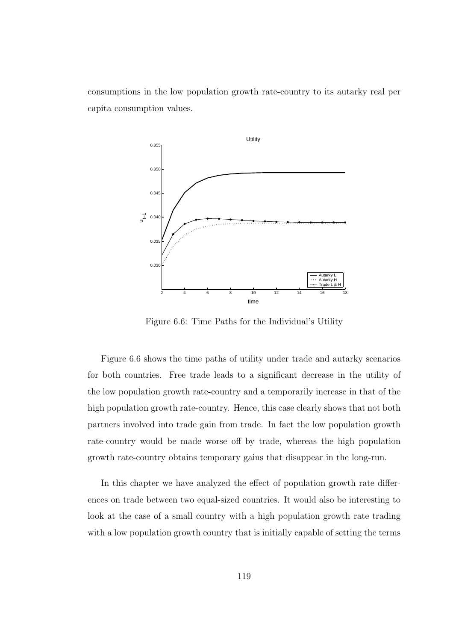consumptions in the low population growth rate-country to its autarky real per capita consumption values.



Figure 6.6: Time Paths for the Individual's Utility

Figure 6.6 shows the time paths of utility under trade and autarky scenarios for both countries. Free trade leads to a significant decrease in the utility of the low population growth rate-country and a temporarily increase in that of the high population growth rate-country. Hence, this case clearly shows that not both partners involved into trade gain from trade. In fact the low population growth rate-country would be made worse off by trade, whereas the high population growth rate-country obtains temporary gains that disappear in the long-run.

In this chapter we have analyzed the effect of population growth rate differences on trade between two equal-sized countries. It would also be interesting to look at the case of a small country with a high population growth rate trading with a low population growth country that is initially capable of setting the terms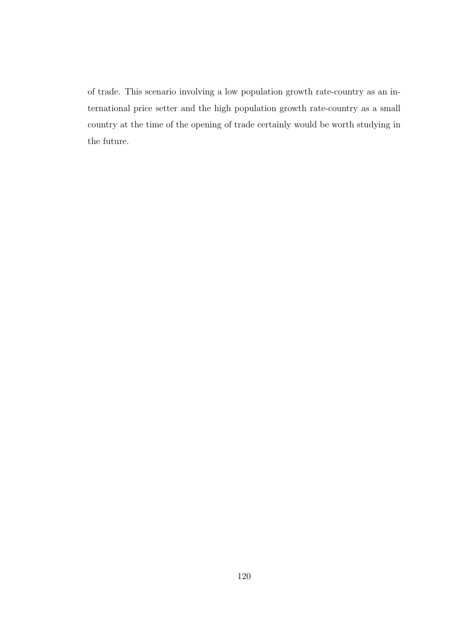of trade. This scenario involving a low population growth rate-country as an international price setter and the high population growth rate-country as a small country at the time of the opening of trade certainly would be worth studying in the future.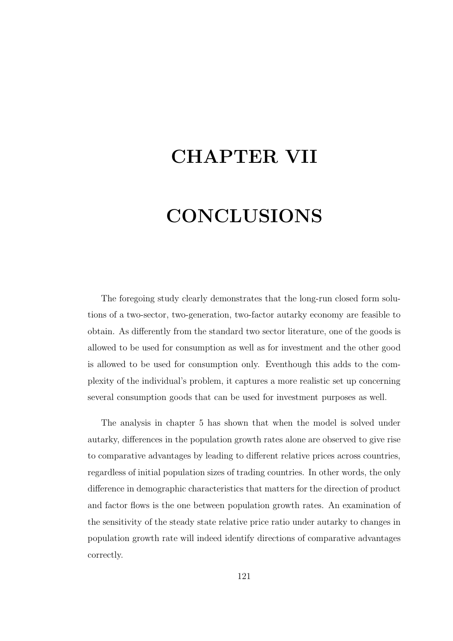## CHAPTER VII

# **CONCLUSIONS**

The foregoing study clearly demonstrates that the long-run closed form solutions of a two-sector, two-generation, two-factor autarky economy are feasible to obtain. As differently from the standard two sector literature, one of the goods is allowed to be used for consumption as well as for investment and the other good is allowed to be used for consumption only. Eventhough this adds to the complexity of the individual's problem, it captures a more realistic set up concerning several consumption goods that can be used for investment purposes as well.

The analysis in chapter 5 has shown that when the model is solved under autarky, differences in the population growth rates alone are observed to give rise to comparative advantages by leading to different relative prices across countries, regardless of initial population sizes of trading countries. In other words, the only difference in demographic characteristics that matters for the direction of product and factor flows is the one between population growth rates. An examination of the sensitivity of the steady state relative price ratio under autarky to changes in population growth rate will indeed identify directions of comparative advantages correctly.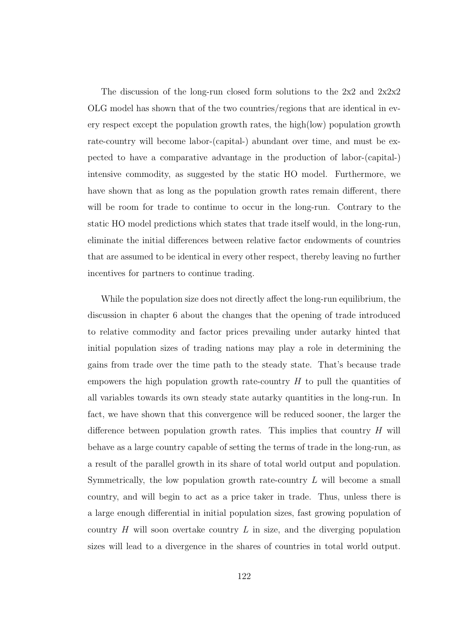The discussion of the long-run closed form solutions to the 2x2 and 2x2x2 OLG model has shown that of the two countries/regions that are identical in every respect except the population growth rates, the high(low) population growth rate-country will become labor-(capital-) abundant over time, and must be expected to have a comparative advantage in the production of labor-(capital-) intensive commodity, as suggested by the static HO model. Furthermore, we have shown that as long as the population growth rates remain different, there will be room for trade to continue to occur in the long-run. Contrary to the static HO model predictions which states that trade itself would, in the long-run, eliminate the initial differences between relative factor endowments of countries that are assumed to be identical in every other respect, thereby leaving no further incentives for partners to continue trading.

While the population size does not directly affect the long-run equilibrium, the discussion in chapter 6 about the changes that the opening of trade introduced to relative commodity and factor prices prevailing under autarky hinted that initial population sizes of trading nations may play a role in determining the gains from trade over the time path to the steady state. That's because trade empowers the high population growth rate-country  $H$  to pull the quantities of all variables towards its own steady state autarky quantities in the long-run. In fact, we have shown that this convergence will be reduced sooner, the larger the difference between population growth rates. This implies that country  $H$  will behave as a large country capable of setting the terms of trade in the long-run, as a result of the parallel growth in its share of total world output and population. Symmetrically, the low population growth rate-country  $L$  will become a small country, and will begin to act as a price taker in trade. Thus, unless there is a large enough differential in initial population sizes, fast growing population of country  $H$  will soon overtake country  $L$  in size, and the diverging population sizes will lead to a divergence in the shares of countries in total world output.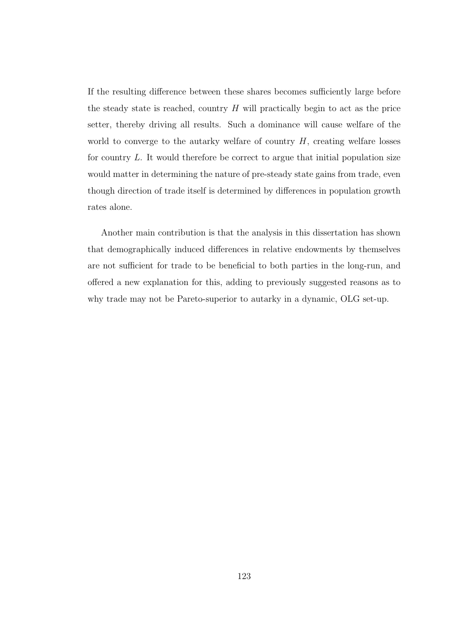If the resulting difference between these shares becomes sufficiently large before the steady state is reached, country  $H$  will practically begin to act as the price setter, thereby driving all results. Such a dominance will cause welfare of the world to converge to the autarky welfare of country  $H$ , creating welfare losses for country  $L$ . It would therefore be correct to argue that initial population size would matter in determining the nature of pre-steady state gains from trade, even though direction of trade itself is determined by differences in population growth rates alone.

Another main contribution is that the analysis in this dissertation has shown that demographically induced differences in relative endowments by themselves are not sufficient for trade to be beneficial to both parties in the long-run, and offered a new explanation for this, adding to previously suggested reasons as to why trade may not be Pareto-superior to autarky in a dynamic, OLG set-up.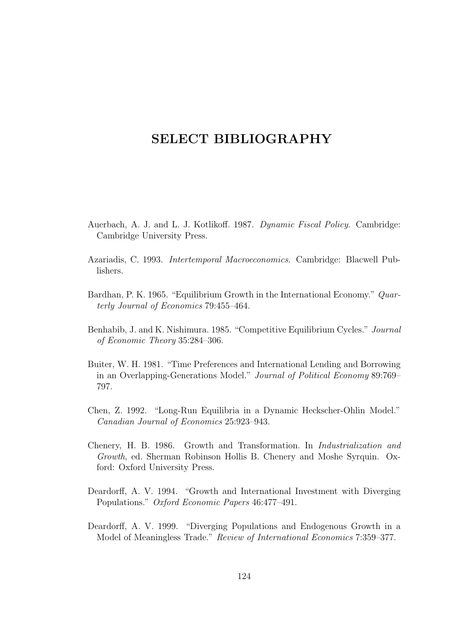## SELECT BIBLIOGRAPHY

- Auerbach, A. J. and L. J. Kotlikoff. 1987. Dynamic Fiscal Policy. Cambridge: Cambridge University Press.
- Azariadis, C. 1993. Intertemporal Macroeconomics. Cambridge: Blacwell Publishers.
- Bardhan, P. K. 1965. "Equilibrium Growth in the International Economy." Quarterly Journal of Economics 79:455–464.
- Benhabib, J. and K. Nishimura. 1985. "Competitive Equilibrium Cycles." Journal of Economic Theory 35:284–306.
- Buiter, W. H. 1981. "Time Preferences and International Lending and Borrowing in an Overlapping-Generations Model." Journal of Political Economy 89:769– 797.
- Chen, Z. 1992. "Long-Run Equilibria in a Dynamic Heckscher-Ohlin Model." Canadian Journal of Economics 25:923–943.
- Chenery, H. B. 1986. Growth and Transformation. In Industrialization and Growth, ed. Sherman Robinson Hollis B. Chenery and Moshe Syrquin. Oxford: Oxford University Press.
- Deardorff, A. V. 1994. "Growth and International Investment with Diverging Populations." Oxford Economic Papers 46:477–491.
- Deardorff, A. V. 1999. "Diverging Populations and Endogenous Growth in a Model of Meaningless Trade." Review of International Economics 7:359–377.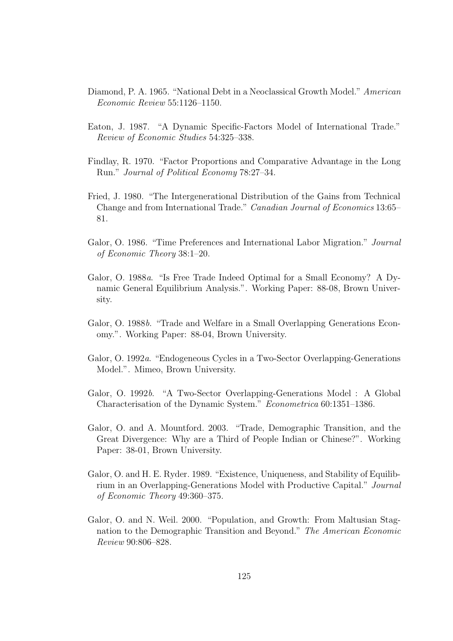- Diamond, P. A. 1965. "National Debt in a Neoclassical Growth Model." American Economic Review 55:1126–1150.
- Eaton, J. 1987. "A Dynamic Specific-Factors Model of International Trade." Review of Economic Studies 54:325–338.
- Findlay, R. 1970. "Factor Proportions and Comparative Advantage in the Long Run." Journal of Political Economy 78:27–34.
- Fried, J. 1980. "The Intergenerational Distribution of the Gains from Technical Change and from International Trade." Canadian Journal of Economics 13:65– 81.
- Galor, O. 1986. "Time Preferences and International Labor Migration." Journal of Economic Theory 38:1–20.
- Galor, O. 1988a. "Is Free Trade Indeed Optimal for a Small Economy? A Dynamic General Equilibrium Analysis.". Working Paper: 88-08, Brown University.
- Galor, O. 1988b. "Trade and Welfare in a Small Overlapping Generations Economy.". Working Paper: 88-04, Brown University.
- Galor, O. 1992a. "Endogeneous Cycles in a Two-Sector Overlapping-Generations Model.". Mimeo, Brown University.
- Galor, O. 1992b. "A Two-Sector Overlapping-Generations Model : A Global Characterisation of the Dynamic System." Econometrica 60:1351–1386.
- Galor, O. and A. Mountford. 2003. "Trade, Demographic Transition, and the Great Divergence: Why are a Third of People Indian or Chinese?". Working Paper: 38-01, Brown University.
- Galor, O. and H. E. Ryder. 1989. "Existence, Uniqueness, and Stability of Equilibrium in an Overlapping-Generations Model with Productive Capital." Journal of Economic Theory 49:360–375.
- Galor, O. and N. Weil. 2000. "Population, and Growth: From Maltusian Stagnation to the Demographic Transition and Beyond." The American Economic Review 90:806–828.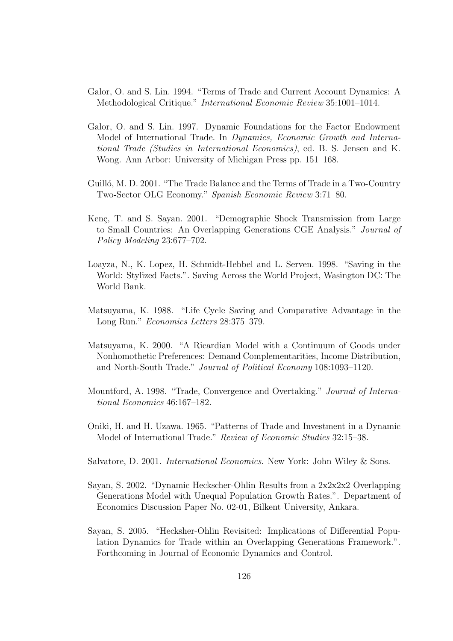- Galor, O. and S. Lin. 1994. "Terms of Trade and Current Account Dynamics: A Methodological Critique." International Economic Review 35:1001–1014.
- Galor, O. and S. Lin. 1997. Dynamic Foundations for the Factor Endowment Model of International Trade. In Dynamics, Economic Growth and International Trade (Studies in International Economics), ed. B. S. Jensen and K. Wong. Ann Arbor: University of Michigan Press pp. 151–168.
- Guilló, M. D. 2001. "The Trade Balance and the Terms of Trade in a Two-Country Two-Sector OLG Economy." Spanish Economic Review 3:71–80.
- Kenç, T. and S. Sayan. 2001. "Demographic Shock Transmission from Large to Small Countries: An Overlapping Generations CGE Analysis." Journal of Policy Modeling 23:677–702.
- Loayza, N., K. Lopez, H. Schmidt-Hebbel and L. Serven. 1998. "Saving in the World: Stylized Facts.". Saving Across the World Project, Wasington DC: The World Bank.
- Matsuyama, K. 1988. "Life Cycle Saving and Comparative Advantage in the Long Run." Economics Letters 28:375–379.
- Matsuyama, K. 2000. "A Ricardian Model with a Continuum of Goods under Nonhomothetic Preferences: Demand Complementarities, Income Distribution, and North-South Trade." Journal of Political Economy 108:1093–1120.
- Mountford, A. 1998. "Trade, Convergence and Overtaking." Journal of International Economics 46:167–182.
- Oniki, H. and H. Uzawa. 1965. "Patterns of Trade and Investment in a Dynamic Model of International Trade." Review of Economic Studies 32:15–38.
- Salvatore, D. 2001. International Economics. New York: John Wiley & Sons.
- Sayan, S. 2002. "Dynamic Heckscher-Ohlin Results from a 2x2x2x2 Overlapping Generations Model with Unequal Population Growth Rates.". Department of Economics Discussion Paper No. 02-01, Bilkent University, Ankara.
- Sayan, S. 2005. "Hecksher-Ohlin Revisited: Implications of Differential Population Dynamics for Trade within an Overlapping Generations Framework.". Forthcoming in Journal of Economic Dynamics and Control.